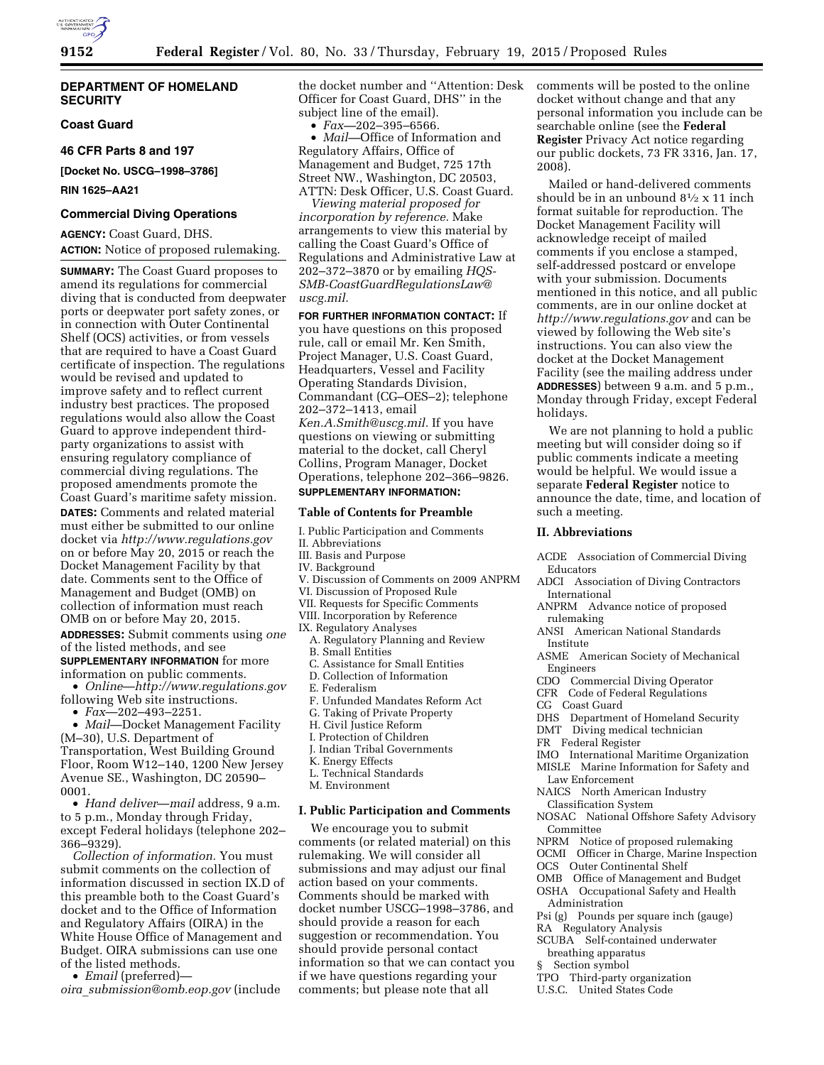

# **DEPARTMENT OF HOMELAND SECURITY**

# **Coast Guard**

**46 CFR Parts 8 and 197** 

**[Docket No. USCG–1998–3786]** 

**RIN 1625–AA21** 

# **Commercial Diving Operations**

**AGENCY:** Coast Guard, DHS. **ACTION:** Notice of proposed rulemaking.

**SUMMARY:** The Coast Guard proposes to amend its regulations for commercial diving that is conducted from deepwater ports or deepwater port safety zones, or in connection with Outer Continental Shelf (OCS) activities, or from vessels that are required to have a Coast Guard certificate of inspection. The regulations would be revised and updated to improve safety and to reflect current industry best practices. The proposed regulations would also allow the Coast Guard to approve independent thirdparty organizations to assist with ensuring regulatory compliance of commercial diving regulations. The proposed amendments promote the Coast Guard's maritime safety mission. **DATES:** Comments and related material must either be submitted to our online docket via *<http://www.regulations.gov>*  on or before May 20, 2015 or reach the Docket Management Facility by that

date. Comments sent to the Office of Management and Budget (OMB) on collection of information must reach OMB on or before May 20, 2015.

**ADDRESSES:** Submit comments using *one*  of the listed methods, and see **SUPPLEMENTARY INFORMATION** for more

information on public comments.

• *Online*—*<http://www.regulations.gov>* following Web site instructions.

• *Fax*—202–493–2251.

• *Mail*—Docket Management Facility (M–30), U.S. Department of Transportation, West Building Ground Floor, Room W12–140, 1200 New Jersey Avenue SE., Washington, DC 20590– 0001.

• *Hand deliver*—*mail* address, 9 a.m. to 5 p.m., Monday through Friday, except Federal holidays (telephone 202– 366–9329).

*Collection of information.* You must submit comments on the collection of information discussed in section IX.D of this preamble both to the Coast Guard's docket and to the Office of Information and Regulatory Affairs (OIRA) in the White House Office of Management and Budget. OIRA submissions can use one of the listed methods.

• *Email* (preferred)—

*oira*\_*[submission@omb.eop.gov](mailto:oira_submission@omb.eop.gov)* (include

the docket number and ''Attention: Desk Officer for Coast Guard, DHS'' in the subject line of the email).

• *Fax—*202–395–6566.

• *Mail—*Office of Information and Regulatory Affairs, Office of Management and Budget, 725 17th Street NW., Washington, DC 20503, ATTN: Desk Officer, U.S. Coast Guard.

*Viewing material proposed for incorporation by reference.* Make arrangements to view this material by calling the Coast Guard's Office of Regulations and Administrative Law at 202–372–3870 or by emailing *[HQS-](mailto:HQS-SMB-CoastGuardRegulationsLaw@uscg.mil)[SMB-CoastGuardRegulationsLaw@](mailto:HQS-SMB-CoastGuardRegulationsLaw@uscg.mil)  [uscg.mil.](mailto:HQS-SMB-CoastGuardRegulationsLaw@uscg.mil)* 

**FOR FURTHER INFORMATION CONTACT:** If you have questions on this proposed rule, call or email Mr. Ken Smith, Project Manager, U.S. Coast Guard, Headquarters, Vessel and Facility Operating Standards Division, Commandant (CG–OES–2); telephone 202–372–1413, email *[Ken.A.Smith@uscg.mil.](mailto:Ken.A.Smith@uscg.mil)* If you have questions on viewing or submitting material to the docket, call Cheryl Collins, Program Manager, Docket Operations, telephone 202–366–9826. **SUPPLEMENTARY INFORMATION:** 

# **Table of Contents for Preamble**

- I. Public Participation and Comments
- II. Abbreviations
- III. Basis and Purpose IV. Background
- 
- V. Discussion of Comments on 2009 ANPRM
- VI. Discussion of Proposed Rule
- VII. Requests for Specific Comments
- VIII. Incorporation by Reference IX. Regulatory Analyses
	- A. Regulatory Planning and Review
	- B. Small Entities
	-
	- C. Assistance for Small Entities D. Collection of Information
	- E. Federalism
	- F. Unfunded Mandates Reform Act
	- G. Taking of Private Property
	- H. Civil Justice Reform
	- I. Protection of Children
	- J. Indian Tribal Governments
	-
	- K. Energy Effects
	- L. Technical Standards
	- M. Environment

# **I. Public Participation and Comments**

We encourage you to submit comments (or related material) on this rulemaking. We will consider all submissions and may adjust our final action based on your comments. Comments should be marked with docket number USCG–1998–3786, and should provide a reason for each suggestion or recommendation. You should provide personal contact information so that we can contact you if we have questions regarding your comments; but please note that all

comments will be posted to the online docket without change and that any personal information you include can be searchable online (see the **Federal Register** Privacy Act notice regarding our public dockets, 73 FR 3316, Jan. 17, 2008).

Mailed or hand-delivered comments should be in an unbound  $8\frac{1}{2} \times 11$  inch format suitable for reproduction. The Docket Management Facility will acknowledge receipt of mailed comments if you enclose a stamped, self-addressed postcard or envelope with your submission. Documents mentioned in this notice, and all public comments, are in our online docket at *<http://www.regulations.gov>* and can be viewed by following the Web site's instructions. You can also view the docket at the Docket Management Facility (see the mailing address under **ADDRESSES**) between 9 a.m. and 5 p.m., Monday through Friday, except Federal holidays.

We are not planning to hold a public meeting but will consider doing so if public comments indicate a meeting would be helpful. We would issue a separate **Federal Register** notice to announce the date, time, and location of such a meeting.

# **II. Abbreviations**

- ACDE Association of Commercial Diving Educators
- ADCI Association of Diving Contractors International
- ANPRM Advance notice of proposed rulemaking
- ANSI American National Standards Institute
- ASME American Society of Mechanical Engineers
- CDO Commercial Diving Operator
- CFR Code of Federal Regulations
- CG Coast Guard
- DHS Department of Homeland Security
- DMT Diving medical technician
- FR Federal Register
- 
- IMO International Maritime Organization MISLE Marine Information for Safety and Law Enforcement
- NAICS North American Industry
- Classification System
- NOSAC National Offshore Safety Advisory Committee
- NPRM Notice of proposed rulemaking
- OCMI Officer in Charge, Marine Inspection
- OCS Outer Continental Shelf
- OMB Office of Management and Budget
- OSHA Occupational Safety and Health Administration
- Psi (g) Pounds per square inch (gauge)
- RA Regulatory Analysis
- SCUBA Self-contained underwater
- breathing apparatus
- § Section symbol
- TPO Third-party organization
- U.S.C. United States Code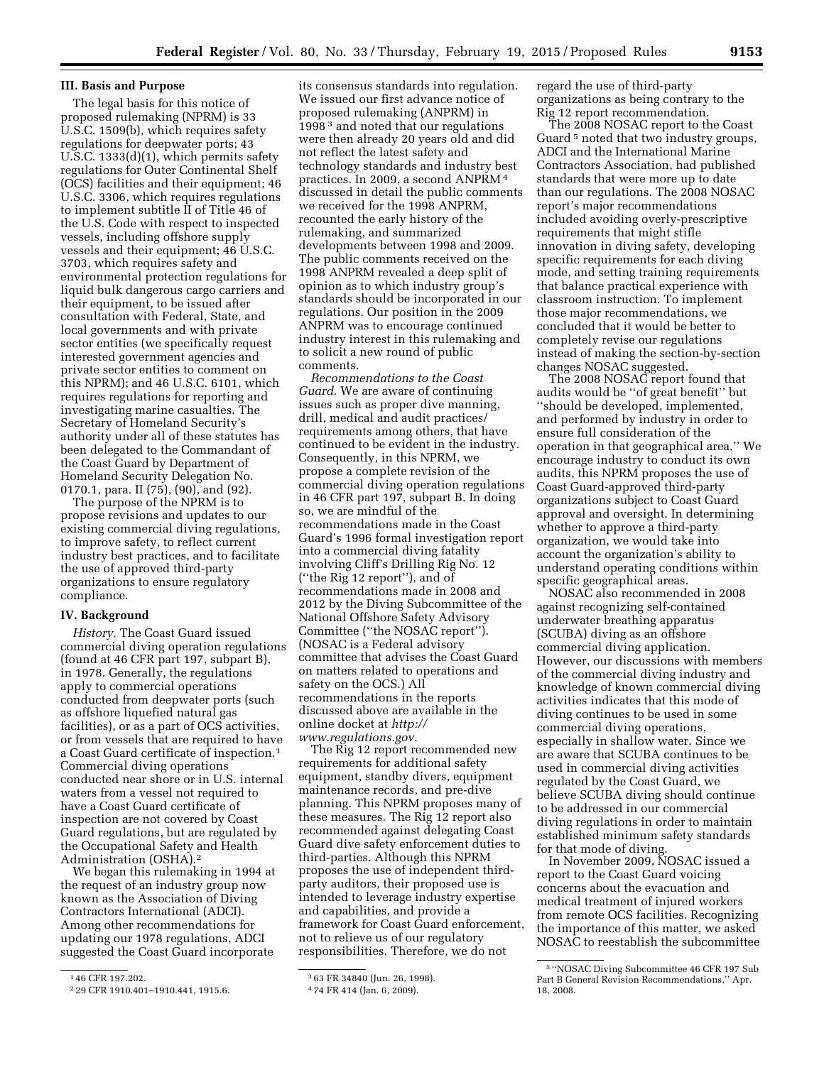# **III. Basis and Purpose**

The legal basis for this notice of proposed rulemaking (NPRM) is 33 U.S.C. 1509(b), which requires safety regulations for deepwater ports; 43 U.S.C. 1333(d)(1), which permits safety regulations for Outer Continental Shelf (OCS) facilities and their equipment; 46 U.S.C. 3306, which requires regulations to implement subtitle II of Title 46 of the U.S. Code with respect to inspected vessels, including offshore supply vessels and their equipment; 46 U.S.C. 3703, which requires safety and environmental protection regulations for liquid bulk dangerous cargo carriers and their equipment, to be issued after consultation with Federal, State, and local governments and with private sector entities (we specifically request interested government agencies and private sector entities to comment on this NPRM); and 46 U.S.C. 6101, which requires regulations for reporting and investigating marine casualties. The Secretary of Homeland Security's authority under all of these statutes has been delegated to the Commandant of the Coast Guard by Department of Homeland Security Delegation No. 0170.1, para. II (75), (90), and (92).

The purpose of the NPRM is to propose revisions and updates to our existing commercial diving regulations, to improve safety, to reflect current industry best practices, and to facilitate the use of approved third-party organizations to ensure regulatory compliance.

## **IV. Background**

*History.* The Coast Guard issued commercial diving operation regulations (found at 46 CFR part 197, subpart B), in 1978. Generally, the regulations apply to commercial operations conducted from deepwater ports (such as offshore liquefied natural gas facilities), or as a part of OCS activities, or from vessels that are required to have a Coast Guard certificate of inspection.1 Commercial diving operations conducted near shore or in U.S. internal waters from a vessel not required to have a Coast Guard certificate of inspection are not covered by Coast Guard regulations, but are regulated by the Occupational Safety and Health Administration (OSHA).2

We began this rulemaking in 1994 at the request of an industry group now known as the Association of Diving Contractors International (ADCI). Among other recommendations for updating our 1978 regulations, ADCI suggested the Coast Guard incorporate

its consensus standards into regulation. We issued our first advance notice of proposed rulemaking (ANPRM) in 1998 3 and noted that our regulations were then already 20 years old and did not reflect the latest safety and technology standards and industry best practices. In 2009, a second ANPRM 4 discussed in detail the public comments we received for the 1998 ANPRM, recounted the early history of the rulemaking, and summarized developments between 1998 and 2009. The public comments received on the 1998 ANPRM revealed a deep split of opinion as to which industry group's standards should be incorporated in our regulations. Our position in the 2009 ANPRM was to encourage continued industry interest in this rulemaking and to solicit a new round of public comments.

*Recommendations to the Coast Guard.* We are aware of continuing issues such as proper dive manning, drill, medical and audit practices/ requirements among others, that have continued to be evident in the industry. Consequently, in this NPRM, we propose a complete revision of the commercial diving operation regulations in 46 CFR part 197, subpart B. In doing so, we are mindful of the recommendations made in the Coast Guard's 1996 formal investigation report into a commercial diving fatality involving Cliff's Drilling Rig No. 12 (''the Rig 12 report''), and of recommendations made in 2008 and 2012 by the Diving Subcommittee of the National Offshore Safety Advisory Committee (''the NOSAC report''). (NOSAC is a Federal advisory committee that advises the Coast Guard on matters related to operations and safety on the OCS.) All recommendations in the reports discussed above are available in the online docket at *[http://](http://www.regulations.gov) [www.regulations.gov.](http://www.regulations.gov)* 

The Rig 12 report recommended new requirements for additional safety equipment, standby divers, equipment maintenance records, and pre-dive planning. This NPRM proposes many of these measures. The Rig 12 report also recommended against delegating Coast Guard dive safety enforcement duties to third-parties. Although this NPRM proposes the use of independent thirdparty auditors, their proposed use is intended to leverage industry expertise and capabilities, and provide a framework for Coast Guard enforcement, not to relieve us of our regulatory responsibilities. Therefore, we do not

3 63 FR 34840 (Jun. 26, 1998).

regard the use of third-party organizations as being contrary to the Rig 12 report recommendation.

The 2008 NOSAC report to the Coast Guard<sup>5</sup> noted that two industry groups, ADCI and the International Marine Contractors Association, had published standards that were more up to date than our regulations. The 2008 NOSAC report's major recommendations included avoiding overly-prescriptive requirements that might stifle innovation in diving safety, developing specific requirements for each diving mode, and setting training requirements that balance practical experience with classroom instruction. To implement those major recommendations, we concluded that it would be better to completely revise our regulations instead of making the section-by-section changes NOSAC suggested.

The 2008 NOSAC report found that audits would be ''of great benefit'' but ''should be developed, implemented, and performed by industry in order to ensure full consideration of the operation in that geographical area.'' We encourage industry to conduct its own audits, this NPRM proposes the use of Coast Guard-approved third-party organizations subject to Coast Guard approval and oversight. In determining whether to approve a third-party organization, we would take into account the organization's ability to understand operating conditions within specific geographical areas.

NOSAC also recommended in 2008 against recognizing self-contained underwater breathing apparatus (SCUBA) diving as an offshore commercial diving application. However, our discussions with members of the commercial diving industry and knowledge of known commercial diving activities indicates that this mode of diving continues to be used in some commercial diving operations, especially in shallow water. Since we are aware that SCUBA continues to be used in commercial diving activities regulated by the Coast Guard, we believe SCUBA diving should continue to be addressed in our commercial diving regulations in order to maintain established minimum safety standards for that mode of diving.

In November 2009, NOSAC issued a report to the Coast Guard voicing concerns about the evacuation and medical treatment of injured workers from remote OCS facilities. Recognizing the importance of this matter, we asked NOSAC to reestablish the subcommittee

<sup>1</sup> 46 CFR 197.202.

<sup>2</sup> 29 CFR 1910.401–1910.441, 1915.6.

<sup>4</sup> 74 FR 414 (Jan. 6, 2009).

<sup>5</sup> ''NOSAC Diving Subcommittee 46 CFR 197 Sub Part B General Revision Recommendations,'' Apr. 18, 2008.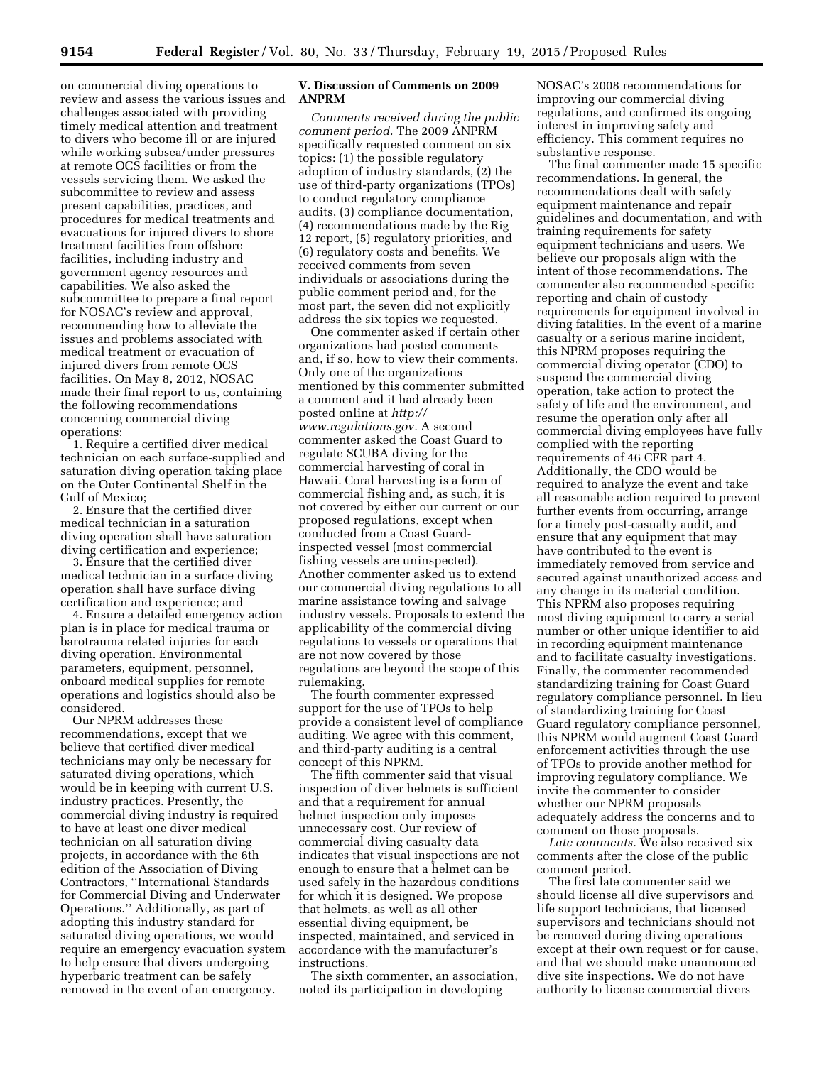on commercial diving operations to review and assess the various issues and challenges associated with providing timely medical attention and treatment to divers who become ill or are injured while working subsea/under pressures at remote OCS facilities or from the vessels servicing them. We asked the subcommittee to review and assess present capabilities, practices, and procedures for medical treatments and evacuations for injured divers to shore treatment facilities from offshore facilities, including industry and government agency resources and capabilities. We also asked the subcommittee to prepare a final report for NOSAC's review and approval, recommending how to alleviate the issues and problems associated with medical treatment or evacuation of injured divers from remote OCS facilities. On May 8, 2012, NOSAC made their final report to us, containing the following recommendations concerning commercial diving operations:

1. Require a certified diver medical technician on each surface-supplied and saturation diving operation taking place on the Outer Continental Shelf in the Gulf of Mexico;

2. Ensure that the certified diver medical technician in a saturation diving operation shall have saturation diving certification and experience;

3. Ensure that the certified diver medical technician in a surface diving operation shall have surface diving certification and experience; and

4. Ensure a detailed emergency action plan is in place for medical trauma or barotrauma related injuries for each diving operation. Environmental parameters, equipment, personnel, onboard medical supplies for remote operations and logistics should also be considered.

Our NPRM addresses these recommendations, except that we believe that certified diver medical technicians may only be necessary for saturated diving operations, which would be in keeping with current U.S. industry practices. Presently, the commercial diving industry is required to have at least one diver medical technician on all saturation diving projects, in accordance with the 6th edition of the Association of Diving Contractors, ''International Standards for Commercial Diving and Underwater Operations.'' Additionally, as part of adopting this industry standard for saturated diving operations, we would require an emergency evacuation system to help ensure that divers undergoing hyperbaric treatment can be safely removed in the event of an emergency.

# **V. Discussion of Comments on 2009 ANPRM**

*Comments received during the public comment period.* The 2009 ANPRM specifically requested comment on six topics: (1) the possible regulatory adoption of industry standards, (2) the use of third-party organizations (TPOs) to conduct regulatory compliance audits, (3) compliance documentation, (4) recommendations made by the Rig 12 report, (5) regulatory priorities, and (6) regulatory costs and benefits. We received comments from seven individuals or associations during the public comment period and, for the most part, the seven did not explicitly address the six topics we requested.

One commenter asked if certain other organizations had posted comments and, if so, how to view their comments. Only one of the organizations mentioned by this commenter submitted a comment and it had already been posted online at *[http://](http://www.regulations.gov) [www.regulations.gov.](http://www.regulations.gov)* A second commenter asked the Coast Guard to regulate SCUBA diving for the commercial harvesting of coral in Hawaii. Coral harvesting is a form of commercial fishing and, as such, it is not covered by either our current or our proposed regulations, except when conducted from a Coast Guardinspected vessel (most commercial fishing vessels are uninspected). Another commenter asked us to extend our commercial diving regulations to all marine assistance towing and salvage industry vessels. Proposals to extend the applicability of the commercial diving regulations to vessels or operations that are not now covered by those regulations are beyond the scope of this rulemaking.

The fourth commenter expressed support for the use of TPOs to help provide a consistent level of compliance auditing. We agree with this comment, and third-party auditing is a central concept of this NPRM.

The fifth commenter said that visual inspection of diver helmets is sufficient and that a requirement for annual helmet inspection only imposes unnecessary cost. Our review of commercial diving casualty data indicates that visual inspections are not enough to ensure that a helmet can be used safely in the hazardous conditions for which it is designed. We propose that helmets, as well as all other essential diving equipment, be inspected, maintained, and serviced in accordance with the manufacturer's instructions.

The sixth commenter, an association, noted its participation in developing

NOSAC's 2008 recommendations for improving our commercial diving regulations, and confirmed its ongoing interest in improving safety and efficiency. This comment requires no substantive response.

The final commenter made 15 specific recommendations. In general, the recommendations dealt with safety equipment maintenance and repair guidelines and documentation, and with training requirements for safety equipment technicians and users. We believe our proposals align with the intent of those recommendations. The commenter also recommended specific reporting and chain of custody requirements for equipment involved in diving fatalities. In the event of a marine casualty or a serious marine incident, this NPRM proposes requiring the commercial diving operator (CDO) to suspend the commercial diving operation, take action to protect the safety of life and the environment, and resume the operation only after all commercial diving employees have fully complied with the reporting requirements of 46 CFR part 4. Additionally, the CDO would be required to analyze the event and take all reasonable action required to prevent further events from occurring, arrange for a timely post-casualty audit, and ensure that any equipment that may have contributed to the event is immediately removed from service and secured against unauthorized access and any change in its material condition. This NPRM also proposes requiring most diving equipment to carry a serial number or other unique identifier to aid in recording equipment maintenance and to facilitate casualty investigations. Finally, the commenter recommended standardizing training for Coast Guard regulatory compliance personnel. In lieu of standardizing training for Coast Guard regulatory compliance personnel, this NPRM would augment Coast Guard enforcement activities through the use of TPOs to provide another method for improving regulatory compliance. We invite the commenter to consider whether our NPRM proposals adequately address the concerns and to comment on those proposals.

*Late comments.* We also received six comments after the close of the public comment period.

The first late commenter said we should license all dive supervisors and life support technicians, that licensed supervisors and technicians should not be removed during diving operations except at their own request or for cause, and that we should make unannounced dive site inspections. We do not have authority to license commercial divers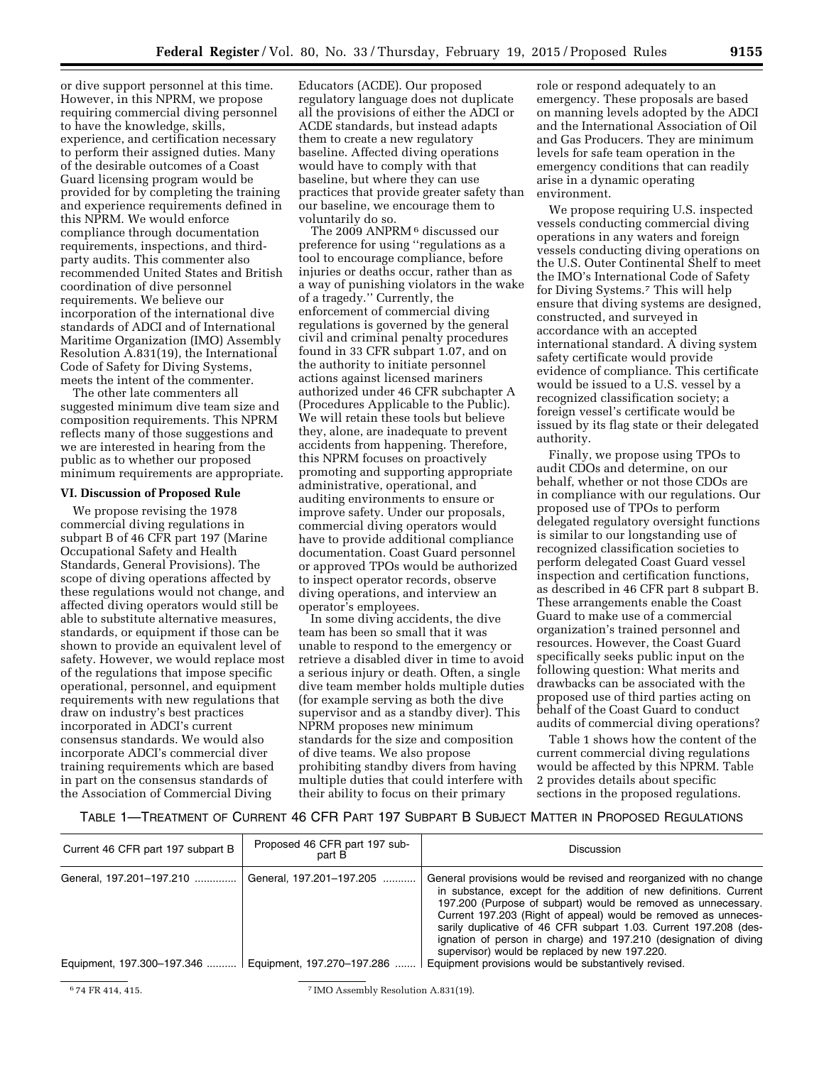or dive support personnel at this time. However, in this NPRM, we propose requiring commercial diving personnel to have the knowledge, skills, experience, and certification necessary to perform their assigned duties. Many of the desirable outcomes of a Coast Guard licensing program would be provided for by completing the training and experience requirements defined in this NPRM. We would enforce compliance through documentation requirements, inspections, and thirdparty audits. This commenter also recommended United States and British coordination of dive personnel requirements. We believe our incorporation of the international dive standards of ADCI and of International Maritime Organization (IMO) Assembly Resolution A.831(19), the International Code of Safety for Diving Systems, meets the intent of the commenter.

The other late commenters all suggested minimum dive team size and composition requirements. This NPRM reflects many of those suggestions and we are interested in hearing from the public as to whether our proposed minimum requirements are appropriate.

# **VI. Discussion of Proposed Rule**

We propose revising the 1978 commercial diving regulations in subpart B of 46 CFR part 197 (Marine Occupational Safety and Health Standards, General Provisions). The scope of diving operations affected by these regulations would not change, and affected diving operators would still be able to substitute alternative measures, standards, or equipment if those can be shown to provide an equivalent level of safety. However, we would replace most of the regulations that impose specific operational, personnel, and equipment requirements with new regulations that draw on industry's best practices incorporated in ADCI's current consensus standards. We would also incorporate ADCI's commercial diver training requirements which are based in part on the consensus standards of the Association of Commercial Diving

Educators (ACDE). Our proposed regulatory language does not duplicate all the provisions of either the ADCI or ACDE standards, but instead adapts them to create a new regulatory baseline. Affected diving operations would have to comply with that baseline, but where they can use practices that provide greater safety than our baseline, we encourage them to voluntarily do so.

The 2009 ANPRM<sup>6</sup> discussed our preference for using ''regulations as a tool to encourage compliance, before injuries or deaths occur, rather than as a way of punishing violators in the wake of a tragedy.'' Currently, the enforcement of commercial diving regulations is governed by the general civil and criminal penalty procedures found in 33 CFR subpart 1.07, and on the authority to initiate personnel actions against licensed mariners authorized under 46 CFR subchapter A (Procedures Applicable to the Public). We will retain these tools but believe they, alone, are inadequate to prevent accidents from happening. Therefore, this NPRM focuses on proactively promoting and supporting appropriate administrative, operational, and auditing environments to ensure or improve safety. Under our proposals, commercial diving operators would have to provide additional compliance documentation. Coast Guard personnel or approved TPOs would be authorized to inspect operator records, observe diving operations, and interview an operator's employees.

In some diving accidents, the dive team has been so small that it was unable to respond to the emergency or retrieve a disabled diver in time to avoid a serious injury or death. Often, a single dive team member holds multiple duties (for example serving as both the dive supervisor and as a standby diver). This NPRM proposes new minimum standards for the size and composition of dive teams. We also propose prohibiting standby divers from having multiple duties that could interfere with their ability to focus on their primary

role or respond adequately to an emergency. These proposals are based on manning levels adopted by the ADCI and the International Association of Oil and Gas Producers. They are minimum levels for safe team operation in the emergency conditions that can readily arise in a dynamic operating environment.

We propose requiring U.S. inspected vessels conducting commercial diving operations in any waters and foreign vessels conducting diving operations on the U.S. Outer Continental Shelf to meet the IMO's International Code of Safety for Diving Systems.7 This will help ensure that diving systems are designed, constructed, and surveyed in accordance with an accepted international standard. A diving system safety certificate would provide evidence of compliance. This certificate would be issued to a U.S. vessel by a recognized classification society; a foreign vessel's certificate would be issued by its flag state or their delegated authority.

Finally, we propose using TPOs to audit CDOs and determine, on our behalf, whether or not those CDOs are in compliance with our regulations. Our proposed use of TPOs to perform delegated regulatory oversight functions is similar to our longstanding use of recognized classification societies to perform delegated Coast Guard vessel inspection and certification functions, as described in 46 CFR part 8 subpart B. These arrangements enable the Coast Guard to make use of a commercial organization's trained personnel and resources. However, the Coast Guard specifically seeks public input on the following question: What merits and drawbacks can be associated with the proposed use of third parties acting on behalf of the Coast Guard to conduct audits of commercial diving operations?

Table 1 shows how the content of the current commercial diving regulations would be affected by this NPRM. Table 2 provides details about specific sections in the proposed regulations.

# TABLE 1—TREATMENT OF CURRENT 46 CFR PART 197 SUBPART B SUBJECT MATTER IN PROPOSED REGULATIONS

| Current 46 CFR part 197 subpart B | Proposed 46 CFR part 197 sub-<br>part B | <b>Discussion</b>                                                                                                                                                                                                                                                                                                                                                                                                                                                   |
|-----------------------------------|-----------------------------------------|---------------------------------------------------------------------------------------------------------------------------------------------------------------------------------------------------------------------------------------------------------------------------------------------------------------------------------------------------------------------------------------------------------------------------------------------------------------------|
| General, 197.201-197.210          | General, 197.201-197.205                | General provisions would be revised and reorganized with no change<br>in substance, except for the addition of new definitions. Current<br>197.200 (Purpose of subpart) would be removed as unnecessary.<br>Current 197.203 (Right of appeal) would be removed as unneces-<br>sarily duplicative of 46 CFR subpart 1.03. Current 197.208 (des-<br>ignation of person in charge) and 197.210 (designation of diving<br>supervisor) would be replaced by new 197.220. |
| Equipment, 197.300-197.346        | Equipment, 197.270-197.286              | Equipment provisions would be substantively revised.                                                                                                                                                                                                                                                                                                                                                                                                                |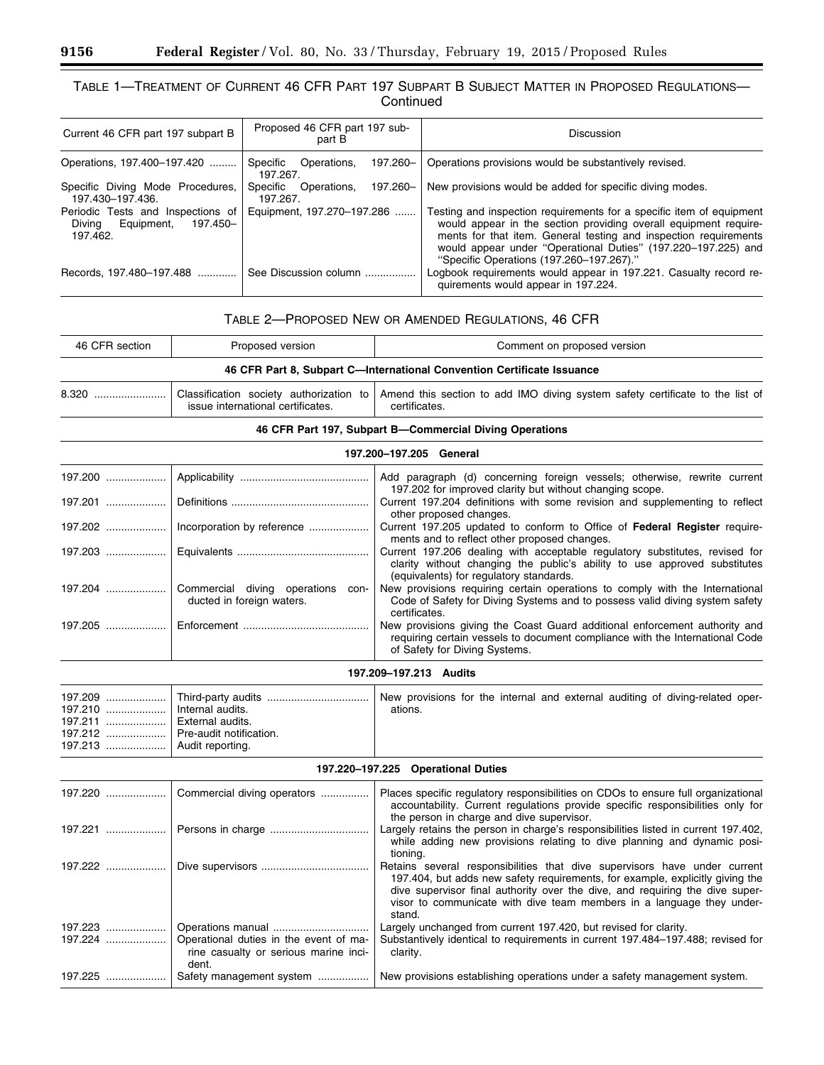٠

-

# TABLE 1—TREATMENT OF CURRENT 46 CFR PART 197 SUBPART B SUBJECT MATTER IN PROPOSED REGULATIONS— **Continued**

| Current 46 CFR part 197 subpart B                                                 | Proposed 46 CFR part 197 sub-<br>part B         | Discussion                                                                                                                                                                                                                                                                                                                |
|-----------------------------------------------------------------------------------|-------------------------------------------------|---------------------------------------------------------------------------------------------------------------------------------------------------------------------------------------------------------------------------------------------------------------------------------------------------------------------------|
| Operations, 197.400-197.420                                                       | 197.260-<br>Specific Operations.<br>197.267.    | Operations provisions would be substantively revised.                                                                                                                                                                                                                                                                     |
| Specific Diving Mode Procedures,<br>197.430-197.436.                              | 197.260-<br>Specific<br>Operations,<br>197.267. | New provisions would be added for specific diving modes.                                                                                                                                                                                                                                                                  |
| Periodic Tests and Inspections of<br>Divina<br>197.450-<br>Equipment,<br>197.462. | Equipment, 197.270-197.286                      | Testing and inspection requirements for a specific item of equipment<br>would appear in the section providing overall equipment require-<br>ments for that item. General testing and inspection requirements<br>would appear under "Operational Duties" (197.220–197.225) and<br>"Specific Operations (197.260–197.267)." |
| Records, 197.480-197.488                                                          | See Discussion column                           | Logbook requirements would appear in 197.221. Casualty record re-<br>quirements would appear in 197.224.                                                                                                                                                                                                                  |

| TABLE 2-PROPOSED NEW OR AMENDED REGULATIONS, 46 CFR |  |  |  |  |  |
|-----------------------------------------------------|--|--|--|--|--|
|-----------------------------------------------------|--|--|--|--|--|

| 46 CFR section | Proposed version                  | Comment on proposed version                                                                                                            |  |  |  |  |
|----------------|-----------------------------------|----------------------------------------------------------------------------------------------------------------------------------------|--|--|--|--|
|                |                                   | 46 CFR Part 8, Subpart C—International Convention Certificate Issuance                                                                 |  |  |  |  |
|                | issue international certificates. | Classification society authorization to Amend this section to add IMO diving system safety certificate to the list of<br>certificates. |  |  |  |  |

# **46 CFR Part 197, Subpart B—Commercial Diving Operations**

# **197.200–197.205 General**

|                                                                            | Add paragraph (d) concerning foreign vessels; otherwise, rewrite current<br>197.202 for improved clarity but without changing scope.                                                                |
|----------------------------------------------------------------------------|-----------------------------------------------------------------------------------------------------------------------------------------------------------------------------------------------------|
|                                                                            | Current 197.204 definitions with some revision and supplementing to reflect<br>other proposed changes.                                                                                              |
| 197.202   Incorporation by reference                                       | Current 197.205 updated to conform to Office of Federal Register require-<br>ments and to reflect other proposed changes.                                                                           |
|                                                                            | Current 197.206 dealing with acceptable regulatory substitutes, revised for<br>clarity without changing the public's ability to use approved substitutes<br>(equivalents) for regulatory standards. |
| 197.204  Commercial diving operations<br>con-<br>ducted in foreign waters. | New provisions requiring certain operations to comply with the International<br>Code of Safety for Diving Systems and to possess valid diving system safety<br>certificates.                        |
|                                                                            | New provisions giving the Coast Guard additional enforcement authority and<br>requiring certain vessels to document compliance with the International Code<br>of Safety for Diving Systems.         |

# **197.209–197.213 Audits**

| 197.210    Internal audits.        | ations. |  |  |  |  |
|------------------------------------|---------|--|--|--|--|
| 197.211    External audits.        |         |  |  |  |  |
| 197.212    Pre-audit notification. |         |  |  |  |  |
| 197.213    Audit reporting.        |         |  |  |  |  |

# **197.220–197.225 Operational Duties**

|         | Commercial diving operators                                                              | Places specific regulatory responsibilities on CDOs to ensure full organizational<br>accountability. Current regulations provide specific responsibilities only for<br>the person in charge and dive supervisor.                                                                                                              |
|---------|------------------------------------------------------------------------------------------|-------------------------------------------------------------------------------------------------------------------------------------------------------------------------------------------------------------------------------------------------------------------------------------------------------------------------------|
| 197.221 |                                                                                          | Largely retains the person in charge's responsibilities listed in current 197.402.<br>while adding new provisions relating to dive planning and dynamic posi-<br>tioning.                                                                                                                                                     |
| 197.222 |                                                                                          | Retains several responsibilities that dive supervisors have under current<br>197.404, but adds new safety requirements, for example, explicitly giving the<br>dive supervisor final authority over the dive, and requiring the dive super-<br>visor to communicate with dive team members in a language they under-<br>stand. |
| 197.223 |                                                                                          | Largely unchanged from current 197.420, but revised for clarity.                                                                                                                                                                                                                                                              |
| 197.224 | Operational duties in the event of ma-<br>rine casualty or serious marine inci-<br>dent. | Substantively identical to requirements in current 197.484-197.488; revised for<br>clarity.                                                                                                                                                                                                                                   |
| 197.225 | Safety management system                                                                 | New provisions establishing operations under a safety management system.                                                                                                                                                                                                                                                      |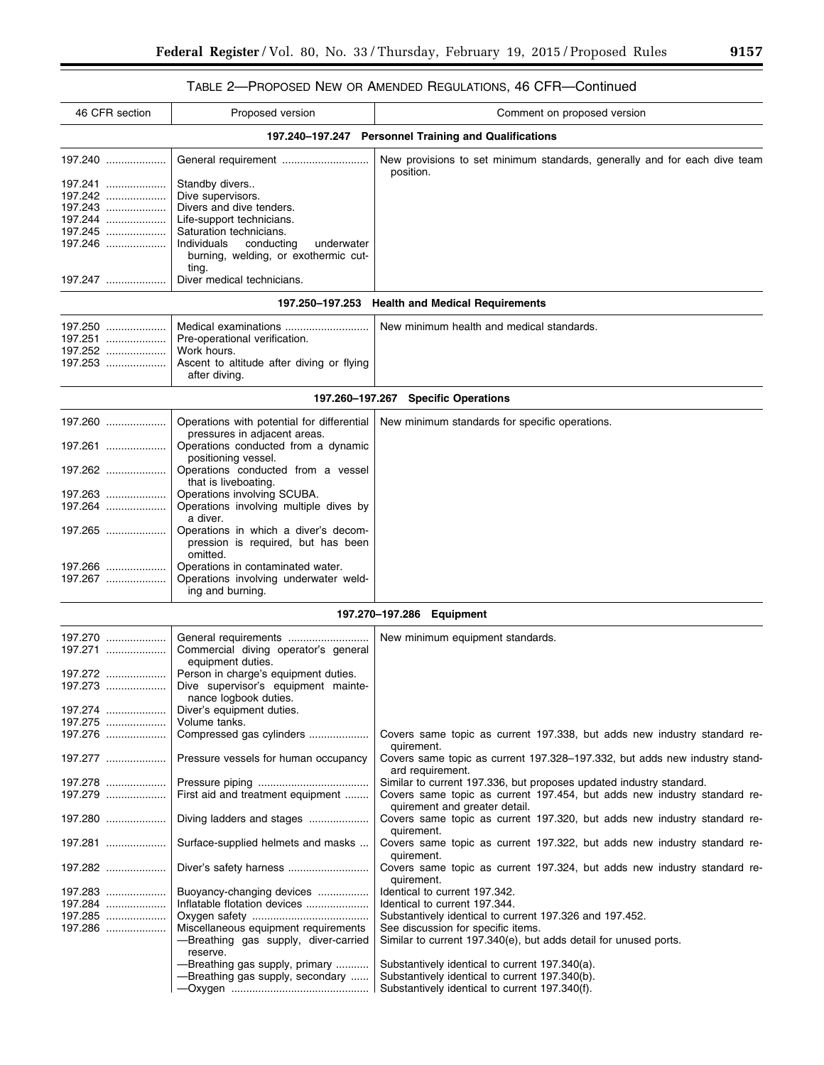# TABLE 2—PROPOSED NEW OR AMENDED REGULATIONS, 46 CFR—Continued

| 46 CFR section     | Proposed version                                                                               | Comment on proposed version                                                                                                                        |
|--------------------|------------------------------------------------------------------------------------------------|----------------------------------------------------------------------------------------------------------------------------------------------------|
|                    |                                                                                                | 197.240-197.247 Personnel Training and Qualifications                                                                                              |
| 197.240            |                                                                                                | New provisions to set minimum standards, generally and for each dive team<br>position.                                                             |
| 197.241            | Standby divers                                                                                 |                                                                                                                                                    |
| 197.242            | Dive supervisors.                                                                              |                                                                                                                                                    |
| 197.243            | Divers and dive tenders.                                                                       |                                                                                                                                                    |
| 197.244            | Life-support technicians.                                                                      |                                                                                                                                                    |
| 197.245            | Saturation technicians.                                                                        |                                                                                                                                                    |
| 197.246            | Individuals<br>conducting<br>underwater<br>burning, welding, or exothermic cut-<br>ting.       |                                                                                                                                                    |
| 197.247            | Diver medical technicians.                                                                     |                                                                                                                                                    |
|                    |                                                                                                | 197.250-197.253 Health and Medical Requirements                                                                                                    |
| 197.250            |                                                                                                | New minimum health and medical standards.                                                                                                          |
| 197.251            | Pre-operational verification.                                                                  |                                                                                                                                                    |
| 197.252            | Work hours.                                                                                    |                                                                                                                                                    |
| 197.253            | Ascent to altitude after diving or flying<br>after diving.                                     |                                                                                                                                                    |
|                    |                                                                                                | 197.260-197.267 Specific Operations                                                                                                                |
| 197.260            | Operations with potential for differential<br>pressures in adjacent areas.                     | New minimum standards for specific operations.                                                                                                     |
| 197.261            | Operations conducted from a dynamic<br>positioning vessel.                                     |                                                                                                                                                    |
| 197.262            | Operations conducted from a vessel<br>that is liveboating.                                     |                                                                                                                                                    |
| 197.263            | Operations involving SCUBA.                                                                    |                                                                                                                                                    |
| 197.264            | Operations involving multiple dives by                                                         |                                                                                                                                                    |
|                    | a diver.                                                                                       |                                                                                                                                                    |
| 197.265            | Operations in which a diver's decom-<br>pression is required, but has been                     |                                                                                                                                                    |
|                    | omitted.                                                                                       |                                                                                                                                                    |
| 197.266<br>197.267 | Operations in contaminated water.<br>Operations involving underwater weld-<br>ing and burning. |                                                                                                                                                    |
|                    |                                                                                                | 197.270–197.286<br><b>Equipment</b>                                                                                                                |
| 197.270            |                                                                                                | New minimum equipment standards.                                                                                                                   |
| $197.271$          | Commercial diving operator's general<br>equipment duties.                                      |                                                                                                                                                    |
| 197.272            | Person in charge's equipment duties.                                                           |                                                                                                                                                    |
| 197.273            | Dive supervisor's equipment mainte-<br>nance logbook duties.                                   |                                                                                                                                                    |
| 197.274            | Diver's equipment duties.                                                                      |                                                                                                                                                    |
| 197.275            | Volume tanks.                                                                                  |                                                                                                                                                    |
| 197.276            | Compressed gas cylinders                                                                       | Covers same topic as current 197.338, but adds new industry standard re-<br>quirement.                                                             |
| 197.277            | Pressure vessels for human occupancy                                                           | Covers same topic as current 197.328–197.332, but adds new industry stand-<br>ard requirement.                                                     |
| 197.278<br>197.279 | First aid and treatment equipment                                                              | Similar to current 197.336, but proposes updated industry standard.<br>Covers same topic as current 197.454, but adds new industry standard re-    |
| 197.280            | Diving ladders and stages                                                                      | quirement and greater detail.<br>Covers same topic as current 197.320, but adds new industry standard re-                                          |
| 197.281            | Surface-supplied helmets and masks                                                             | quirement.<br>Covers same topic as current 197.322, but adds new industry standard re-<br>quirement.                                               |
| 197.282            |                                                                                                | Covers same topic as current 197.324, but adds new industry standard re-<br>quirement.                                                             |
| 197.283            | Buoyancy-changing devices                                                                      | Identical to current 197.342.                                                                                                                      |
| 197.284            | Inflatable flotation devices                                                                   | Identical to current 197.344.                                                                                                                      |
| 197.285            |                                                                                                | Substantively identical to current 197.326 and 197.452.                                                                                            |
| 197.286            | Miscellaneous equipment requirements<br>-Breathing gas supply, diver-carried<br>reserve.       | See discussion for specific items.<br>Similar to current 197.340(e), but adds detail for unused ports.                                             |
|                    | -Breathing gas supply, primary<br>-Breathing gas supply, secondary                             | Substantively identical to current 197.340(a).<br>Substantively identical to current 197.340(b).<br>Substantively identical to current 197.340(f). |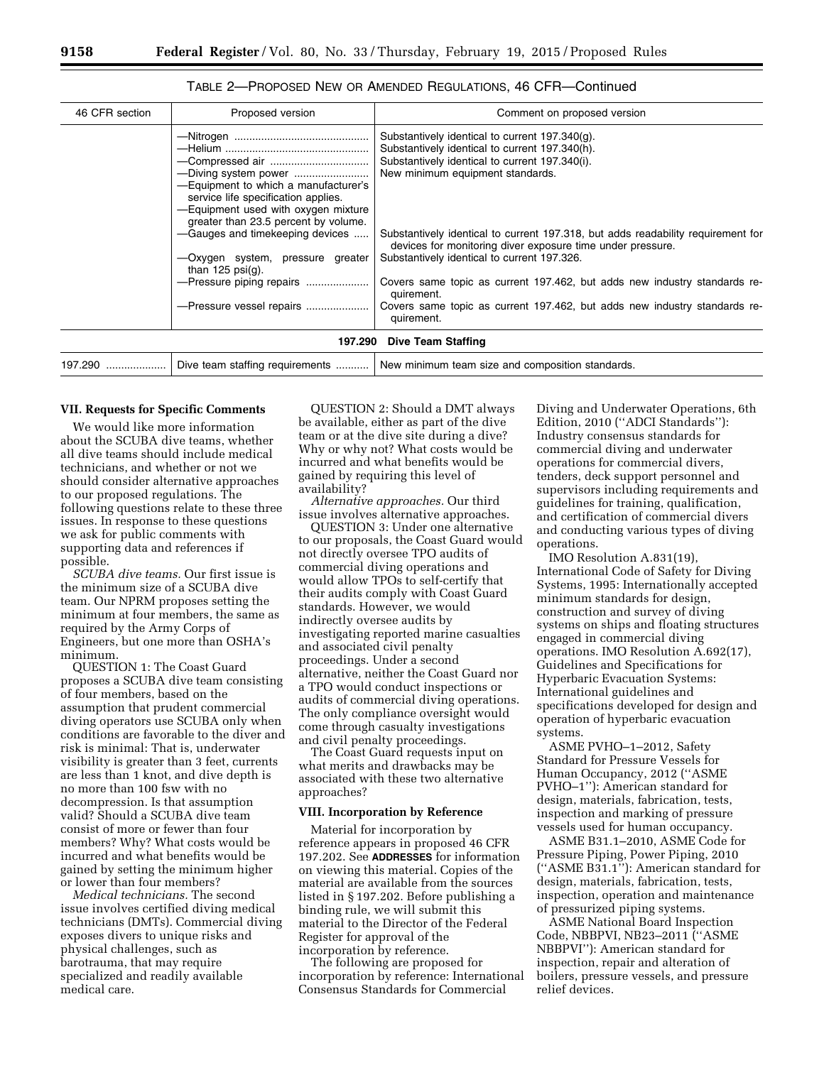| 46 CFR section | Proposed version                                                                                                                                                                              | Comment on proposed version                                                                                                                                                                                                                                                |
|----------------|-----------------------------------------------------------------------------------------------------------------------------------------------------------------------------------------------|----------------------------------------------------------------------------------------------------------------------------------------------------------------------------------------------------------------------------------------------------------------------------|
|                | -Equipment to which a manufacturer's<br>service life specification applies.<br>-Equipment used with oxygen mixture<br>greater than 23.5 percent by volume.<br>-Gauges and timekeeping devices | Substantively identical to current 197.340(g).<br>Substantively identical to current 197.340(h).<br>Substantively identical to current 197.340(i).<br>New minimum equipment standards.<br>Substantively identical to current 197.318, but adds readability requirement for |
|                | -Oxygen system, pressure greater<br>than $125 \text{ psi}(q)$ .                                                                                                                               | devices for monitoring diver exposure time under pressure.<br>Substantively identical to current 197.326.                                                                                                                                                                  |
|                | -Pressure piping repairs                                                                                                                                                                      | Covers same topic as current 197.462, but adds new industry standards re-<br>quirement.                                                                                                                                                                                    |
|                | -Pressure vessel repairs                                                                                                                                                                      | Covers same topic as current 197.462, but adds new industry standards re-<br>quirement.                                                                                                                                                                                    |
|                | 197.290                                                                                                                                                                                       | Dive Team Staffing                                                                                                                                                                                                                                                         |
| 197.290        | Dive team staffing requirements                                                                                                                                                               | New minimum team size and composition standards.                                                                                                                                                                                                                           |
|                |                                                                                                                                                                                               |                                                                                                                                                                                                                                                                            |

TABLE 2—PROPOSED NEW OR AMENDED REGULATIONS, 46 CFR—Continued

#### **VII. Requests for Specific Comments**

We would like more information about the SCUBA dive teams, whether all dive teams should include medical technicians, and whether or not we should consider alternative approaches to our proposed regulations. The following questions relate to these three issues. In response to these questions we ask for public comments with supporting data and references if possible.

*SCUBA dive teams.* Our first issue is the minimum size of a SCUBA dive team. Our NPRM proposes setting the minimum at four members, the same as required by the Army Corps of Engineers, but one more than OSHA's minimum.

QUESTION 1: The Coast Guard proposes a SCUBA dive team consisting of four members, based on the assumption that prudent commercial diving operators use SCUBA only when conditions are favorable to the diver and risk is minimal: That is, underwater visibility is greater than 3 feet, currents are less than 1 knot, and dive depth is no more than 100 fsw with no decompression. Is that assumption valid? Should a SCUBA dive team consist of more or fewer than four members? Why? What costs would be incurred and what benefits would be gained by setting the minimum higher or lower than four members?

*Medical technicians.* The second issue involves certified diving medical technicians (DMTs). Commercial diving exposes divers to unique risks and physical challenges, such as barotrauma, that may require specialized and readily available medical care.

QUESTION 2: Should a DMT always be available, either as part of the dive team or at the dive site during a dive? Why or why not? What costs would be incurred and what benefits would be gained by requiring this level of availability?

*Alternative approaches.* Our third issue involves alternative approaches.

QUESTION 3: Under one alternative to our proposals, the Coast Guard would not directly oversee TPO audits of commercial diving operations and would allow TPOs to self-certify that their audits comply with Coast Guard standards. However, we would indirectly oversee audits by investigating reported marine casualties and associated civil penalty proceedings. Under a second alternative, neither the Coast Guard nor a TPO would conduct inspections or audits of commercial diving operations. The only compliance oversight would come through casualty investigations and civil penalty proceedings.

The Coast Guard requests input on what merits and drawbacks may be associated with these two alternative approaches?

#### **VIII. Incorporation by Reference**

Material for incorporation by reference appears in proposed 46 CFR 197.202. See **ADDRESSES** for information on viewing this material. Copies of the material are available from the sources listed in § 197.202. Before publishing a binding rule, we will submit this material to the Director of the Federal Register for approval of the incorporation by reference.

The following are proposed for incorporation by reference: International Consensus Standards for Commercial

Diving and Underwater Operations, 6th Edition, 2010 (''ADCI Standards''): Industry consensus standards for commercial diving and underwater operations for commercial divers, tenders, deck support personnel and supervisors including requirements and guidelines for training, qualification, and certification of commercial divers and conducting various types of diving operations.

IMO Resolution A.831(19), International Code of Safety for Diving Systems, 1995: Internationally accepted minimum standards for design, construction and survey of diving systems on ships and floating structures engaged in commercial diving operations. IMO Resolution A.692(17), Guidelines and Specifications for Hyperbaric Evacuation Systems: International guidelines and specifications developed for design and operation of hyperbaric evacuation systems.

ASME PVHO–1–2012, Safety Standard for Pressure Vessels for Human Occupancy, 2012 (''ASME PVHO–1''): American standard for design, materials, fabrication, tests, inspection and marking of pressure vessels used for human occupancy.

ASME B31.1–2010, ASME Code for Pressure Piping, Power Piping, 2010 (''ASME B31.1''): American standard for design, materials, fabrication, tests, inspection, operation and maintenance of pressurized piping systems.

ASME National Board Inspection Code, NBBPVI, NB23–2011 (''ASME NBBPVI''): American standard for inspection, repair and alteration of boilers, pressure vessels, and pressure relief devices.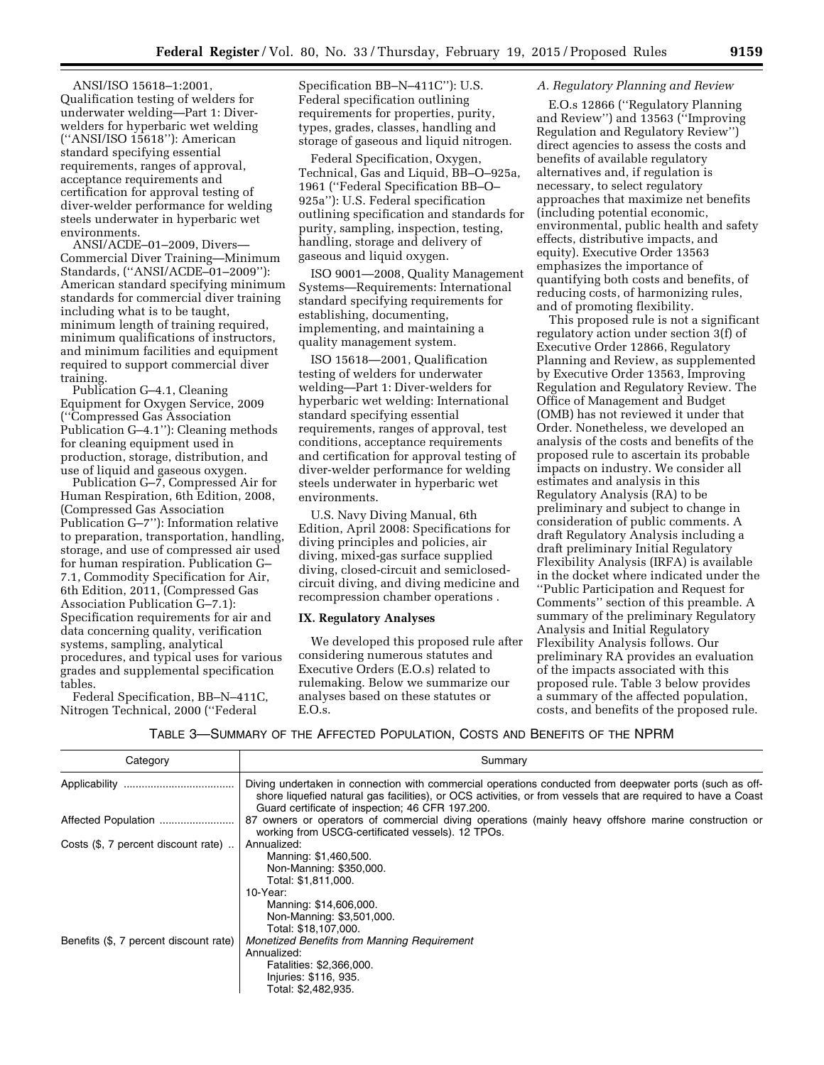ANSI/ISO 15618–1:2001, Qualification testing of welders for underwater welding—Part 1: Diverwelders for hyperbaric wet welding (''ANSI/ISO 15618''): American standard specifying essential requirements, ranges of approval, acceptance requirements and certification for approval testing of diver-welder performance for welding steels underwater in hyperbaric wet environments.

ANSI/ACDE–01–2009, Divers— Commercial Diver Training—Minimum Standards, (''ANSI/ACDE–01–2009''): American standard specifying minimum standards for commercial diver training including what is to be taught, minimum length of training required, minimum qualifications of instructors, and minimum facilities and equipment required to support commercial diver training.

Publication G–4.1, Cleaning Equipment for Oxygen Service, 2009 (''Compressed Gas Association Publication G–4.1''): Cleaning methods for cleaning equipment used in production, storage, distribution, and use of liquid and gaseous oxygen.

Publication G–7, Compressed Air for Human Respiration, 6th Edition, 2008, (Compressed Gas Association Publication G–7''): Information relative to preparation, transportation, handling, storage, and use of compressed air used for human respiration. Publication G– 7.1, Commodity Specification for Air, 6th Edition, 2011, (Compressed Gas Association Publication G–7.1): Specification requirements for air and data concerning quality, verification systems, sampling, analytical procedures, and typical uses for various grades and supplemental specification tables.

Federal Specification, BB–N–411C, Nitrogen Technical, 2000 (''Federal

Specification BB–N–411C''): U.S. Federal specification outlining requirements for properties, purity, types, grades, classes, handling and storage of gaseous and liquid nitrogen.

Federal Specification, Oxygen, Technical, Gas and Liquid, BB–O–925a, 1961 (''Federal Specification BB–O– 925a''): U.S. Federal specification outlining specification and standards for purity, sampling, inspection, testing, handling, storage and delivery of gaseous and liquid oxygen.

ISO 9001—2008, Quality Management Systems—Requirements: International standard specifying requirements for establishing, documenting, implementing, and maintaining a quality management system.

ISO 15618—2001, Qualification testing of welders for underwater welding—Part 1: Diver-welders for hyperbaric wet welding: International standard specifying essential requirements, ranges of approval, test conditions, acceptance requirements and certification for approval testing of diver-welder performance for welding steels underwater in hyperbaric wet environments.

U.S. Navy Diving Manual, 6th Edition, April 2008: Specifications for diving principles and policies, air diving, mixed-gas surface supplied diving, closed-circuit and semiclosedcircuit diving, and diving medicine and recompression chamber operations .

# **IX. Regulatory Analyses**

We developed this proposed rule after considering numerous statutes and Executive Orders (E.O.s) related to rulemaking. Below we summarize our analyses based on these statutes or E.O.s.

## *A. Regulatory Planning and Review*

E.O.s 12866 (''Regulatory Planning and Review'') and 13563 (''Improving Regulation and Regulatory Review'') direct agencies to assess the costs and benefits of available regulatory alternatives and, if regulation is necessary, to select regulatory approaches that maximize net benefits (including potential economic, environmental, public health and safety effects, distributive impacts, and equity). Executive Order 13563 emphasizes the importance of quantifying both costs and benefits, of reducing costs, of harmonizing rules, and of promoting flexibility.

This proposed rule is not a significant regulatory action under section 3(f) of Executive Order 12866, Regulatory Planning and Review, as supplemented by Executive Order 13563, Improving Regulation and Regulatory Review. The Office of Management and Budget (OMB) has not reviewed it under that Order. Nonetheless, we developed an analysis of the costs and benefits of the proposed rule to ascertain its probable impacts on industry. We consider all estimates and analysis in this Regulatory Analysis (RA) to be preliminary and subject to change in consideration of public comments. A draft Regulatory Analysis including a draft preliminary Initial Regulatory Flexibility Analysis (IRFA) is available in the docket where indicated under the ''Public Participation and Request for Comments'' section of this preamble. A summary of the preliminary Regulatory Analysis and Initial Regulatory Flexibility Analysis follows. Our preliminary RA provides an evaluation of the impacts associated with this proposed rule. Table 3 below provides a summary of the affected population, costs, and benefits of the proposed rule.

TABLE 3—SUMMARY OF THE AFFECTED POPULATION, COSTS AND BENEFITS OF THE NPRM

| Category                               | Summary                                                                                                                                                                                                                                                                      |
|----------------------------------------|------------------------------------------------------------------------------------------------------------------------------------------------------------------------------------------------------------------------------------------------------------------------------|
| Applicability<br>                      | Diving undertaken in connection with commercial operations conducted from deepwater ports (such as off-<br>shore liquefied natural gas facilities), or OCS activities, or from vessels that are required to have a Coast<br>Guard certificate of inspection; 46 CFR 197.200. |
| Affected Population                    | 87 owners or operators of commercial diving operations (mainly heavy offshore marine construction or<br>working from USCG-certificated vessels). 12 TPOs.                                                                                                                    |
| Costs (\$, 7 percent discount rate)    | Annualized:<br>Manning: \$1,460,500.<br>Non-Manning: \$350,000.<br>Total: \$1,811,000.<br>10-Year:<br>Manning: \$14,606,000.<br>Non-Manning: \$3,501,000.<br>Total: \$18,107,000.                                                                                            |
| Benefits (\$, 7 percent discount rate) | Monetized Benefits from Manning Requirement<br>Annualized:<br>Fatalities: \$2,366,000.<br>Injuries: \$116, 935.<br>Total: \$2,482,935.                                                                                                                                       |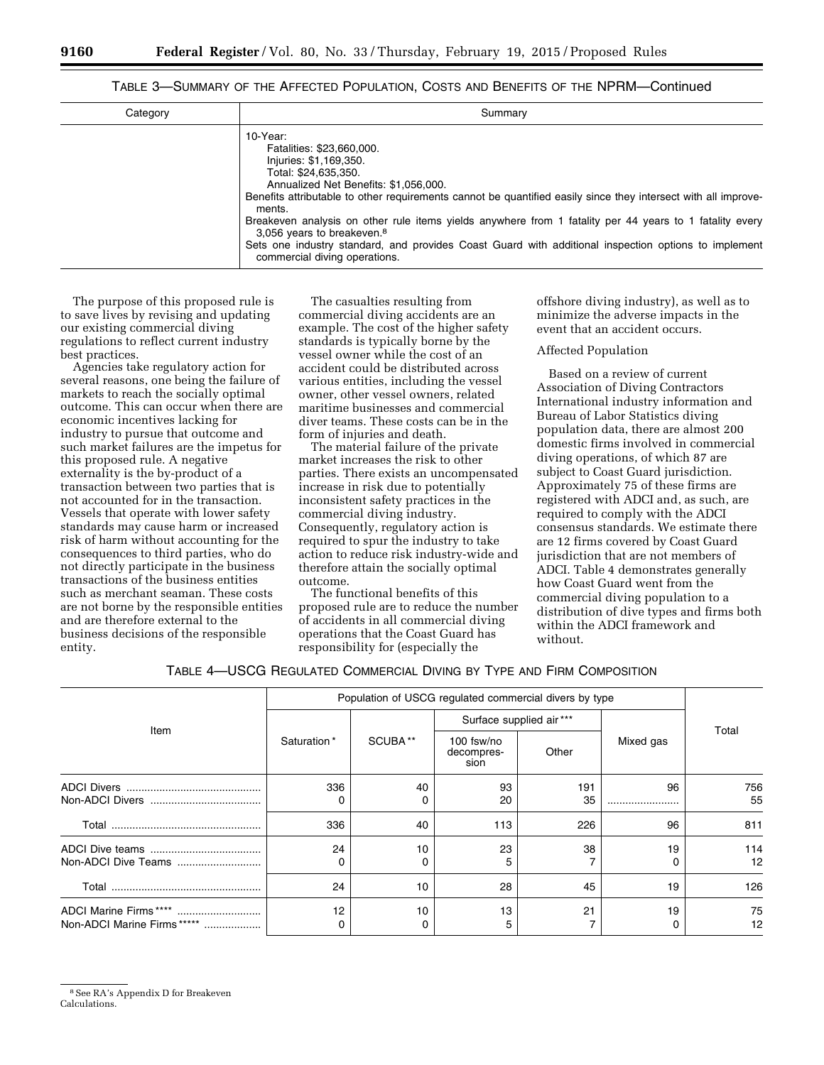# TABLE 3—SUMMARY OF THE AFFECTED POPULATION, COSTS AND BENEFITS OF THE NPRM—Continued

| Category | Summary                                                                                                                                                                                                                                                                                                                                                                 |
|----------|-------------------------------------------------------------------------------------------------------------------------------------------------------------------------------------------------------------------------------------------------------------------------------------------------------------------------------------------------------------------------|
|          | 10-Year:<br>Fatalities: \$23,660,000.<br>Injuries: \$1,169,350.<br>Total: \$24,635,350.<br>Annualized Net Benefits: \$1,056,000.<br>Benefits attributable to other requirements cannot be quantified easily since they intersect with all improve-<br>ments.<br>Breakeven analysis on other rule items yields anywhere from 1 fatality per 44 years to 1 fatality every |
|          | 3,056 years to breakeven. <sup>8</sup><br>Sets one industry standard, and provides Coast Guard with additional inspection options to implement<br>commercial diving operations.                                                                                                                                                                                         |

The purpose of this proposed rule is to save lives by revising and updating our existing commercial diving regulations to reflect current industry best practices.

Agencies take regulatory action for several reasons, one being the failure of markets to reach the socially optimal outcome. This can occur when there are economic incentives lacking for industry to pursue that outcome and such market failures are the impetus for this proposed rule. A negative externality is the by-product of a transaction between two parties that is not accounted for in the transaction. Vessels that operate with lower safety standards may cause harm or increased risk of harm without accounting for the consequences to third parties, who do not directly participate in the business transactions of the business entities such as merchant seaman. These costs are not borne by the responsible entities and are therefore external to the business decisions of the responsible entity.

The casualties resulting from commercial diving accidents are an example. The cost of the higher safety standards is typically borne by the vessel owner while the cost of an accident could be distributed across various entities, including the vessel owner, other vessel owners, related maritime businesses and commercial diver teams. These costs can be in the form of injuries and death.

The material failure of the private market increases the risk to other parties. There exists an uncompensated increase in risk due to potentially inconsistent safety practices in the commercial diving industry. Consequently, regulatory action is required to spur the industry to take action to reduce risk industry-wide and therefore attain the socially optimal outcome.

The functional benefits of this proposed rule are to reduce the number of accidents in all commercial diving operations that the Coast Guard has responsibility for (especially the

offshore diving industry), as well as to minimize the adverse impacts in the event that an accident occurs.

#### Affected Population

Based on a review of current Association of Diving Contractors International industry information and Bureau of Labor Statistics diving population data, there are almost 200 domestic firms involved in commercial diving operations, of which 87 are subject to Coast Guard jurisdiction. Approximately 75 of these firms are registered with ADCI and, as such, are required to comply with the ADCI consensus standards. We estimate there are 12 firms covered by Coast Guard jurisdiction that are not members of ADCI. Table 4 demonstrates generally how Coast Guard went from the commercial diving population to a distribution of dive types and firms both within the ADCI framework and without.

|  |  | TABLE 4-USCG REGULATED COMMERCIAL DIVING BY TYPE AND FIRM COMPOSITION |
|--|--|-----------------------------------------------------------------------|
|--|--|-----------------------------------------------------------------------|

|                                                       |             | Population of USCG regulated commercial divers by type |                                  |       |           |          |  |
|-------------------------------------------------------|-------------|--------------------------------------------------------|----------------------------------|-------|-----------|----------|--|
|                                                       |             |                                                        | Surface supplied air***          |       |           |          |  |
| Item                                                  | Saturation* | SCUBA**                                                | 100 fsw/no<br>decompres-<br>sion | Other | Mixed gas | Total    |  |
|                                                       | 336         | 40                                                     | 93                               | 191   | 96        | 756      |  |
|                                                       |             | 0                                                      | 20                               | 35    |           | 55       |  |
|                                                       | 336         | 40                                                     | 113                              | 226   | 96        | 811      |  |
|                                                       | 24          | 10                                                     | 23                               | 38    | 19        | 114      |  |
|                                                       | O           | 0                                                      | 5                                |       |           | 12       |  |
|                                                       | 24          | 10                                                     | 28                               | 45    | 19        | 126      |  |
| ADCI Marine Firms ****<br>Non-ADCI Marine Firms ***** | 12<br>0     | 10<br>0                                                | 13<br>5                          | 21    | 19        | 75<br>12 |  |

8See RA's Appendix D for Breakeven Calculations.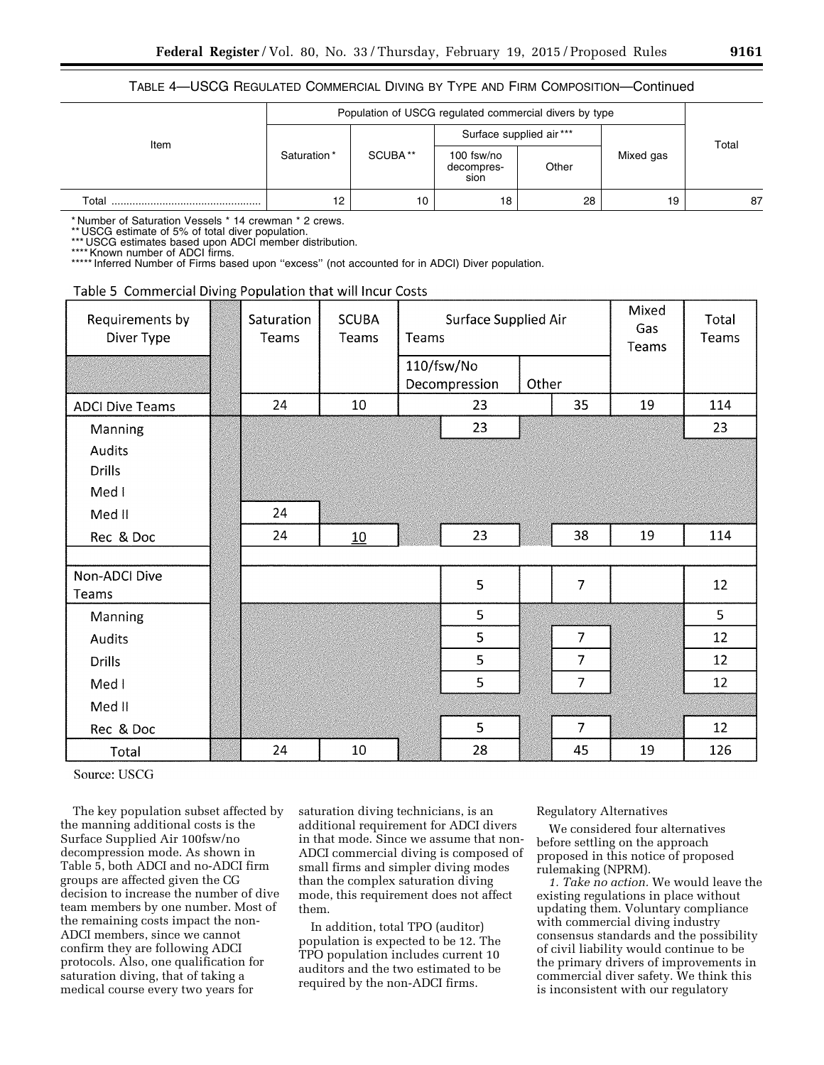# TABLE 4—USCG REGULATED COMMERCIAL DIVING BY TYPE AND FIRM COMPOSITION—Continued

|       |             | Population of USCG regulated commercial divers by type |                                  |                         |           |    |
|-------|-------------|--------------------------------------------------------|----------------------------------|-------------------------|-----------|----|
|       |             |                                                        |                                  | Surface supplied air*** | Total     |    |
| Item  | Saturation* | SCUBA**                                                | 100 fsw/no<br>decompres-<br>sion | Other                   | Mixed gas |    |
| Total | 12          | 10                                                     | 18                               | 28                      | 19        | 87 |

\* Number of Saturation Vessels \* 14 crewman \* 2 crews.

\*\* USCG estimate of 5% of total diver population.

\*\*\* USCG estimates based upon ADCI member distribution.

\*Known number of ADCI firms.

\*\*\*\*\* Inferred Number of Firms based upon "excess" (not accounted for in ADCI) Diver population.

# Table 5 Commercial Diving Population that will Incur Costs

| Requirements by<br>Diver Type | Saturation<br>Teams | <b>SCUBA</b><br>Teams | Surface Supplied Air<br>Teams |               |       | Mixed<br>Gas<br>Teams | Total<br>Teams |     |
|-------------------------------|---------------------|-----------------------|-------------------------------|---------------|-------|-----------------------|----------------|-----|
|                               |                     |                       |                               | 110/fsw/No    |       |                       |                |     |
|                               |                     |                       |                               | Decompression | Other |                       |                |     |
| <b>ADCI Dive Teams</b>        | 24                  | 10                    |                               | 23            |       | 35                    | 19             | 114 |
| <b>Manning</b>                |                     |                       |                               | 23            |       |                       |                | 23  |
| <b>Audits</b>                 |                     |                       |                               |               |       |                       |                |     |
| <b>Drills</b>                 |                     |                       |                               |               |       |                       |                |     |
| Med I                         |                     |                       |                               |               |       |                       |                |     |
| Med II                        | 24                  |                       |                               |               |       |                       |                |     |
| Rec & Doc                     | 24                  | 10                    |                               | 23            |       | 38                    | 19             | 114 |
|                               |                     |                       |                               |               |       |                       |                |     |
| Non-ADCI Dive                 |                     |                       |                               | 5             |       | $\overline{7}$        |                | 12  |
| Teams                         |                     |                       |                               |               |       |                       |                |     |
| Manning                       |                     |                       |                               | 5             |       |                       |                | 5   |
| <b>Audits</b>                 |                     |                       |                               | 5             |       | $\overline{7}$        |                | 12  |
| Drills                        |                     |                       |                               | 5             |       | $\overline{7}$        |                | 12  |
| Med I                         |                     |                       |                               | 5             |       | $\overline{7}$        |                | 12  |
| Med II                        |                     |                       |                               |               |       |                       |                |     |
| Rec & Doc                     |                     |                       |                               | 5             |       | $\overline{7}$        |                | 12  |
| Total                         | 24                  | $10\,$                |                               | 28            |       | 45                    | 19             | 126 |

Source: USCG

The key population subset affected by the manning additional costs is the Surface Supplied Air 100fsw/no decompression mode. As shown in Table 5, both ADCI and no-ADCI firm groups are affected given the CG decision to increase the number of dive team members by one number. Most of the remaining costs impact the non-ADCI members, since we cannot confirm they are following ADCI protocols. Also, one qualification for saturation diving, that of taking a medical course every two years for

saturation diving technicians, is an additional requirement for ADCI divers in that mode. Since we assume that non-ADCI commercial diving is composed of small firms and simpler diving modes than the complex saturation diving mode, this requirement does not affect them.

In addition, total TPO (auditor) population is expected to be 12. The TPO population includes current 10 auditors and the two estimated to be required by the non-ADCI firms.

# Regulatory Alternatives

We considered four alternatives before settling on the approach proposed in this notice of proposed rulemaking (NPRM).

*1. Take no action.* We would leave the existing regulations in place without updating them. Voluntary compliance with commercial diving industry consensus standards and the possibility of civil liability would continue to be the primary drivers of improvements in commercial diver safety. We think this is inconsistent with our regulatory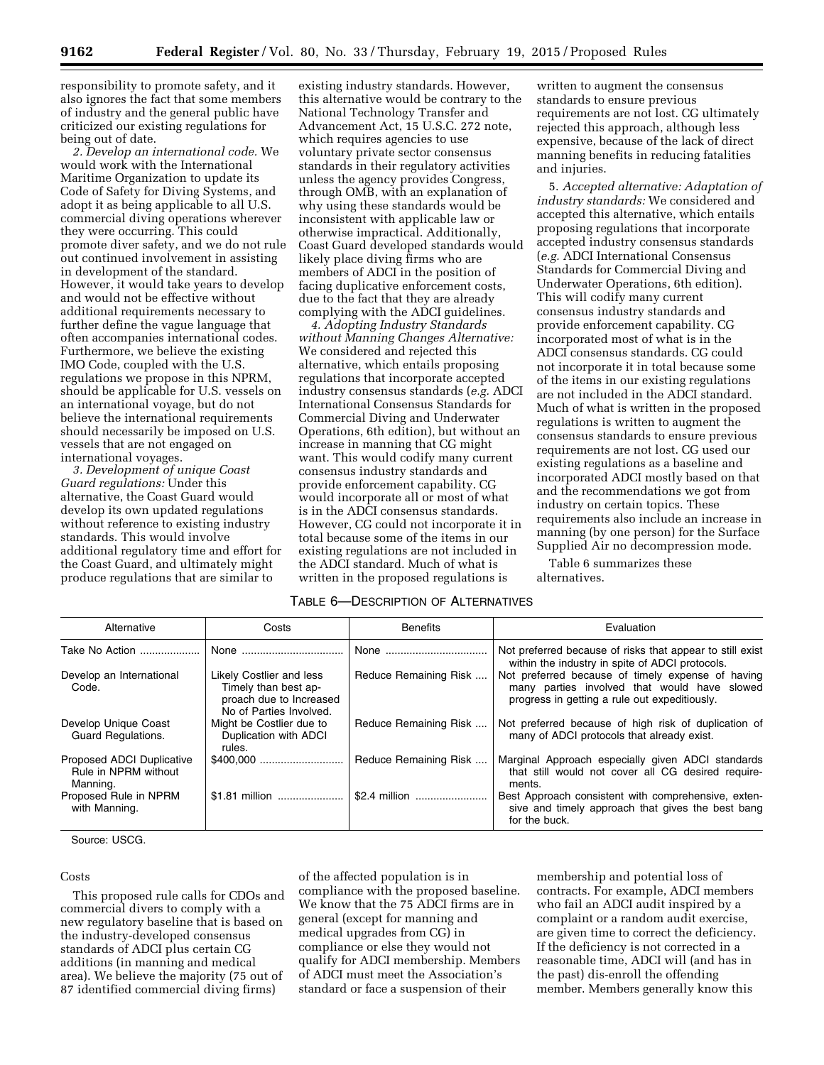responsibility to promote safety, and it also ignores the fact that some members of industry and the general public have criticized our existing regulations for being out of date.

*2. Develop an international code.* We would work with the International Maritime Organization to update its Code of Safety for Diving Systems, and adopt it as being applicable to all U.S. commercial diving operations wherever they were occurring. This could promote diver safety, and we do not rule out continued involvement in assisting in development of the standard. However, it would take years to develop and would not be effective without additional requirements necessary to further define the vague language that often accompanies international codes. Furthermore, we believe the existing IMO Code, coupled with the U.S. regulations we propose in this NPRM, should be applicable for U.S. vessels on an international voyage, but do not believe the international requirements should necessarily be imposed on U.S. vessels that are not engaged on international voyages.

*3. Development of unique Coast Guard regulations:* Under this alternative, the Coast Guard would develop its own updated regulations without reference to existing industry standards. This would involve additional regulatory time and effort for the Coast Guard, and ultimately might produce regulations that are similar to

existing industry standards. However, this alternative would be contrary to the National Technology Transfer and Advancement Act, 15 U.S.C. 272 note, which requires agencies to use voluntary private sector consensus standards in their regulatory activities unless the agency provides Congress, through OMB, with an explanation of why using these standards would be inconsistent with applicable law or otherwise impractical. Additionally, Coast Guard developed standards would likely place diving firms who are members of ADCI in the position of facing duplicative enforcement costs, due to the fact that they are already complying with the ADCI guidelines.

*4. Adopting Industry Standards without Manning Changes Alternative:*  We considered and rejected this alternative, which entails proposing regulations that incorporate accepted industry consensus standards (*e.g.* ADCI International Consensus Standards for Commercial Diving and Underwater Operations, 6th edition), but without an increase in manning that CG might want. This would codify many current consensus industry standards and provide enforcement capability. CG would incorporate all or most of what is in the ADCI consensus standards. However, CG could not incorporate it in total because some of the items in our existing regulations are not included in the ADCI standard. Much of what is written in the proposed regulations is

written to augment the consensus standards to ensure previous requirements are not lost. CG ultimately rejected this approach, although less expensive, because of the lack of direct manning benefits in reducing fatalities and injuries.

5. *Accepted alternative: Adaptation of industry standards:* We considered and accepted this alternative, which entails proposing regulations that incorporate accepted industry consensus standards (*e.g.* ADCI International Consensus Standards for Commercial Diving and Underwater Operations, 6th edition). This will codify many current consensus industry standards and provide enforcement capability. CG incorporated most of what is in the ADCI consensus standards. CG could not incorporate it in total because some of the items in our existing regulations are not included in the ADCI standard. Much of what is written in the proposed regulations is written to augment the consensus standards to ensure previous requirements are not lost. CG used our existing regulations as a baseline and incorporated ADCI mostly based on that and the recommendations we got from industry on certain topics. These requirements also include an increase in manning (by one person) for the Surface Supplied Air no decompression mode.

Table 6 summarizes these alternatives.

# TABLE 6—DESCRIPTION OF ALTERNATIVES

| Alternative                                                   | Costs                                                                                                  | <b>Benefits</b>       | Evaluation                                                                                                                                         |
|---------------------------------------------------------------|--------------------------------------------------------------------------------------------------------|-----------------------|----------------------------------------------------------------------------------------------------------------------------------------------------|
| Take No Action                                                | None                                                                                                   | None                  | Not preferred because of risks that appear to still exist<br>within the industry in spite of ADCI protocols.                                       |
| Develop an International<br>Code.                             | Likely Costlier and less<br>Timely than best ap-<br>proach due to Increased<br>No of Parties Involved. | Reduce Remaining Risk | Not preferred because of timely expense of having<br>many parties involved that would have slowed<br>progress in getting a rule out expeditiously. |
| Develop Unique Coast<br><b>Guard Regulations.</b>             | Might be Costlier due to<br>Duplication with ADCI<br>rules.                                            | Reduce Remaining Risk | Not preferred because of high risk of duplication of<br>many of ADCI protocols that already exist.                                                 |
| Proposed ADCI Duplicative<br>Rule in NPRM without<br>Manning. |                                                                                                        | Reduce Remaining Risk | Marginal Approach especially given ADCI standards<br>that still would not cover all CG desired require-<br>ments.                                  |
| Proposed Rule in NPRM<br>with Manning.                        | \$1.81 million                                                                                         |                       | Best Approach consistent with comprehensive, exten-<br>sive and timely approach that gives the best bang<br>for the buck.                          |

Source: USCG.

#### Costs

This proposed rule calls for CDOs and commercial divers to comply with a new regulatory baseline that is based on the industry-developed consensus standards of ADCI plus certain CG additions (in manning and medical area). We believe the majority (75 out of 87 identified commercial diving firms)

of the affected population is in compliance with the proposed baseline. We know that the 75 ADCI firms are in general (except for manning and medical upgrades from CG) in compliance or else they would not qualify for ADCI membership. Members of ADCI must meet the Association's standard or face a suspension of their

membership and potential loss of contracts. For example, ADCI members who fail an ADCI audit inspired by a complaint or a random audit exercise, are given time to correct the deficiency. If the deficiency is not corrected in a reasonable time, ADCI will (and has in the past) dis-enroll the offending member. Members generally know this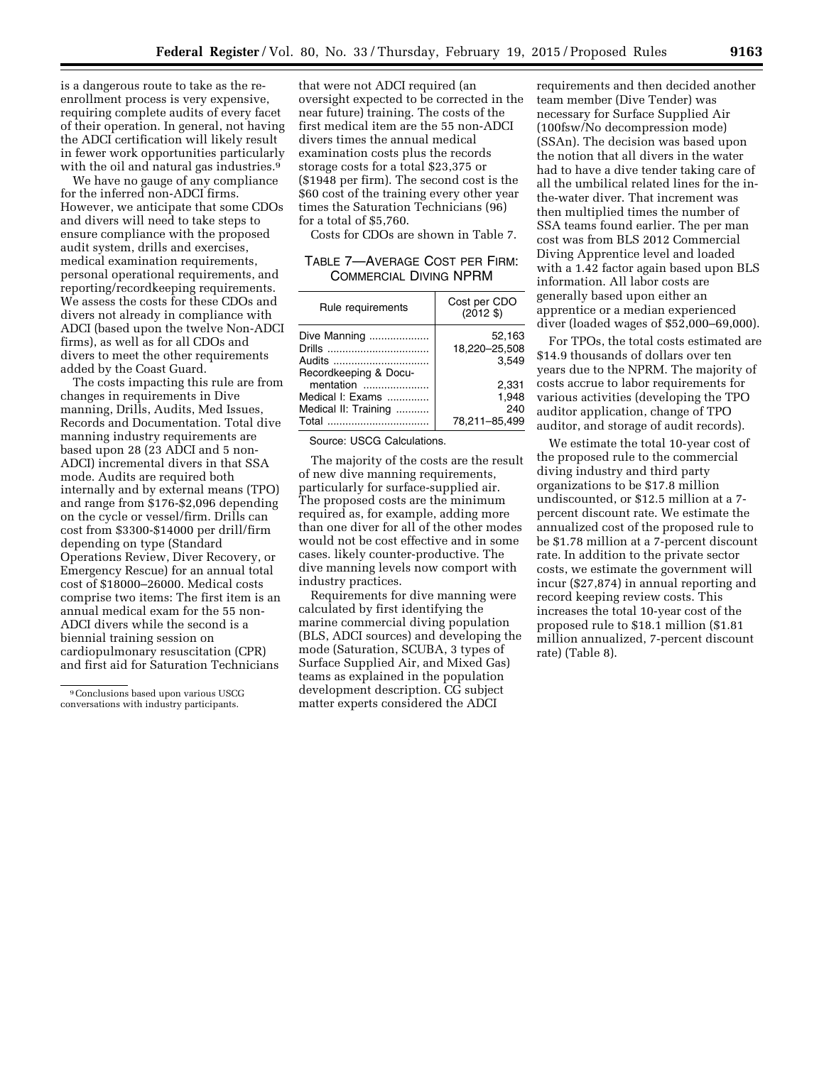is a dangerous route to take as the reenrollment process is very expensive, requiring complete audits of every facet of their operation. In general, not having the ADCI certification will likely result in fewer work opportunities particularly with the oil and natural gas industries.<sup>9</sup>

We have no gauge of any compliance for the inferred non-ADCI firms. However, we anticipate that some CDOs and divers will need to take steps to ensure compliance with the proposed audit system, drills and exercises, medical examination requirements, personal operational requirements, and reporting/recordkeeping requirements. We assess the costs for these CDOs and divers not already in compliance with ADCI (based upon the twelve Non-ADCI firms), as well as for all CDOs and divers to meet the other requirements added by the Coast Guard.

The costs impacting this rule are from changes in requirements in Dive manning, Drills, Audits, Med Issues, Records and Documentation. Total dive manning industry requirements are based upon 28 (23 ADCI and 5 non-ADCI) incremental divers in that SSA mode. Audits are required both internally and by external means (TPO) and range from \$176-\$2,096 depending on the cycle or vessel/firm. Drills can cost from \$3300-\$14000 per drill/firm depending on type (Standard Operations Review, Diver Recovery, or Emergency Rescue) for an annual total cost of \$18000–26000. Medical costs comprise two items: The first item is an annual medical exam for the 55 non-ADCI divers while the second is a biennial training session on cardiopulmonary resuscitation (CPR) and first aid for Saturation Technicians

that were not ADCI required (an oversight expected to be corrected in the near future) training. The costs of the first medical item are the 55 non-ADCI divers times the annual medical examination costs plus the records storage costs for a total \$23,375 or (\$1948 per firm). The second cost is the \$60 cost of the training every other year times the Saturation Technicians (96) for a total of \$5,760.

Costs for CDOs are shown in Table 7.

TABLE 7—AVERAGE COST PER FIRM: COMMERCIAL DIVING NPRM

| Rule requirements                                              | Cost per CDO<br>(2012 \$)              |
|----------------------------------------------------------------|----------------------------------------|
| Dive Manning<br>Audits<br>Recordkeeping & Docu-                | 52,163<br>18,220-25,508<br>3.549       |
| mentation<br>Medical I: Exams<br>Medical II: Training<br>Total | 2,331<br>1.948<br>240<br>78.211-85.499 |

Source: USCG Calculations.

The majority of the costs are the result of new dive manning requirements, particularly for surface-supplied air. The proposed costs are the minimum required as, for example, adding more than one diver for all of the other modes would not be cost effective and in some cases. likely counter-productive. The dive manning levels now comport with industry practices.

Requirements for dive manning were calculated by first identifying the marine commercial diving population (BLS, ADCI sources) and developing the mode (Saturation, SCUBA, 3 types of Surface Supplied Air, and Mixed Gas) teams as explained in the population development description. CG subject matter experts considered the ADCI

requirements and then decided another team member (Dive Tender) was necessary for Surface Supplied Air (100fsw/No decompression mode) (SSAn). The decision was based upon the notion that all divers in the water had to have a dive tender taking care of all the umbilical related lines for the inthe-water diver. That increment was then multiplied times the number of SSA teams found earlier. The per man cost was from BLS 2012 Commercial Diving Apprentice level and loaded with a 1.42 factor again based upon BLS information. All labor costs are generally based upon either an apprentice or a median experienced diver (loaded wages of \$52,000–69,000).

For TPOs, the total costs estimated are \$14.9 thousands of dollars over ten years due to the NPRM. The majority of costs accrue to labor requirements for various activities (developing the TPO auditor application, change of TPO auditor, and storage of audit records).

We estimate the total 10-year cost of the proposed rule to the commercial diving industry and third party organizations to be \$17.8 million undiscounted, or \$12.5 million at a 7 percent discount rate. We estimate the annualized cost of the proposed rule to be \$1.78 million at a 7-percent discount rate. In addition to the private sector costs, we estimate the government will incur (\$27,874) in annual reporting and record keeping review costs. This increases the total 10-year cost of the proposed rule to \$18.1 million (\$1.81 million annualized, 7-percent discount rate) (Table 8).

<sup>9</sup>Conclusions based upon various USCG conversations with industry participants.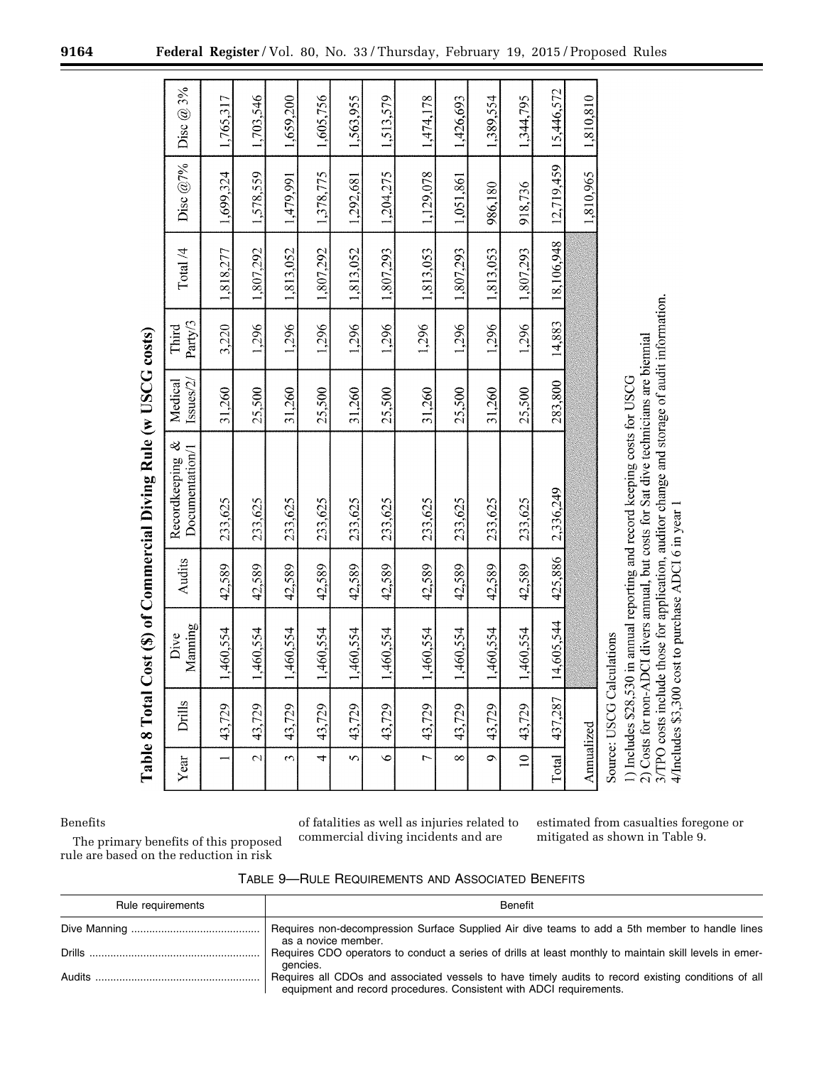| Year                     | Drills                                                        | Manning<br>Dive                                                 | Audits  | Recordkeeping &<br>Documentation/1                                                                                                                                                                                            | Issues/2/<br>Medical | Party/3<br>Third | Total /4   | Disc $@7\%$ | Disc $@3\%$ |
|--------------------------|---------------------------------------------------------------|-----------------------------------------------------------------|---------|-------------------------------------------------------------------------------------------------------------------------------------------------------------------------------------------------------------------------------|----------------------|------------------|------------|-------------|-------------|
|                          | 43,729                                                        | 1,460,554                                                       | 42,589  | 233,625                                                                                                                                                                                                                       | 31,260               | 3,220            | 1,818,277  | 1,699,324   | 1,765,317   |
| $\overline{\mathcal{L}}$ | 43,729                                                        | 1,460,554                                                       | 42,589  | 233,625                                                                                                                                                                                                                       | 25,500               | 1,296            | 1,807,292  | 1,578,559   | 1,703,546   |
| $\tilde{\phantom{a}}$    | 43,729                                                        | 1,460,554                                                       | 42,589  | 233,625                                                                                                                                                                                                                       | 31,260               | 1,296            | 1,813,052  | 1,479,991   | 1,659,200   |
| 4                        | 43,729                                                        | 1,460,554                                                       | 42,589  | 233,625                                                                                                                                                                                                                       | 25,500               | 1,296            | 1,807,292  | 1,378,775   | 1,605,756   |
| $\mathbf{\hat{z}}$       | 43,729                                                        | 1,460,554                                                       | 42,589  | 233,625                                                                                                                                                                                                                       | 31,260               | 1,296            | 1,813,052  | 1,292,681   | 1,563,955   |
| $\ddot{\bullet}$         | 43,729                                                        | 1,460,554                                                       | 42,589  | 233,625                                                                                                                                                                                                                       | 25,500               | 1,296            | 1,807,293  | 1,204,275   | 1,513,579   |
| $\overline{a}$           | 43,729                                                        | 1,460,554                                                       | 42,589  | 233,625                                                                                                                                                                                                                       | 31,260               | 1,296            | 1,813,053  | 1,129,078   | 1,474,178   |
| $\infty$                 | 43,729                                                        | 1,460,554                                                       | 42,589  | 233,625                                                                                                                                                                                                                       | 25,500               | 1,296            | 1,807,293  | 1,051,861   | 1,426,693   |
| $\sigma$                 | 43,729                                                        | 1,460,554                                                       | 42,589  | 233,625                                                                                                                                                                                                                       | 31,260               | 1,296            | 1,813,053  | 986,180     | 1,389,554   |
| $\approx$                | 43,729                                                        | 1,460,554                                                       | 42,589  | 233,625                                                                                                                                                                                                                       | 25,500               | 1,296            | 1,807,293  | 918,736     | 1,344,795   |
| Total                    | 437,287                                                       | 14,605,544                                                      | 425,886 | 2,336,249                                                                                                                                                                                                                     | 283,800              | 14,883           | 18,106,948 | 12,719,459  | 15,446,572  |
| Annualized               |                                                               |                                                                 |         |                                                                                                                                                                                                                               |                      |                  |            | 1,810,965   | 1,810,810   |
|                          | 3/TPO costs includ<br>Source: USCG Cal<br>1) Includes \$28,53 | 4/Includes \$3,300 cost to purchase ADCI 6 in year<br>culations |         | le those for application, auditor change and storage of audit information.<br>2) Costs for non-ADCI divers annual, but costs for Sat dive technicians are biennial<br>0 in annual reporting and record keeping costs for USCG |                      |                  |            |             |             |

# Table 8 Total Cost (\$) of Commercial Diving Rule (w USCG costs)

Benefits

of fatalities as well as injuries related to commercial diving incidents and are

estimated from casualties foregone or mitigated as shown in Table 9.

The primary benefits of this proposed rule are based on the reduction in risk

| TABLE 9—RULE REQUIREMENTS AND ASSOCIATED BENEFITS |  |
|---------------------------------------------------|--|
|                                                   |  |

| Rule requirements | Benefit                                                                                                                                                                    |
|-------------------|----------------------------------------------------------------------------------------------------------------------------------------------------------------------------|
|                   | Requires non-decompression Surface Supplied Air dive teams to add a 5th member to handle lines<br>as a novice member.                                                      |
|                   | Requires CDO operators to conduct a series of drills at least monthly to maintain skill levels in emer-<br>gencies.                                                        |
| Audits            | Requires all CDOs and associated vessels to have timely audits to record existing conditions of all<br>equipment and record procedures. Consistent with ADCI requirements. |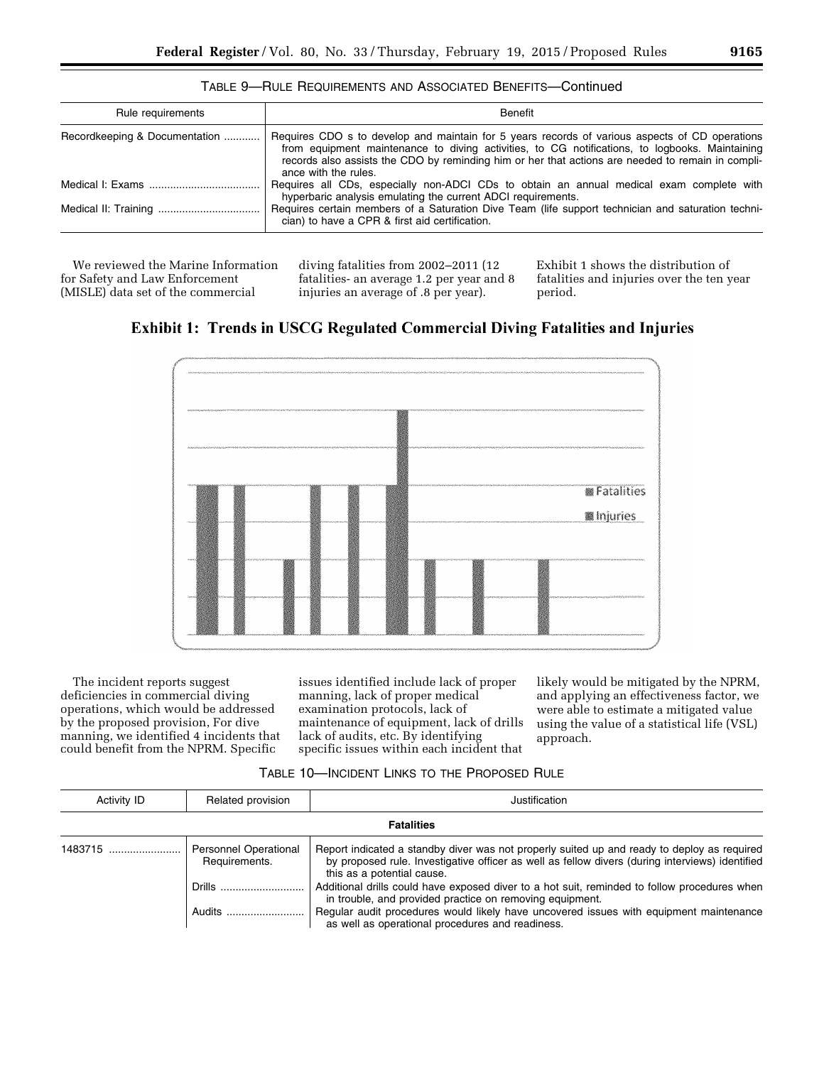| TABLE 9—RULE REQUIREMENTS AND ASSOCIATED BENEFITS—Continued |
|-------------------------------------------------------------|
|-------------------------------------------------------------|

| Rule requirements             | <b>Benefit</b>                                                                                                                                                                                                                                                                                                                |
|-------------------------------|-------------------------------------------------------------------------------------------------------------------------------------------------------------------------------------------------------------------------------------------------------------------------------------------------------------------------------|
| Recordkeeping & Documentation | Requires CDO s to develop and maintain for 5 years records of various aspects of CD operations<br>from equipment maintenance to diving activities, to CG notifications, to logbooks. Maintaining<br>records also assists the CDO by reminding him or her that actions are needed to remain in compli-<br>ance with the rules. |
|                               | Requires all CDs, especially non-ADCI CDs to obtain an annual medical exam complete with<br>hyperbaric analysis emulating the current ADCI requirements.                                                                                                                                                                      |
|                               | Requires certain members of a Saturation Dive Team (life support technician and saturation techni-<br>cian) to have a CPR & first aid certification.                                                                                                                                                                          |

We reviewed the Marine Information for Safety and Law Enforcement (MISLE) data set of the commercial

diving fatalities from 2002–2011 (12 fatalities- an average 1.2 per year and 8 injuries an average of .8 per year).

Exhibit 1 shows the distribution of fatalities and injuries over the ten year period.





The incident reports suggest deficiencies in commercial diving operations, which would be addressed by the proposed provision, For dive manning, we identified 4 incidents that could benefit from the NPRM. Specific

issues identified include lack of proper manning, lack of proper medical examination protocols, lack of maintenance of equipment, lack of drills lack of audits, etc. By identifying specific issues within each incident that

likely would be mitigated by the NPRM, and applying an effectiveness factor, we were able to estimate a mitigated value using the value of a statistical life (VSL) approach.

| TABLE 10-INCIDENT LINKS TO THE PROPOSED RULE |  |  |
|----------------------------------------------|--|--|
|                                              |  |  |

| Activity ID | Related provision                             | Justification                                                                                                                                                                                                                |
|-------------|-----------------------------------------------|------------------------------------------------------------------------------------------------------------------------------------------------------------------------------------------------------------------------------|
|             |                                               | <b>Fatalities</b>                                                                                                                                                                                                            |
| 1483715     | <b>Personnel Operational</b><br>Requirements. | Report indicated a standby diver was not properly suited up and ready to deploy as required<br>by proposed rule. Investigative officer as well as fellow divers (during interviews) identified<br>this as a potential cause. |
|             | Drills                                        | Additional drills could have exposed diver to a hot suit, reminded to follow procedures when<br>in trouble, and provided practice on removing equipment.                                                                     |
|             | Audits                                        | Regular audit procedures would likely have uncovered issues with equipment maintenance<br>as well as operational procedures and readiness.                                                                                   |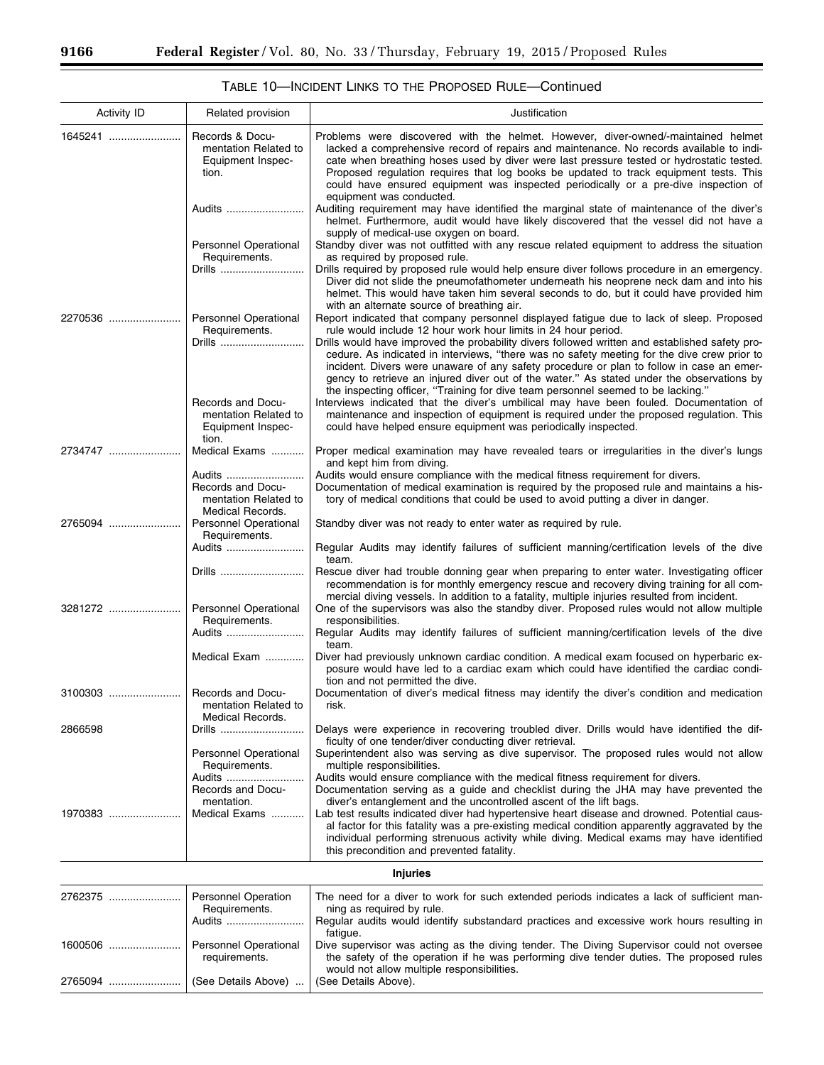| <b>Activity ID</b> | Related provision                                                       | Justification                                                                                                                                                                                                                                                                                                                                                                                                                                                                        |
|--------------------|-------------------------------------------------------------------------|--------------------------------------------------------------------------------------------------------------------------------------------------------------------------------------------------------------------------------------------------------------------------------------------------------------------------------------------------------------------------------------------------------------------------------------------------------------------------------------|
| 1645241            | Records & Docu-<br>mentation Related to<br>Equipment Inspec-<br>tion.   | Problems were discovered with the helmet. However, diver-owned/-maintained helmet<br>lacked a comprehensive record of repairs and maintenance. No records available to indi-<br>cate when breathing hoses used by diver were last pressure tested or hydrostatic tested.<br>Proposed regulation requires that log books be updated to track equipment tests. This<br>could have ensured equipment was inspected periodically or a pre-dive inspection of<br>equipment was conducted. |
|                    | Audits                                                                  | Auditing requirement may have identified the marginal state of maintenance of the diver's<br>helmet. Furthermore, audit would have likely discovered that the vessel did not have a<br>supply of medical-use oxygen on board.                                                                                                                                                                                                                                                        |
|                    | Personnel Operational<br>Requirements.<br>Drills                        | Standby diver was not outfitted with any rescue related equipment to address the situation<br>as required by proposed rule.<br>Drills required by proposed rule would help ensure diver follows procedure in an emergency.                                                                                                                                                                                                                                                           |
|                    |                                                                         | Diver did not slide the pneumofathometer underneath his neoprene neck dam and into his<br>helmet. This would have taken him several seconds to do, but it could have provided him<br>with an alternate source of breathing air.                                                                                                                                                                                                                                                      |
| 2270536            | <b>Personnel Operational</b><br>Requirements.<br>Drills                 | Report indicated that company personnel displayed fatigue due to lack of sleep. Proposed<br>rule would include 12 hour work hour limits in 24 hour period.<br>Drills would have improved the probability divers followed written and established safety pro-                                                                                                                                                                                                                         |
|                    |                                                                         | cedure. As indicated in interviews, "there was no safety meeting for the dive crew prior to<br>incident. Divers were unaware of any safety procedure or plan to follow in case an emer-<br>gency to retrieve an injured diver out of the water." As stated under the observations by<br>the inspecting officer, "Training for dive team personnel seemed to be lacking."                                                                                                             |
|                    | Records and Docu-<br>mentation Related to<br>Equipment Inspec-<br>tion. | Interviews indicated that the diver's umbilical may have been fouled. Documentation of<br>maintenance and inspection of equipment is required under the proposed regulation. This<br>could have helped ensure equipment was periodically inspected.                                                                                                                                                                                                                                  |
| 2734747            | Medical Exams                                                           | Proper medical examination may have revealed tears or irregularities in the diver's lungs<br>and kept him from diving.                                                                                                                                                                                                                                                                                                                                                               |
|                    | Audits<br>Records and Docu-<br>mentation Related to<br>Medical Records. | Audits would ensure compliance with the medical fitness requirement for divers.<br>Documentation of medical examination is required by the proposed rule and maintains a his-<br>tory of medical conditions that could be used to avoid putting a diver in danger.                                                                                                                                                                                                                   |
| 2765094            | <b>Personnel Operational</b><br>Requirements.                           | Standby diver was not ready to enter water as required by rule.                                                                                                                                                                                                                                                                                                                                                                                                                      |
|                    | Audits                                                                  | Regular Audits may identify failures of sufficient manning/certification levels of the dive<br>team.                                                                                                                                                                                                                                                                                                                                                                                 |
|                    | Drills                                                                  | Rescue diver had trouble donning gear when preparing to enter water. Investigating officer<br>recommendation is for monthly emergency rescue and recovery diving training for all com-<br>mercial diving vessels. In addition to a fatality, multiple injuries resulted from incident.                                                                                                                                                                                               |
| 3281272            | <b>Personnel Operational</b><br>Requirements.<br>Audits                 | One of the supervisors was also the standby diver. Proposed rules would not allow multiple<br>responsibilities.<br>Regular Audits may identify failures of sufficient manning/certification levels of the dive                                                                                                                                                                                                                                                                       |
|                    | Medical Exam                                                            | team.<br>Diver had previously unknown cardiac condition. A medical exam focused on hyperbaric ex-<br>posure would have led to a cardiac exam which could have identified the cardiac condi-<br>tion and not permitted the dive.                                                                                                                                                                                                                                                      |
| 3100303            | Records and Docu-<br>mentation Related to<br>Medical Records.           | Documentation of diver's medical fitness may identify the diver's condition and medication<br>rısk.                                                                                                                                                                                                                                                                                                                                                                                  |
| 2866598            | Drills                                                                  | Delays were experience in recovering troubled diver. Drills would have identified the dif-<br>ficulty of one tender/diver conducting diver retrieval.                                                                                                                                                                                                                                                                                                                                |
|                    | <b>Personnel Operational</b><br>Requirements.<br>Audits                 | Superintendent also was serving as dive supervisor. The proposed rules would not allow<br>multiple responsibilities.<br>Audits would ensure compliance with the medical fitness requirement for divers.                                                                                                                                                                                                                                                                              |
|                    | Records and Docu-<br>mentation.                                         | Documentation serving as a guide and checklist during the JHA may have prevented the<br>diver's entanglement and the uncontrolled ascent of the lift bags.                                                                                                                                                                                                                                                                                                                           |
| 1970383            | Medical Exams                                                           | Lab test results indicated diver had hypertensive heart disease and drowned. Potential caus-<br>al factor for this fatality was a pre-existing medical condition apparently aggravated by the<br>individual performing strenuous activity while diving. Medical exams may have identified<br>this precondition and prevented fatality.                                                                                                                                               |
|                    |                                                                         | <b>Injuries</b>                                                                                                                                                                                                                                                                                                                                                                                                                                                                      |
| 2762375            | Personnel Operation<br>Requirements.                                    | The need for a diver to work for such extended periods indicates a lack of sufficient man-<br>ning as required by rule.                                                                                                                                                                                                                                                                                                                                                              |
|                    | Audits                                                                  | Regular audits would identify substandard practices and excessive work hours resulting in                                                                                                                                                                                                                                                                                                                                                                                            |

fatigue.

would not allow multiple responsibilities.<br>(See Details Above).

Dive supervisor was acting as the diving tender. The Diving Supervisor could not oversee the safety of the operation if he was performing dive tender duties. The proposed rules

1600506 ........................ Personnel Operational

2765094 ........................ (See Details Above) ... (See Details Above).

requirements.

# TABLE 10—INCIDENT LINKS TO THE PROPOSED RULE—Continued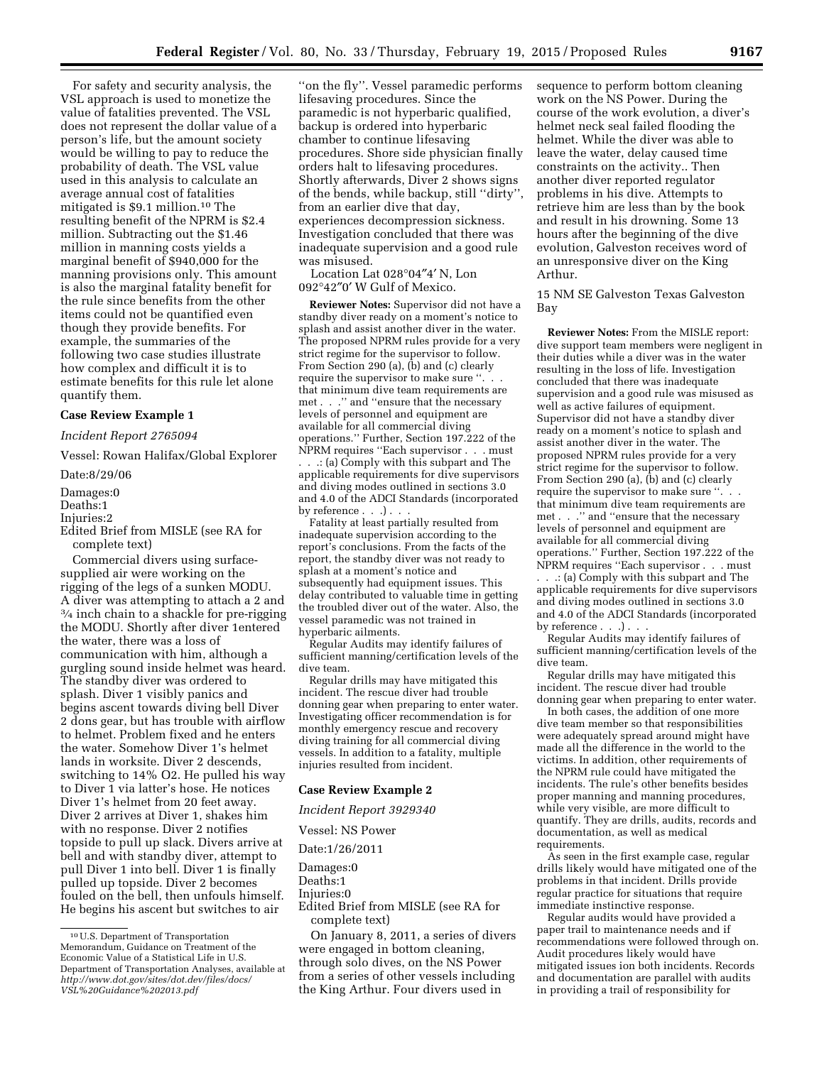For safety and security analysis, the VSL approach is used to monetize the value of fatalities prevented. The VSL does not represent the dollar value of a person's life, but the amount society would be willing to pay to reduce the probability of death. The VSL value used in this analysis to calculate an average annual cost of fatalities mitigated is \$9.1 million.10 The resulting benefit of the NPRM is \$2.4 million. Subtracting out the \$1.46 million in manning costs yields a marginal benefit of \$940,000 for the manning provisions only. This amount is also the marginal fatality benefit for the rule since benefits from the other items could not be quantified even though they provide benefits. For example, the summaries of the following two case studies illustrate how complex and difficult it is to estimate benefits for this rule let alone quantify them.

# **Case Review Example 1**

*Incident Report 2765094* 

Vessel: Rowan Halifax/Global Explorer

Date:8/29/06

Damages:0

Deaths:1

Injuries:2

Edited Brief from MISLE (see RA for complete text)

Commercial divers using surfacesupplied air were working on the rigging of the legs of a sunken MODU. A diver was attempting to attach a 2 and 3⁄4 inch chain to a shackle for pre-rigging the MODU. Shortly after diver 1entered the water, there was a loss of communication with him, although a gurgling sound inside helmet was heard. The standby diver was ordered to splash. Diver 1 visibly panics and begins ascent towards diving bell Diver 2 dons gear, but has trouble with airflow to helmet. Problem fixed and he enters the water. Somehow Diver 1's helmet lands in worksite. Diver 2 descends, switching to 14% O2. He pulled his way to Diver 1 via latter's hose. He notices Diver 1's helmet from 20 feet away. Diver 2 arrives at Diver 1, shakes him with no response. Diver 2 notifies topside to pull up slack. Divers arrive at bell and with standby diver, attempt to pull Diver 1 into bell. Diver 1 is finally pulled up topside. Diver 2 becomes fouled on the bell, then unfouls himself. He begins his ascent but switches to air

''on the fly''. Vessel paramedic performs lifesaving procedures. Since the paramedic is not hyperbaric qualified, backup is ordered into hyperbaric chamber to continue lifesaving procedures. Shore side physician finally orders halt to lifesaving procedures. Shortly afterwards, Diver 2 shows signs of the bends, while backup, still ''dirty'', from an earlier dive that day, experiences decompression sickness. Investigation concluded that there was inadequate supervision and a good rule was misused.

Location Lat 028°04″4′ N, Lon 092°42″0′ W Gulf of Mexico.

**Reviewer Notes:** Supervisor did not have a standby diver ready on a moment's notice to splash and assist another diver in the water. The proposed NPRM rules provide for a very strict regime for the supervisor to follow. From Section 290 (a), (b) and (c) clearly require the supervisor to make sure ''. . . that minimum dive team requirements are met . . ." and "ensure that the necessary levels of personnel and equipment are available for all commercial diving operations.'' Further, Section 197.222 of the NPRM requires ''Each supervisor . . . must . . .: (a) Comply with this subpart and The applicable requirements for dive supervisors and diving modes outlined in sections 3.0 and 4.0 of the ADCI Standards (incorporated by reference . . . ) . . .

Fatality at least partially resulted from inadequate supervision according to the report's conclusions. From the facts of the report, the standby diver was not ready to splash at a moment's notice and subsequently had equipment issues. This delay contributed to valuable time in getting the troubled diver out of the water. Also, the vessel paramedic was not trained in hyperbaric ailments.

Regular Audits may identify failures of sufficient manning/certification levels of the dive team.

Regular drills may have mitigated this incident. The rescue diver had trouble donning gear when preparing to enter water. Investigating officer recommendation is for monthly emergency rescue and recovery diving training for all commercial diving vessels. In addition to a fatality, multiple injuries resulted from incident.

#### **Case Review Example 2**

*Incident Report 3929340* 

Vessel: NS Power

Date:1/26/2011

Damages:0 Deaths:1

Injuries:0

Edited Brief from MISLE (see RA for complete text)

On January 8, 2011, a series of divers were engaged in bottom cleaning, through solo dives, on the NS Power from a series of other vessels including the King Arthur. Four divers used in

sequence to perform bottom cleaning work on the NS Power. During the course of the work evolution, a diver's helmet neck seal failed flooding the helmet. While the diver was able to leave the water, delay caused time constraints on the activity.. Then another diver reported regulator problems in his dive. Attempts to retrieve him are less than by the book and result in his drowning. Some 13 hours after the beginning of the dive evolution, Galveston receives word of an unresponsive diver on the King Arthur.

15 NM SE Galveston Texas Galveston Bay

**Reviewer Notes:** From the MISLE report: dive support team members were negligent in their duties while a diver was in the water resulting in the loss of life. Investigation concluded that there was inadequate supervision and a good rule was misused as well as active failures of equipment. Supervisor did not have a standby diver ready on a moment's notice to splash and assist another diver in the water. The proposed NPRM rules provide for a very strict regime for the supervisor to follow. From Section 290 (a), (b) and (c) clearly require the supervisor to make sure ''. . . that minimum dive team requirements are met . . ." and "ensure that the necessary levels of personnel and equipment are available for all commercial diving operations.'' Further, Section 197.222 of the NPRM requires ''Each supervisor . . . must . . .: (a) Comply with this subpart and The applicable requirements for dive supervisors and diving modes outlined in sections 3.0 and 4.0 of the ADCI Standards (incorporated

by reference . . . . . .

Regular Audits may identify failures of sufficient manning/certification levels of the dive team.

Regular drills may have mitigated this incident. The rescue diver had trouble donning gear when preparing to enter water.

In both cases, the addition of one more dive team member so that responsibilities were adequately spread around might have made all the difference in the world to the victims. In addition, other requirements of the NPRM rule could have mitigated the incidents. The rule's other benefits besides proper manning and manning procedures, while very visible, are more difficult to quantify. They are drills, audits, records and documentation, as well as medical requirements.

As seen in the first example case, regular drills likely would have mitigated one of the problems in that incident. Drills provide regular practice for situations that require immediate instinctive response.

Regular audits would have provided a paper trail to maintenance needs and if recommendations were followed through on. Audit procedures likely would have mitigated issues ion both incidents. Records and documentation are parallel with audits in providing a trail of responsibility for

<sup>10</sup>U.S. Department of Transportation Memorandum, Guidance on Treatment of the Economic Value of a Statistical Life in U.S. Department of Transportation Analyses, available at *[http://www.dot.gov/sites/dot.dev/files/docs/](http://www.dot.gov/sites/dot.dev/files/docs/VSL%20Guidance%202013.pdf) [VSL%20Guidance%202013.pdf](http://www.dot.gov/sites/dot.dev/files/docs/VSL%20Guidance%202013.pdf)*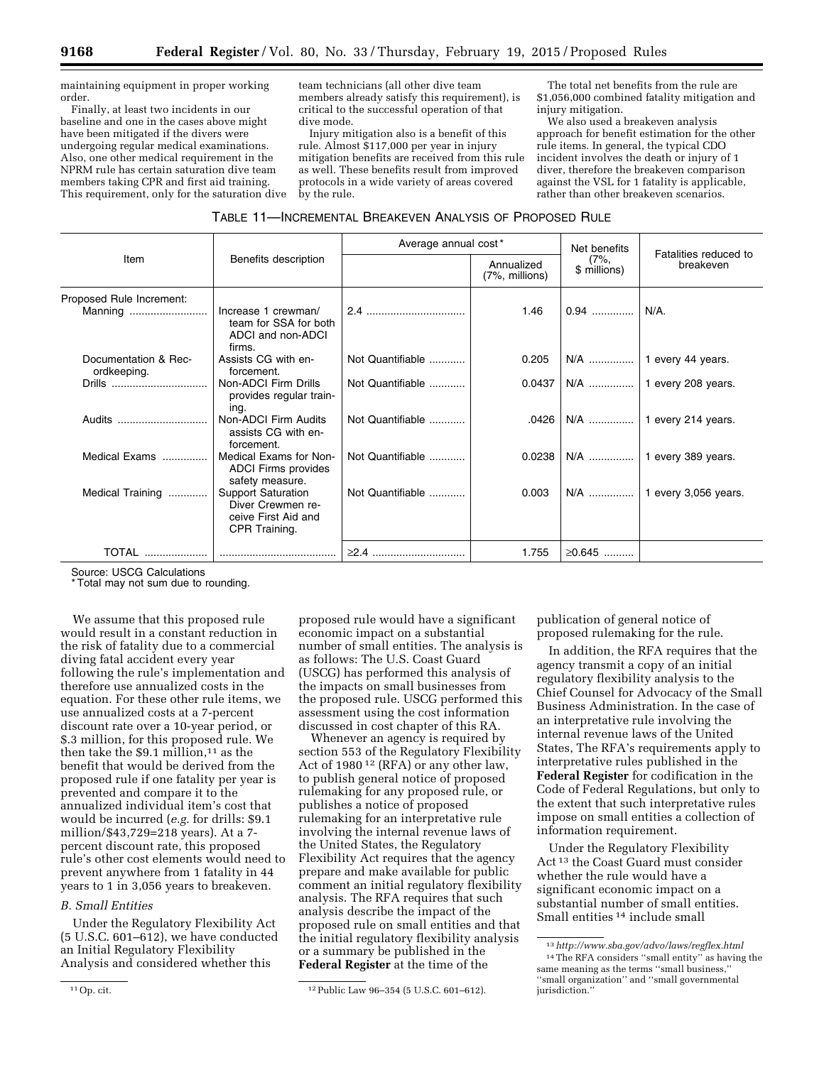maintaining equipment in proper working order.

Finally, at least two incidents in our baseline and one in the cases above might have been mitigated if the divers were undergoing regular medical examinations. Also, one other medical requirement in the NPRM rule has certain saturation dive team members taking CPR and first aid training. This requirement, only for the saturation dive team technicians (all other dive team members already satisfy this requirement), is critical to the successful operation of that dive mode.

Injury mitigation also is a benefit of this rule. Almost \$117,000 per year in injury mitigation benefits are received from this rule as well. These benefits result from improved protocols in a wide variety of areas covered by the rule.

The total net benefits from the rule are \$1,056,000 combined fatality mitigation and injury mitigation.

We also used a breakeven analysis approach for benefit estimation for the other rule items. In general, the typical CDO incident involves the death or injury of 1 diver, therefore the breakeven comparison against the VSL for 1 fatality is applicable, rather than other breakeven scenarios.

|  | TABLE 11-INCREMENTAL BREAKEVEN ANALYSIS OF PROPOSED RULE |
|--|----------------------------------------------------------|
|--|----------------------------------------------------------|

|                                     |                                                                                        | Average annual cost* |                                  | Net benefits            | Fatalities reduced to<br>breakeven |  |
|-------------------------------------|----------------------------------------------------------------------------------------|----------------------|----------------------------------|-------------------------|------------------------------------|--|
| Item                                | Benefits description                                                                   |                      | Annualized<br>$(7\%$ , millions) | $(7\%,$<br>\$ millions) |                                    |  |
| Proposed Rule Increment:            |                                                                                        |                      |                                  |                         |                                    |  |
| Manning                             | Increase 1 crewman/<br>team for SSA for both<br>ADCI and non-ADCI<br>firms.            |                      | 1.46                             | $0.94$                  | N/A.                               |  |
| Documentation & Rec-<br>ordkeeping. | Assists CG with en-<br>forcement.                                                      | Not Quantifiable     | 0.205                            |                         |                                    |  |
| Drills                              | Non-ADCI Firm Drills<br>provides regular train-<br>ing.                                | Not Quantifiable     | 0.0437                           |                         | N/A    1 every 208 years.          |  |
| Audits                              | Non-ADCI Firm Audits<br>assists CG with en-<br>forcement.                              | Not Quantifiable     | .0426                            | N/A                     | 1 every 214 years.                 |  |
| Medical Exams                       | Medical Exams for Non-<br><b>ADCI</b> Firms provides<br>safety measure.                | Not Quantifiable     | 0.0238                           |                         | 1 every 389 years.                 |  |
| Medical Training                    | <b>Support Saturation</b><br>Diver Crewmen re-<br>ceive First Aid and<br>CPR Training. | Not Quantifiable     | 0.003                            | N/A                     | 1 every 3,056 years.               |  |
| <b>TOTAL</b>                        |                                                                                        |                      | 1.755                            | ≥0.645                  |                                    |  |

Source: USCG Calculations

\* Total may not sum due to rounding.

We assume that this proposed rule would result in a constant reduction in the risk of fatality due to a commercial diving fatal accident every year following the rule's implementation and therefore use annualized costs in the equation. For these other rule items, we use annualized costs at a 7-percent discount rate over a 10-year period, or \$.3 million, for this proposed rule. We then take the  $$9.1$  million,<sup>11</sup> as the benefit that would be derived from the proposed rule if one fatality per year is prevented and compare it to the annualized individual item's cost that would be incurred (*e.g.* for drills: \$9.1 million/\$43,729=218 years). At a 7 percent discount rate, this proposed rule's other cost elements would need to prevent anywhere from 1 fatality in 44 years to 1 in 3,056 years to breakeven.

## *B. Small Entities*

Under the Regulatory Flexibility Act (5 U.S.C. 601–612), we have conducted an Initial Regulatory Flexibility Analysis and considered whether this

proposed rule would have a significant economic impact on a substantial number of small entities. The analysis is as follows: The U.S. Coast Guard (USCG) has performed this analysis of the impacts on small businesses from the proposed rule. USCG performed this assessment using the cost information discussed in cost chapter of this RA.

Whenever an agency is required by section 553 of the Regulatory Flexibility Act of 1980 12 (RFA) or any other law, to publish general notice of proposed rulemaking for any proposed rule, or publishes a notice of proposed rulemaking for an interpretative rule involving the internal revenue laws of the United States, the Regulatory Flexibility Act requires that the agency prepare and make available for public comment an initial regulatory flexibility analysis. The RFA requires that such analysis describe the impact of the proposed rule on small entities and that the initial regulatory flexibility analysis or a summary be published in the **Federal Register** at the time of the

publication of general notice of proposed rulemaking for the rule.

In addition, the RFA requires that the agency transmit a copy of an initial regulatory flexibility analysis to the Chief Counsel for Advocacy of the Small Business Administration. In the case of an interpretative rule involving the internal revenue laws of the United States, The RFA's requirements apply to interpretative rules published in the **Federal Register** for codification in the Code of Federal Regulations, but only to the extent that such interpretative rules impose on small entities a collection of information requirement.

Under the Regulatory Flexibility Act 13 the Coast Guard must consider whether the rule would have a significant economic impact on a substantial number of small entities. Small entities <sup>14</sup> include small

<sup>11</sup>Op. cit. 12Public Law 96–354 (5 U.S.C. 601–612).

<sup>13</sup>*<http://www.sba.gov/advo/laws/regflex.html>* 14The RFA considers ''small entity'' as having the same meaning as the terms ''small business,'' 'small organization" and "small governmental jurisdiction."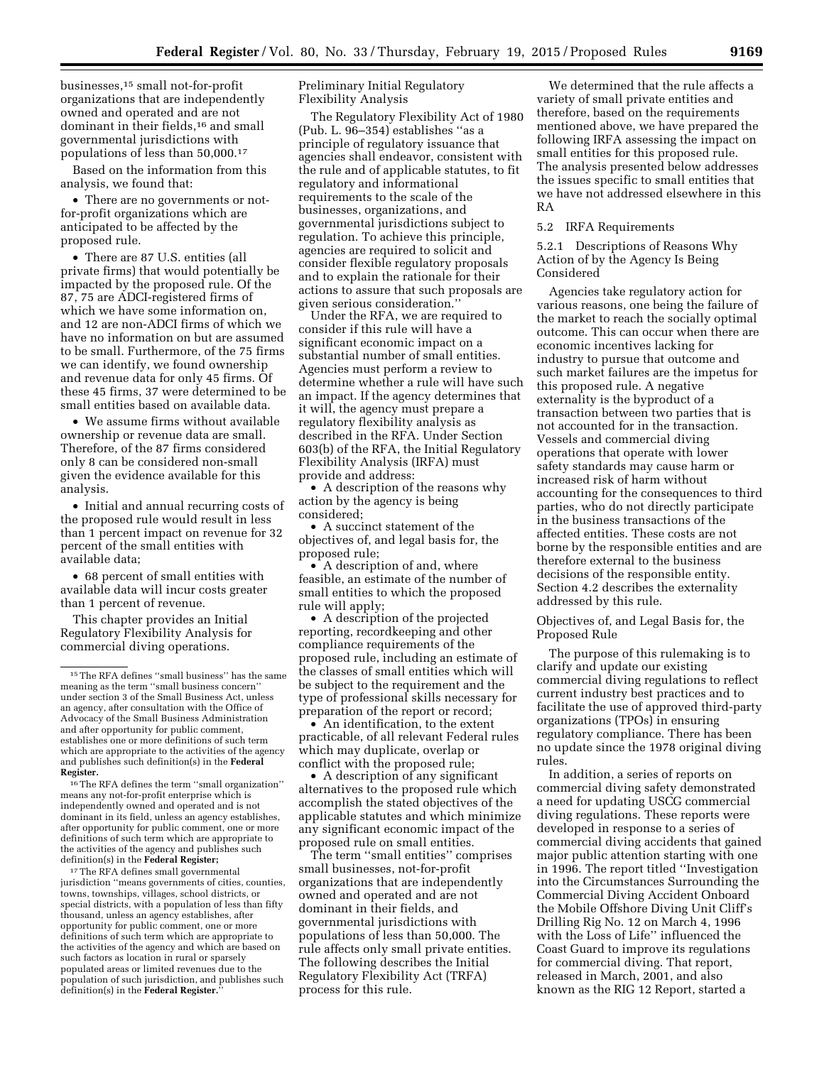businesses,15 small not-for-profit organizations that are independently owned and operated and are not dominant in their fields,<sup>16</sup> and small governmental jurisdictions with populations of less than 50,000.17

Based on the information from this analysis, we found that:

• There are no governments or notfor-profit organizations which are anticipated to be affected by the proposed rule.

• There are 87 U.S. entities (all private firms) that would potentially be impacted by the proposed rule. Of the 87, 75 are ADCI-registered firms of which we have some information on, and 12 are non-ADCI firms of which we have no information on but are assumed to be small. Furthermore, of the 75 firms we can identify, we found ownership and revenue data for only 45 firms. Of these 45 firms, 37 were determined to be small entities based on available data.

• We assume firms without available ownership or revenue data are small. Therefore, of the 87 firms considered only 8 can be considered non-small given the evidence available for this analysis.

• Initial and annual recurring costs of the proposed rule would result in less than 1 percent impact on revenue for 32 percent of the small entities with available data;

• 68 percent of small entities with available data will incur costs greater than 1 percent of revenue.

This chapter provides an Initial Regulatory Flexibility Analysis for commercial diving operations.

16The RFA defines the term ''small organization'' means any not-for-profit enterprise which is independently owned and operated and is not dominant in its field, unless an agency establishes, after opportunity for public comment, one or more definitions of such term which are appropriate to the activities of the agency and publishes such definition(s) in the **Federal Register;** 

<sup>17</sup>The RFA defines small governmental jurisdiction ''means governments of cities, counties, towns, townships, villages, school districts, or special districts, with a population of less than fifty thousand, unless an agency establishes, after opportunity for public comment, one or more definitions of such term which are appropriate to the activities of the agency and which are based on such factors as location in rural or sparsely populated areas or limited revenues due to the population of such jurisdiction, and publishes such definition(s) in the **Federal Register.**''

Preliminary Initial Regulatory Flexibility Analysis

The Regulatory Flexibility Act of 1980 (Pub. L. 96–354) establishes ''as a principle of regulatory issuance that agencies shall endeavor, consistent with the rule and of applicable statutes, to fit regulatory and informational requirements to the scale of the businesses, organizations, and governmental jurisdictions subject to regulation. To achieve this principle, agencies are required to solicit and consider flexible regulatory proposals and to explain the rationale for their actions to assure that such proposals are given serious consideration.''

Under the RFA, we are required to consider if this rule will have a significant economic impact on a substantial number of small entities. Agencies must perform a review to determine whether a rule will have such an impact. If the agency determines that it will, the agency must prepare a regulatory flexibility analysis as described in the RFA. Under Section 603(b) of the RFA, the Initial Regulatory Flexibility Analysis (IRFA) must provide and address:

• A description of the reasons why action by the agency is being considered;

• A succinct statement of the objectives of, and legal basis for, the proposed rule;

• A description of and, where feasible, an estimate of the number of small entities to which the proposed rule will apply;

• A description of the projected reporting, recordkeeping and other compliance requirements of the proposed rule, including an estimate of the classes of small entities which will be subject to the requirement and the type of professional skills necessary for preparation of the report or record;

• An identification, to the extent practicable, of all relevant Federal rules which may duplicate, overlap or conflict with the proposed rule;

• A description of any significant alternatives to the proposed rule which accomplish the stated objectives of the applicable statutes and which minimize any significant economic impact of the proposed rule on small entities.

The term ''small entities'' comprises small businesses, not-for-profit organizations that are independently owned and operated and are not dominant in their fields, and governmental jurisdictions with populations of less than 50,000. The rule affects only small private entities. The following describes the Initial Regulatory Flexibility Act (TRFA) process for this rule.

We determined that the rule affects a variety of small private entities and therefore, based on the requirements mentioned above, we have prepared the following IRFA assessing the impact on small entities for this proposed rule. The analysis presented below addresses the issues specific to small entities that we have not addressed elsewhere in this RA

5.2 IRFA Requirements

5.2.1 Descriptions of Reasons Why Action of by the Agency Is Being Considered

Agencies take regulatory action for various reasons, one being the failure of the market to reach the socially optimal outcome. This can occur when there are economic incentives lacking for industry to pursue that outcome and such market failures are the impetus for this proposed rule. A negative externality is the byproduct of a transaction between two parties that is not accounted for in the transaction. Vessels and commercial diving operations that operate with lower safety standards may cause harm or increased risk of harm without accounting for the consequences to third parties, who do not directly participate in the business transactions of the affected entities. These costs are not borne by the responsible entities and are therefore external to the business decisions of the responsible entity. Section 4.2 describes the externality addressed by this rule.

Objectives of, and Legal Basis for, the Proposed Rule

The purpose of this rulemaking is to clarify and update our existing commercial diving regulations to reflect current industry best practices and to facilitate the use of approved third-party organizations (TPOs) in ensuring regulatory compliance. There has been no update since the 1978 original diving rules.

In addition, a series of reports on commercial diving safety demonstrated a need for updating USCG commercial diving regulations. These reports were developed in response to a series of commercial diving accidents that gained major public attention starting with one in 1996. The report titled ''Investigation into the Circumstances Surrounding the Commercial Diving Accident Onboard the Mobile Offshore Diving Unit Cliff's Drilling Rig No. 12 on March 4, 1996 with the Loss of Life'' influenced the Coast Guard to improve its regulations for commercial diving. That report, released in March, 2001, and also known as the RIG 12 Report, started a

<sup>15</sup>The RFA defines ''small business'' has the same meaning as the term ''small business concern'' under section 3 of the Small Business Act, unless an agency, after consultation with the Office of Advocacy of the Small Business Administration and after opportunity for public comment, establishes one or more definitions of such term which are appropriate to the activities of the agency and publishes such definition(s) in the **Federal Register.**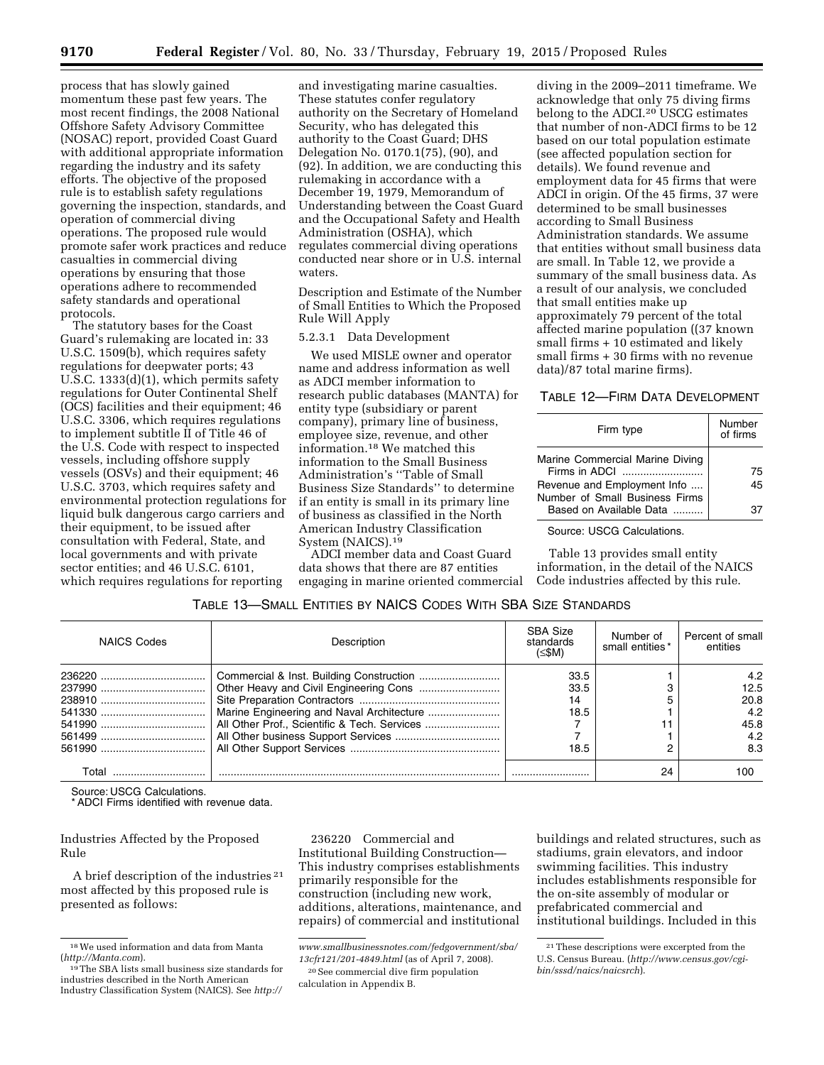process that has slowly gained momentum these past few years. The most recent findings, the 2008 National Offshore Safety Advisory Committee (NOSAC) report, provided Coast Guard with additional appropriate information regarding the industry and its safety efforts. The objective of the proposed rule is to establish safety regulations governing the inspection, standards, and operation of commercial diving operations. The proposed rule would promote safer work practices and reduce casualties in commercial diving operations by ensuring that those operations adhere to recommended safety standards and operational protocols.

The statutory bases for the Coast Guard's rulemaking are located in: 33 U.S.C. 1509(b), which requires safety regulations for deepwater ports; 43 U.S.C. 1333(d)(1), which permits safety regulations for Outer Continental Shelf (OCS) facilities and their equipment; 46 U.S.C. 3306, which requires regulations to implement subtitle II of Title 46 of the U.S. Code with respect to inspected vessels, including offshore supply vessels (OSVs) and their equipment; 46 U.S.C. 3703, which requires safety and environmental protection regulations for liquid bulk dangerous cargo carriers and their equipment, to be issued after consultation with Federal, State, and local governments and with private sector entities; and 46 U.S.C. 6101, which requires regulations for reporting

and investigating marine casualties. These statutes confer regulatory authority on the Secretary of Homeland Security, who has delegated this authority to the Coast Guard; DHS Delegation No. 0170.1(75), (90), and (92). In addition, we are conducting this rulemaking in accordance with a December 19, 1979, Memorandum of Understanding between the Coast Guard and the Occupational Safety and Health Administration (OSHA), which regulates commercial diving operations conducted near shore or in U.S. internal waters.

Description and Estimate of the Number of Small Entities to Which the Proposed Rule Will Apply

#### 5.2.3.1 Data Development

We used MISLE owner and operator name and address information as well as ADCI member information to research public databases (MANTA) for entity type (subsidiary or parent company), primary line of business, employee size, revenue, and other information.18 We matched this information to the Small Business Administration's ''Table of Small Business Size Standards'' to determine if an entity is small in its primary line of business as classified in the North American Industry Classification System (NAICS).19

ADCI member data and Coast Guard data shows that there are 87 entities engaging in marine oriented commercial

diving in the 2009–2011 timeframe. We acknowledge that only 75 diving firms belong to the ADCI.20 USCG estimates that number of non-ADCI firms to be 12 based on our total population estimate (see affected population section for details). We found revenue and employment data for 45 firms that were ADCI in origin. Of the 45 firms, 37 were determined to be small businesses according to Small Business Administration standards. We assume that entities without small business data are small. In Table 12, we provide a summary of the small business data. As a result of our analysis, we concluded that small entities make up approximately 79 percent of the total affected marine population ((37 known small firms + 10 estimated and likely small firms + 30 firms with no revenue data)/87 total marine firms).

# TABLE 12—FIRM DATA DEVELOPMENT

| Marine Commercial Marine Diving<br>Firms in ADCI<br>Revenue and Employment Info<br>Number of Small Business Firms | Firm type               | Number<br>of firms |
|-------------------------------------------------------------------------------------------------------------------|-------------------------|--------------------|
|                                                                                                                   | Based on Available Data | 75<br>45           |

Source: USCG Calculations.

Table 13 provides small entity information, in the detail of the NAICS Code industries affected by this rule.

# TABLE 13—SMALL ENTITIES BY NAICS CODES WITH SBA SIZE STANDARDS

| NAICS Codes | Description                               | SBA Size<br>standards<br>(≤\$M) | Number of<br>small entities* | Percent of small<br>entities |
|-------------|-------------------------------------------|---------------------------------|------------------------------|------------------------------|
|             |                                           | 33.5                            |                              | 4.2                          |
|             |                                           | 33.5                            |                              | 12.5                         |
|             |                                           | 14                              |                              | 20.8                         |
|             | Marine Engineering and Naval Architecture | 18.5                            |                              | 4.2                          |
|             |                                           |                                 |                              | 45.8                         |
|             |                                           |                                 |                              | 4.2                          |
|             |                                           | 18.5                            |                              | 8.3                          |
|             |                                           |                                 | 24                           | 100                          |

Source: USCG Calculations.

\* ADCI Firms identified with revenue data.

Industries Affected by the Proposed Rule

A brief description of the industries 21 most affected by this proposed rule is presented as follows:

236220 Commercial and Institutional Building Construction— This industry comprises establishments primarily responsible for the construction (including new work, additions, alterations, maintenance, and repairs) of commercial and institutional buildings and related structures, such as stadiums, grain elevators, and indoor swimming facilities. This industry includes establishments responsible for the on-site assembly of modular or prefabricated commercial and institutional buildings. Included in this

 $18$  We used information and data from Manta (http://Manta.com).

<sup>&</sup>lt;sup>19</sup>The SBA lists small business size standards for industries described in the North American Industry Classification System (NAICS). See *[http://](http://www.smallbusinessnotes.com/fedgovernment/sba/13cfr121/201-4849.html)* 

*[www.smallbusinessnotes.com/fedgovernment/sba/](http://www.smallbusinessnotes.com/fedgovernment/sba/13cfr121/201-4849.html)  [13cfr121/201-4849.html](http://www.smallbusinessnotes.com/fedgovernment/sba/13cfr121/201-4849.html)* (as of April 7, 2008).

<sup>20</sup>See commercial dive firm population calculation in Appendix B.

<sup>21</sup>These descriptions were excerpted from the U.S. Census Bureau. (*[http://www.census.gov/cgi](http://www.census.gov/cgi-bin/sssd/naics/naicsrch)[bin/sssd/naics/naicsrch](http://www.census.gov/cgi-bin/sssd/naics/naicsrch)*).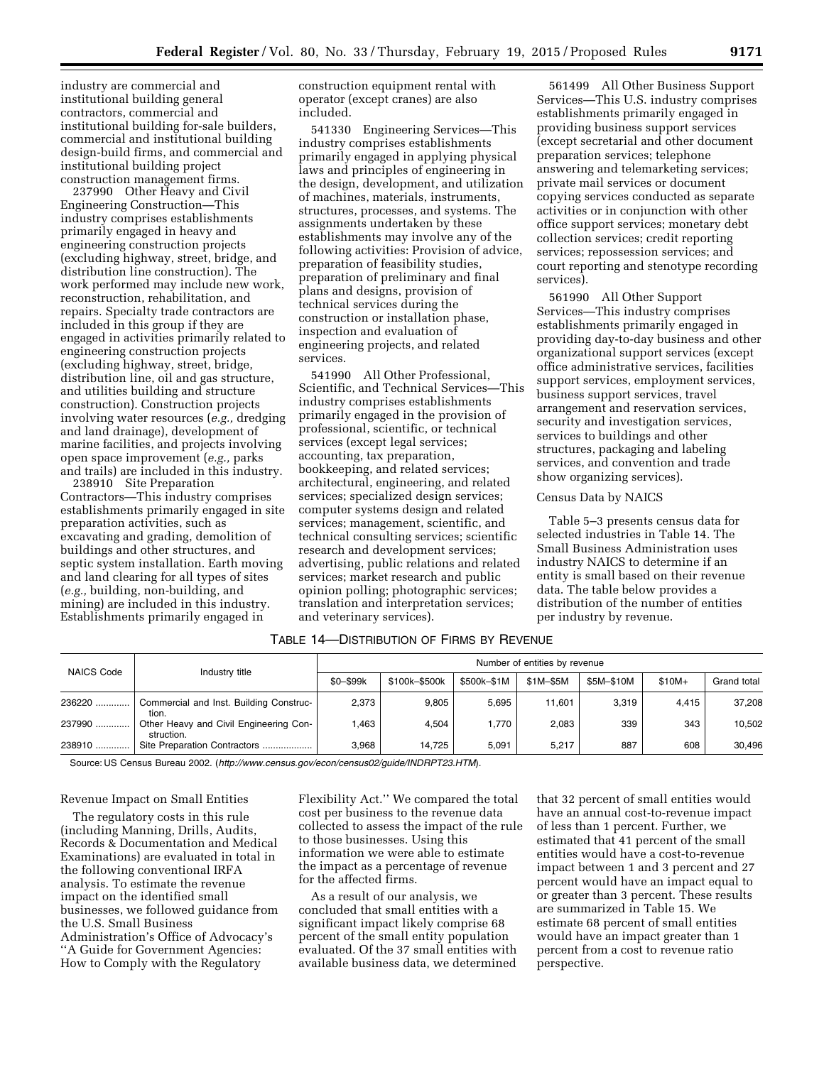industry are commercial and institutional building general contractors, commercial and institutional building for-sale builders, commercial and institutional building design-build firms, and commercial and institutional building project construction management firms.

237990 Other Heavy and Civil Engineering Construction—This industry comprises establishments primarily engaged in heavy and engineering construction projects (excluding highway, street, bridge, and distribution line construction). The work performed may include new work, reconstruction, rehabilitation, and repairs. Specialty trade contractors are included in this group if they are engaged in activities primarily related to engineering construction projects (excluding highway, street, bridge, distribution line, oil and gas structure, and utilities building and structure construction). Construction projects involving water resources (*e.g.,* dredging and land drainage), development of marine facilities, and projects involving open space improvement (*e.g.,* parks and trails) are included in this industry.

238910 Site Preparation Contractors—This industry comprises establishments primarily engaged in site preparation activities, such as excavating and grading, demolition of buildings and other structures, and septic system installation. Earth moving and land clearing for all types of sites (*e.g.,* building, non-building, and mining) are included in this industry. Establishments primarily engaged in

construction equipment rental with operator (except cranes) are also included.

541330 Engineering Services—This industry comprises establishments primarily engaged in applying physical laws and principles of engineering in the design, development, and utilization of machines, materials, instruments, structures, processes, and systems. The assignments undertaken by these establishments may involve any of the following activities: Provision of advice, preparation of feasibility studies, preparation of preliminary and final plans and designs, provision of technical services during the construction or installation phase, inspection and evaluation of engineering projects, and related services.

541990 All Other Professional, Scientific, and Technical Services—This industry comprises establishments primarily engaged in the provision of professional, scientific, or technical services (except legal services; accounting, tax preparation, bookkeeping, and related services; architectural, engineering, and related services; specialized design services; computer systems design and related services; management, scientific, and technical consulting services; scientific research and development services; advertising, public relations and related services; market research and public opinion polling; photographic services; translation and interpretation services; and veterinary services).

561499 All Other Business Support Services—This U.S. industry comprises establishments primarily engaged in providing business support services (except secretarial and other document preparation services; telephone answering and telemarketing services; private mail services or document copying services conducted as separate activities or in conjunction with other office support services; monetary debt collection services; credit reporting services; repossession services; and court reporting and stenotype recording services).

561990 All Other Support Services—This industry comprises establishments primarily engaged in providing day-to-day business and other organizational support services (except office administrative services, facilities support services, employment services, business support services, travel arrangement and reservation services, security and investigation services, services to buildings and other structures, packaging and labeling services, and convention and trade show organizing services).

#### Census Data by NAICS

Table 5–3 presents census data for selected industries in Table 14. The Small Business Administration uses industry NAICS to determine if an entity is small based on their revenue data. The table below provides a distribution of the number of entities per industry by revenue.

| TABLE 14-DISTRIBUTION OF FIRMS BY REVENUE |  |
|-------------------------------------------|--|
|-------------------------------------------|--|

| <b>NAICS Code</b> | Industry title                                       | Number of entities by revenue |               |             |           |            |         |             |
|-------------------|------------------------------------------------------|-------------------------------|---------------|-------------|-----------|------------|---------|-------------|
|                   |                                                      | \$0-\$99k                     | \$100k-\$500k | \$500k-\$1M | \$1M-\$5M | \$5M-\$10M | $$10M+$ | Grand total |
| 236220            | Commercial and Inst. Building Construc-<br>tion.     | 2,373                         | 9.805         | 5.695       | 11.601    | 3.319      | 4.415   | 37,208      |
| 237990            | Other Heavy and Civil Engineering Con-<br>struction. | .463                          | 4.504         | 1.770       | 2,083     | 339        | 343     | 10,502      |
| 238910            | Site Preparation Contractors                         | 3.968                         | 14.725        | 5.091       | 5.217     | 887        | 608     | 30.496      |

Source: US Census Bureau 2002. (*<http://www.census.gov/econ/census02/guide/INDRPT23.HTM>*).

#### Revenue Impact on Small Entities

The regulatory costs in this rule (including Manning, Drills, Audits, Records & Documentation and Medical Examinations) are evaluated in total in the following conventional IRFA analysis. To estimate the revenue impact on the identified small businesses, we followed guidance from the U.S. Small Business Administration's Office of Advocacy's ''A Guide for Government Agencies: How to Comply with the Regulatory

Flexibility Act.'' We compared the total cost per business to the revenue data collected to assess the impact of the rule to those businesses. Using this information we were able to estimate the impact as a percentage of revenue for the affected firms.

As a result of our analysis, we concluded that small entities with a significant impact likely comprise 68 percent of the small entity population evaluated. Of the 37 small entities with available business data, we determined

that 32 percent of small entities would have an annual cost-to-revenue impact of less than 1 percent. Further, we estimated that 41 percent of the small entities would have a cost-to-revenue impact between 1 and 3 percent and 27 percent would have an impact equal to or greater than 3 percent. These results are summarized in Table 15. We estimate 68 percent of small entities would have an impact greater than 1 percent from a cost to revenue ratio perspective.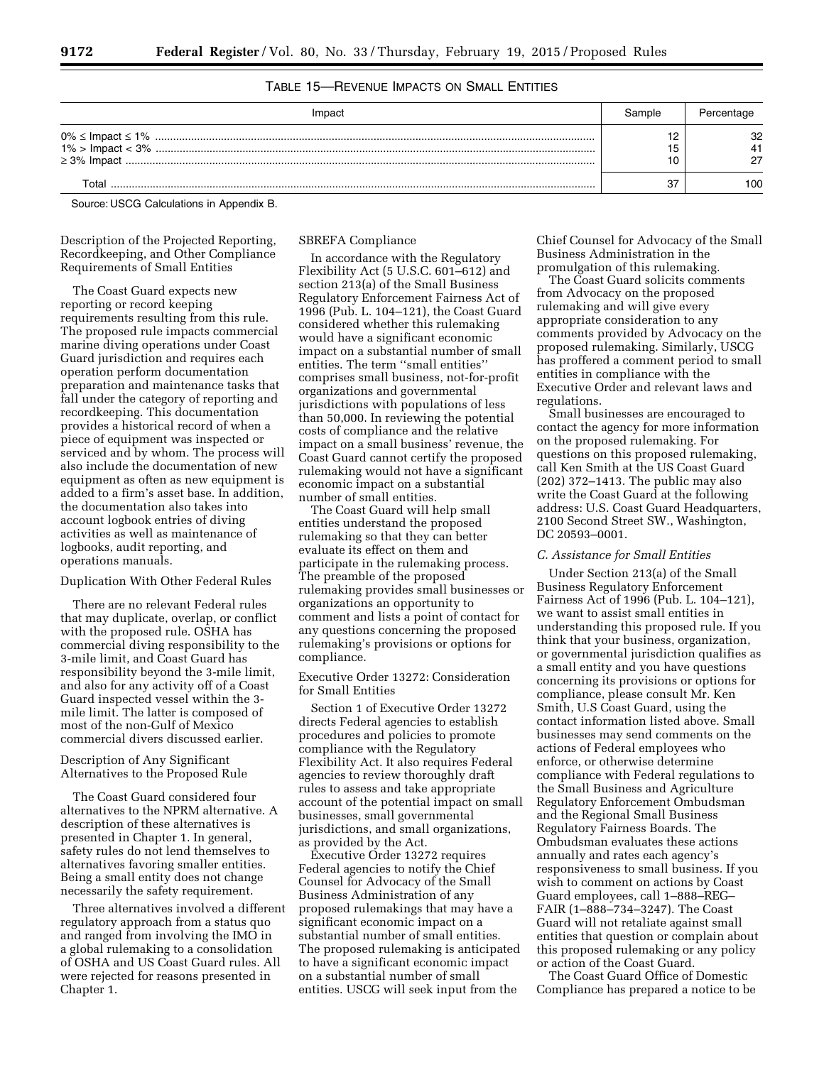# TABLE 15—REVENUE IMPACTS ON SMALL ENTITIES

| Impac |     |
|-------|-----|
|       | ຈ   |
| Γ∩tal | 100 |

Source: USCG Calculations in Appendix B.

Description of the Projected Reporting, Recordkeeping, and Other Compliance Requirements of Small Entities

The Coast Guard expects new reporting or record keeping requirements resulting from this rule. The proposed rule impacts commercial marine diving operations under Coast Guard jurisdiction and requires each operation perform documentation preparation and maintenance tasks that fall under the category of reporting and recordkeeping. This documentation provides a historical record of when a piece of equipment was inspected or serviced and by whom. The process will also include the documentation of new equipment as often as new equipment is added to a firm's asset base. In addition, the documentation also takes into account logbook entries of diving activities as well as maintenance of logbooks, audit reporting, and operations manuals.

#### Duplication With Other Federal Rules

There are no relevant Federal rules that may duplicate, overlap, or conflict with the proposed rule. OSHA has commercial diving responsibility to the 3-mile limit, and Coast Guard has responsibility beyond the 3-mile limit, and also for any activity off of a Coast Guard inspected vessel within the 3 mile limit. The latter is composed of most of the non-Gulf of Mexico commercial divers discussed earlier.

# Description of Any Significant Alternatives to the Proposed Rule

The Coast Guard considered four alternatives to the NPRM alternative. A description of these alternatives is presented in Chapter 1. In general, safety rules do not lend themselves to alternatives favoring smaller entities. Being a small entity does not change necessarily the safety requirement.

Three alternatives involved a different regulatory approach from a status quo and ranged from involving the IMO in a global rulemaking to a consolidation of OSHA and US Coast Guard rules. All were rejected for reasons presented in Chapter 1.

SBREFA Compliance

In accordance with the Regulatory Flexibility Act (5 U.S.C. 601–612) and section 213(a) of the Small Business Regulatory Enforcement Fairness Act of 1996 (Pub. L. 104–121), the Coast Guard considered whether this rulemaking would have a significant economic impact on a substantial number of small entities. The term ''small entities'' comprises small business, not-for-profit organizations and governmental jurisdictions with populations of less than 50,000. In reviewing the potential costs of compliance and the relative impact on a small business' revenue, the Coast Guard cannot certify the proposed rulemaking would not have a significant economic impact on a substantial number of small entities.

The Coast Guard will help small entities understand the proposed rulemaking so that they can better evaluate its effect on them and participate in the rulemaking process. The preamble of the proposed rulemaking provides small businesses or organizations an opportunity to comment and lists a point of contact for any questions concerning the proposed rulemaking's provisions or options for compliance.

# Executive Order 13272: Consideration for Small Entities

Section 1 of Executive Order 13272 directs Federal agencies to establish procedures and policies to promote compliance with the Regulatory Flexibility Act. It also requires Federal agencies to review thoroughly draft rules to assess and take appropriate account of the potential impact on small businesses, small governmental jurisdictions, and small organizations, as provided by the Act.

Executive Order 13272 requires Federal agencies to notify the Chief Counsel for Advocacy of the Small Business Administration of any proposed rulemakings that may have a significant economic impact on a substantial number of small entities. The proposed rulemaking is anticipated to have a significant economic impact on a substantial number of small entities. USCG will seek input from the

Chief Counsel for Advocacy of the Small Business Administration in the promulgation of this rulemaking.

The Coast Guard solicits comments from Advocacy on the proposed rulemaking and will give every appropriate consideration to any comments provided by Advocacy on the proposed rulemaking. Similarly, USCG has proffered a comment period to small entities in compliance with the Executive Order and relevant laws and regulations.

Small businesses are encouraged to contact the agency for more information on the proposed rulemaking. For questions on this proposed rulemaking, call Ken Smith at the US Coast Guard (202) 372–1413. The public may also write the Coast Guard at the following address: U.S. Coast Guard Headquarters, 2100 Second Street SW., Washington, DC 20593–0001.

#### *C. Assistance for Small Entities*

Under Section 213(a) of the Small Business Regulatory Enforcement Fairness Act of 1996 (Pub. L. 104–121), we want to assist small entities in understanding this proposed rule. If you think that your business, organization, or governmental jurisdiction qualifies as a small entity and you have questions concerning its provisions or options for compliance, please consult Mr. Ken Smith, U.S Coast Guard, using the contact information listed above. Small businesses may send comments on the actions of Federal employees who enforce, or otherwise determine compliance with Federal regulations to the Small Business and Agriculture Regulatory Enforcement Ombudsman and the Regional Small Business Regulatory Fairness Boards. The Ombudsman evaluates these actions annually and rates each agency's responsiveness to small business. If you wish to comment on actions by Coast Guard employees, call 1–888–REG– FAIR (1–888–734–3247). The Coast Guard will not retaliate against small entities that question or complain about this proposed rulemaking or any policy or action of the Coast Guard.

The Coast Guard Office of Domestic Compliance has prepared a notice to be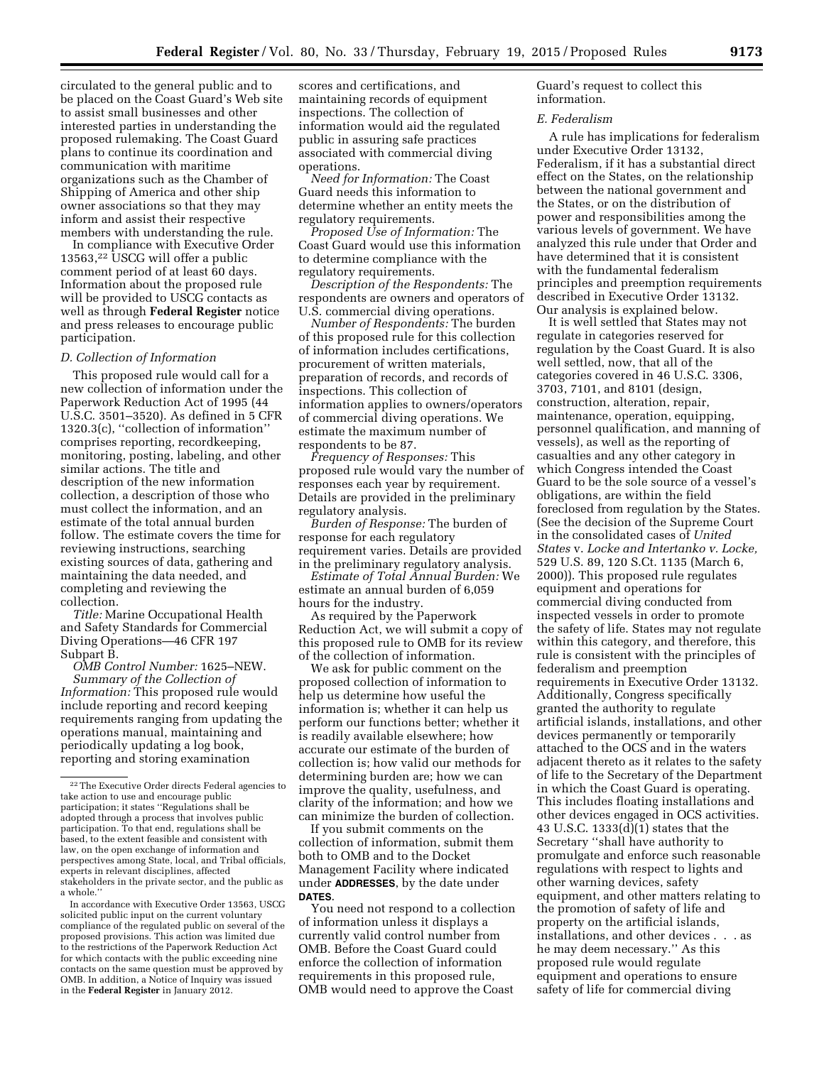circulated to the general public and to be placed on the Coast Guard's Web site to assist small businesses and other interested parties in understanding the proposed rulemaking. The Coast Guard plans to continue its coordination and communication with maritime organizations such as the Chamber of Shipping of America and other ship owner associations so that they may inform and assist their respective members with understanding the rule.

In compliance with Executive Order 13563,22 USCG will offer a public comment period of at least 60 days. Information about the proposed rule will be provided to USCG contacts as well as through **Federal Register** notice and press releases to encourage public participation.

#### *D. Collection of Information*

This proposed rule would call for a new collection of information under the Paperwork Reduction Act of 1995 (44 U.S.C. 3501–3520). As defined in 5 CFR 1320.3(c), ''collection of information'' comprises reporting, recordkeeping, monitoring, posting, labeling, and other similar actions. The title and description of the new information collection, a description of those who must collect the information, and an estimate of the total annual burden follow. The estimate covers the time for reviewing instructions, searching existing sources of data, gathering and maintaining the data needed, and completing and reviewing the collection.

*Title:* Marine Occupational Health and Safety Standards for Commercial Diving Operations—46 CFR 197 Subpart B.

*OMB Control Number:* 1625–NEW. *Summary of the Collection of Information:* This proposed rule would include reporting and record keeping requirements ranging from updating the operations manual, maintaining and periodically updating a log book, reporting and storing examination

In accordance with Executive Order 13563, USCG solicited public input on the current voluntary compliance of the regulated public on several of the proposed provisions. This action was limited due to the restrictions of the Paperwork Reduction Act for which contacts with the public exceeding nine contacts on the same question must be approved by OMB. In addition, a Notice of Inquiry was issued in the **Federal Register** in January 2012.

scores and certifications, and maintaining records of equipment inspections. The collection of information would aid the regulated public in assuring safe practices associated with commercial diving operations.

*Need for Information:* The Coast Guard needs this information to determine whether an entity meets the regulatory requirements.

*Proposed Use of Information:* The Coast Guard would use this information to determine compliance with the regulatory requirements.

*Description of the Respondents:* The respondents are owners and operators of U.S. commercial diving operations.

*Number of Respondents:* The burden of this proposed rule for this collection of information includes certifications, procurement of written materials, preparation of records, and records of inspections. This collection of information applies to owners/operators of commercial diving operations. We estimate the maximum number of respondents to be 87.

*Frequency of Responses:* This proposed rule would vary the number of responses each year by requirement. Details are provided in the preliminary regulatory analysis.

*Burden of Response:* The burden of response for each regulatory requirement varies. Details are provided in the preliminary regulatory analysis.

*Estimate of Total Annual Burden:* We estimate an annual burden of 6,059 hours for the industry.

As required by the Paperwork Reduction Act, we will submit a copy of this proposed rule to OMB for its review of the collection of information.

We ask for public comment on the proposed collection of information to help us determine how useful the information is; whether it can help us perform our functions better; whether it is readily available elsewhere; how accurate our estimate of the burden of collection is; how valid our methods for determining burden are; how we can improve the quality, usefulness, and clarity of the information; and how we can minimize the burden of collection.

If you submit comments on the collection of information, submit them both to OMB and to the Docket Management Facility where indicated under **ADDRESSES**, by the date under **DATES**.

You need not respond to a collection of information unless it displays a currently valid control number from OMB. Before the Coast Guard could enforce the collection of information requirements in this proposed rule, OMB would need to approve the Coast

Guard's request to collect this information.

#### *E. Federalism*

A rule has implications for federalism under Executive Order 13132, Federalism, if it has a substantial direct effect on the States, on the relationship between the national government and the States, or on the distribution of power and responsibilities among the various levels of government. We have analyzed this rule under that Order and have determined that it is consistent with the fundamental federalism principles and preemption requirements described in Executive Order 13132. Our analysis is explained below.

It is well settled that States may not regulate in categories reserved for regulation by the Coast Guard. It is also well settled, now, that all of the categories covered in 46 U.S.C. 3306, 3703, 7101, and 8101 (design, construction, alteration, repair, maintenance, operation, equipping, personnel qualification, and manning of vessels), as well as the reporting of casualties and any other category in which Congress intended the Coast Guard to be the sole source of a vessel's obligations, are within the field foreclosed from regulation by the States. (See the decision of the Supreme Court in the consolidated cases of *United States* v. *Locke and Intertanko v. Locke,*  529 U.S. 89, 120 S.Ct. 1135 (March 6, 2000)). This proposed rule regulates equipment and operations for commercial diving conducted from inspected vessels in order to promote the safety of life. States may not regulate within this category, and therefore, this rule is consistent with the principles of federalism and preemption requirements in Executive Order 13132. Additionally, Congress specifically granted the authority to regulate artificial islands, installations, and other devices permanently or temporarily attached to the OCS and in the waters adjacent thereto as it relates to the safety of life to the Secretary of the Department in which the Coast Guard is operating. This includes floating installations and other devices engaged in OCS activities. 43 U.S.C. 1333(d)(1) states that the Secretary ''shall have authority to promulgate and enforce such reasonable regulations with respect to lights and other warning devices, safety equipment, and other matters relating to the promotion of safety of life and property on the artificial islands, installations, and other devices . . . as he may deem necessary.'' As this proposed rule would regulate equipment and operations to ensure safety of life for commercial diving

<sup>&</sup>lt;sup>22</sup>The Executive Order directs Federal agencies to take action to use and encourage public participation; it states ''Regulations shall be adopted through a process that involves public participation. To that end, regulations shall be based, to the extent feasible and consistent with law, on the open exchange of information and perspectives among State, local, and Tribal officials, experts in relevant disciplines, affected stakeholders in the private sector, and the public as a whole.''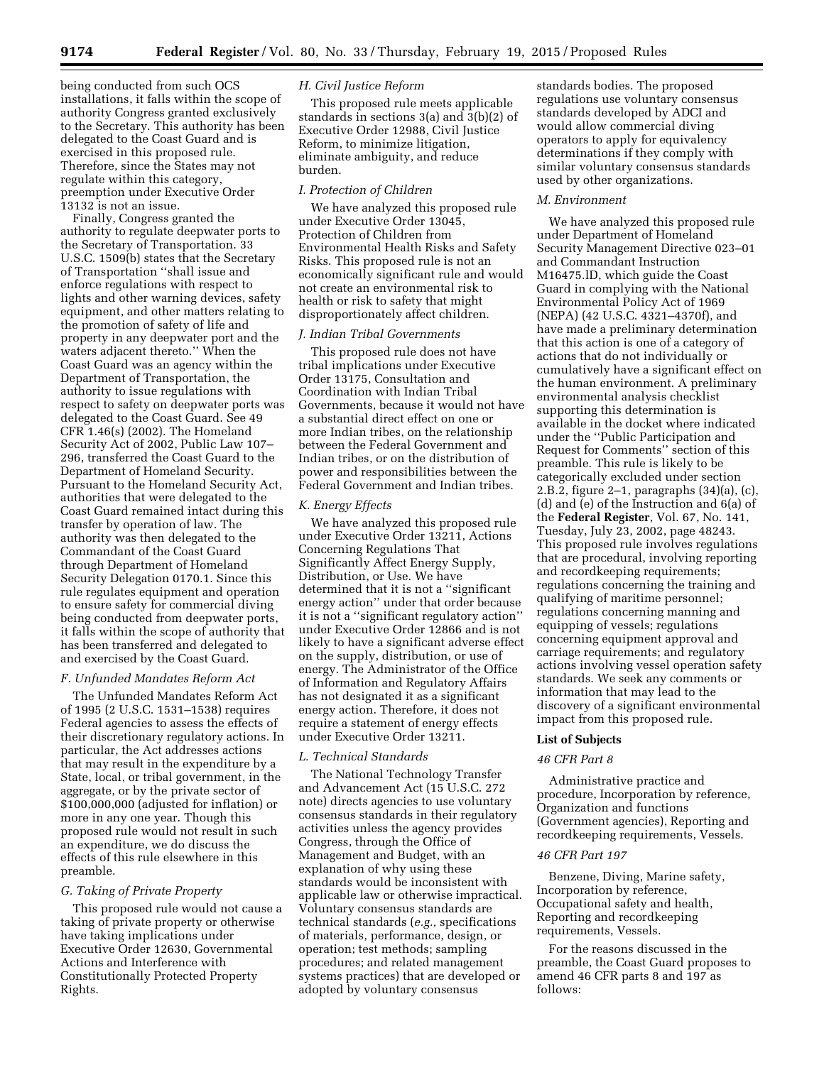being conducted from such OCS installations, it falls within the scope of authority Congress granted exclusively to the Secretary. This authority has been delegated to the Coast Guard and is exercised in this proposed rule. Therefore, since the States may not regulate within this category, preemption under Executive Order 13132 is not an issue.

Finally, Congress granted the authority to regulate deepwater ports to the Secretary of Transportation. 33 U.S.C. 1509(b) states that the Secretary of Transportation ''shall issue and enforce regulations with respect to lights and other warning devices, safety equipment, and other matters relating to the promotion of safety of life and property in any deepwater port and the waters adjacent thereto.'' When the Coast Guard was an agency within the Department of Transportation, the authority to issue regulations with respect to safety on deepwater ports was delegated to the Coast Guard. See 49 CFR 1.46(s) (2002). The Homeland Security Act of 2002, Public Law 107– 296, transferred the Coast Guard to the Department of Homeland Security. Pursuant to the Homeland Security Act, authorities that were delegated to the Coast Guard remained intact during this transfer by operation of law. The authority was then delegated to the Commandant of the Coast Guard through Department of Homeland Security Delegation 0170.1. Since this rule regulates equipment and operation to ensure safety for commercial diving being conducted from deepwater ports, it falls within the scope of authority that has been transferred and delegated to and exercised by the Coast Guard.

## *F. Unfunded Mandates Reform Act*

The Unfunded Mandates Reform Act of 1995 (2 U.S.C. 1531–1538) requires Federal agencies to assess the effects of their discretionary regulatory actions. In particular, the Act addresses actions that may result in the expenditure by a State, local, or tribal government, in the aggregate, or by the private sector of \$100,000,000 (adjusted for inflation) or more in any one year. Though this proposed rule would not result in such an expenditure, we do discuss the effects of this rule elsewhere in this preamble.

## *G. Taking of Private Property*

This proposed rule would not cause a taking of private property or otherwise have taking implications under Executive Order 12630, Governmental Actions and Interference with Constitutionally Protected Property Rights.

# *H. Civil Justice Reform*

This proposed rule meets applicable standards in sections  $3(a)$  and  $3(b)(2)$  of Executive Order 12988, Civil Justice Reform, to minimize litigation, eliminate ambiguity, and reduce burden.

#### *I. Protection of Children*

We have analyzed this proposed rule under Executive Order 13045, Protection of Children from Environmental Health Risks and Safety Risks. This proposed rule is not an economically significant rule and would not create an environmental risk to health or risk to safety that might disproportionately affect children.

# *J. Indian Tribal Governments*

This proposed rule does not have tribal implications under Executive Order 13175, Consultation and Coordination with Indian Tribal Governments, because it would not have a substantial direct effect on one or more Indian tribes, on the relationship between the Federal Government and Indian tribes, or on the distribution of power and responsibilities between the Federal Government and Indian tribes.

#### *K. Energy Effects*

We have analyzed this proposed rule under Executive Order 13211, Actions Concerning Regulations That Significantly Affect Energy Supply, Distribution, or Use. We have determined that it is not a ''significant energy action'' under that order because it is not a ''significant regulatory action'' under Executive Order 12866 and is not likely to have a significant adverse effect on the supply, distribution, or use of energy. The Administrator of the Office of Information and Regulatory Affairs has not designated it as a significant energy action. Therefore, it does not require a statement of energy effects under Executive Order 13211.

## *L. Technical Standards*

The National Technology Transfer and Advancement Act (15 U.S.C. 272 note) directs agencies to use voluntary consensus standards in their regulatory activities unless the agency provides Congress, through the Office of Management and Budget, with an explanation of why using these standards would be inconsistent with applicable law or otherwise impractical. Voluntary consensus standards are technical standards (*e.g.,* specifications of materials, performance, design, or operation; test methods; sampling procedures; and related management systems practices) that are developed or adopted by voluntary consensus

standards bodies. The proposed regulations use voluntary consensus standards developed by ADCI and would allow commercial diving operators to apply for equivalency determinations if they comply with similar voluntary consensus standards used by other organizations.

# *M. Environment*

We have analyzed this proposed rule under Department of Homeland Security Management Directive 023–01 and Commandant Instruction M16475.lD, which guide the Coast Guard in complying with the National Environmental Policy Act of 1969 (NEPA) (42 U.S.C. 4321–4370f), and have made a preliminary determination that this action is one of a category of actions that do not individually or cumulatively have a significant effect on the human environment. A preliminary environmental analysis checklist supporting this determination is available in the docket where indicated under the ''Public Participation and Request for Comments'' section of this preamble. This rule is likely to be categorically excluded under section 2.B.2, figure 2–1, paragraphs (34)(a), (c), (d) and (e) of the Instruction and 6(a) of the **Federal Register**, Vol. 67, No. 141, Tuesday, July 23, 2002, page 48243. This proposed rule involves regulations that are procedural, involving reporting and recordkeeping requirements; regulations concerning the training and qualifying of maritime personnel; regulations concerning manning and equipping of vessels; regulations concerning equipment approval and carriage requirements; and regulatory actions involving vessel operation safety standards. We seek any comments or information that may lead to the discovery of a significant environmental impact from this proposed rule.

#### **List of Subjects**

## *46 CFR Part 8*

Administrative practice and procedure, Incorporation by reference, Organization and functions (Government agencies), Reporting and recordkeeping requirements, Vessels.

## *46 CFR Part 197*

Benzene, Diving, Marine safety, Incorporation by reference, Occupational safety and health, Reporting and recordkeeping requirements, Vessels.

For the reasons discussed in the preamble, the Coast Guard proposes to amend 46 CFR parts 8 and 197 as follows: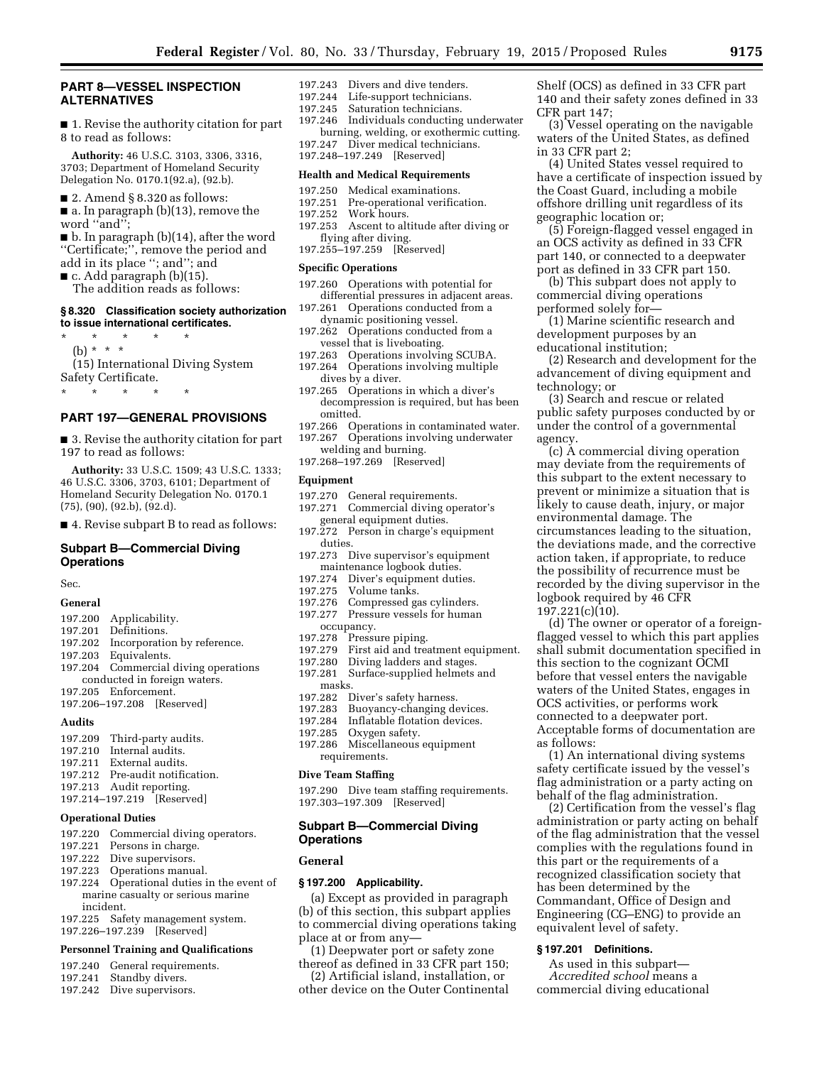# **PART 8—VESSEL INSPECTION ALTERNATIVES**

■ 1. Revise the authority citation for part 8 to read as follows:

**Authority:** 46 U.S.C. 3103, 3306, 3316, 3703; Department of Homeland Security Delegation No. 0170.1(92.a), (92.b).

- 2. Amend § 8.320 as follows:
- a. In paragraph (b)(13), remove the word ''and'';

■ b. In paragraph (b)(14), after the word ''Certificate;'', remove the period and add in its place ''; and''; and

- $\blacksquare$  c. Add paragraph (b)(15).
- The addition reads as follows:

#### **§ 8.320 Classification society authorization to issue international certificates.**

\* \* \* \* \* (b) \* \* \* (15) International Diving System Safety Certificate.

\* \* \* \* \*

#### **PART 197—GENERAL PROVISIONS**

■ 3. Revise the authority citation for part 197 to read as follows:

**Authority:** 33 U.S.C. 1509; 43 U.S.C. 1333; 46 U.S.C. 3306, 3703, 6101; Department of Homeland Security Delegation No. 0170.1 (75), (90), (92.b), (92.d).

■ 4. Revise subpart B to read as follows:

## **Subpart B—Commercial Diving Operations**

Sec.

# **General**

- 197.200 Applicability.
- 197.201 Definitions.<br>197.202 Incorporatio
- 197.202 Incorporation by reference.<br>197.203 Equivalents.
- 197.203 Equivalents. Commercial diving operations
- conducted in foreign waters.
- 197.205 Enforcement.
- 197.206–197.208 [Reserved]

#### **Audits**

- 197.209 Third-party audits. 197.210 Internal audits. 197.211 External audits. 197.212 Pre-audit notification. 197.213 Audit reporting.
- 197.214–197.219 [Reserved]

## **Operational Duties**

- 197.220 Commercial diving operators.
- 197.221 Persons in charge.
- 197.222 Dive supervisors.
- 197.223 Operations manual.
- 197.224 Operational duties in the event of marine casualty or serious marine incident.
- 197.225 Safety management system.
- 197.226–197.239 [Reserved]

## **Personnel Training and Qualifications**

- 197.240 General requirements.
- 197.241 Standby divers.
- 197.242 Dive supervisors.
- 197.243 Divers and dive tenders.
- 197.244 Life-support technicians.<br>197.245 Saturation technicians.
- 197.245 Saturation technicians.<br>197.246 Individuals conducting Individuals conducting underwater
- burning, welding, or exothermic cutting. 197.247 Diver medical technicians.
- 197.248–197.249 [Reserved]

# **Health and Medical Requirements**

- 197.250 Medical examinations.<br>197.251 Pre-operational verifica
- Pre-operational verification.
- 197.252 Work hours.
- 197.253 Ascent to altitude after diving or flying after diving.
- 197.255–197.259 [Reserved]

#### **Specific Operations**

- 197.260 Operations with potential for differential pressures in adjacent areas.
- 197.261 Operations conducted from a dynamic positioning vessel.
- 197.262 Operations conducted from a vessel that is liveboating.
- 197.263 Operations involving SCUBA.
- 197.264 Operations involving multiple dives by a diver.
- 197.265 Operations in which a diver's decompression is required, but has been omitted.
- 197.266 Operations in contaminated water.
- 197.267 Operations involving underwater
- welding and burning. 197.268–197.269 [Reserved]

#### **Equipment**

- 
- 197.270 General requirements.<br>197.271 Commercial diving op Commercial diving operator's general equipment duties.
- 197.272 Person in charge's equipment duties.
- 197.273 Dive supervisor's equipment maintenance logbook duties.
- 197.274 Diver's equipment duties.<br>197.275 Volume tanks.
- Volume tanks.
- 197.276 Compressed gas cylinders.<br>197.277 Pressure vessels for human
- Pressure vessels for human
- occupancy.<br>197.278 Pressu
- 197.278 Pressure piping.
- 197.279 First aid and treatment equipment.<br>197.280 Diving ladders and stages.
- 
- 197.280 Diving ladders and stages.<br>197.281 Surface-supplied helmets Surface-supplied helmets and masks.
- 197.282 Diver's safety harness.
- 197.283 Buoyancy-changing devices.<br>197.284 Inflatable flotation devices.
- Inflatable flotation devices.
- 197.285 Oxygen safety.
- 197.286 Miscellaneous equipment requirements.

#### **Dive Team Staffing**

197.290 Dive team staffing requirements. 197.303–197.309 [Reserved]

# **Subpart B—Commercial Diving Operations**

#### **General**

#### **§ 197.200 Applicability.**

(a) Except as provided in paragraph (b) of this section, this subpart applies to commercial diving operations taking place at or from any—

- (1) Deepwater port or safety zone thereof as defined in 33 CFR part 150;
- (2) Artificial island, installation, or other device on the Outer Continental

Shelf (OCS) as defined in 33 CFR part 140 and their safety zones defined in 33 CFR part 147;

(3) Vessel operating on the navigable waters of the United States, as defined in 33 CFR part 2;

(4) United States vessel required to have a certificate of inspection issued by the Coast Guard, including a mobile offshore drilling unit regardless of its geographic location or;

(5) Foreign-flagged vessel engaged in an OCS activity as defined in 33 CFR part 140, or connected to a deepwater port as defined in 33 CFR part 150.

(b) This subpart does not apply to commercial diving operations performed solely for—

(1) Marine scientific research and development purposes by an educational institution;

(2) Research and development for the advancement of diving equipment and technology; or

(3) Search and rescue or related public safety purposes conducted by or under the control of a governmental agency.

(c) A commercial diving operation may deviate from the requirements of this subpart to the extent necessary to prevent or minimize a situation that is likely to cause death, injury, or major environmental damage. The circumstances leading to the situation, the deviations made, and the corrective action taken, if appropriate, to reduce the possibility of recurrence must be recorded by the diving supervisor in the logbook required by 46 CFR 197.221(c)(10).

(d) The owner or operator of a foreignflagged vessel to which this part applies shall submit documentation specified in this section to the cognizant OCMI before that vessel enters the navigable waters of the United States, engages in OCS activities, or performs work connected to a deepwater port. Acceptable forms of documentation are as follows:

(1) An international diving systems safety certificate issued by the vessel's flag administration or a party acting on behalf of the flag administration. (2) Certification from the vessel's flag

administration or party acting on behalf of the flag administration that the vessel complies with the regulations found in this part or the requirements of a recognized classification society that

has been determined by the Commandant, Office of Design and Engineering (CG–ENG) to provide an

equivalent level of safety. **§ 197.201 Definitions.** 

As used in this subpart— *Accredited school* means a commercial diving educational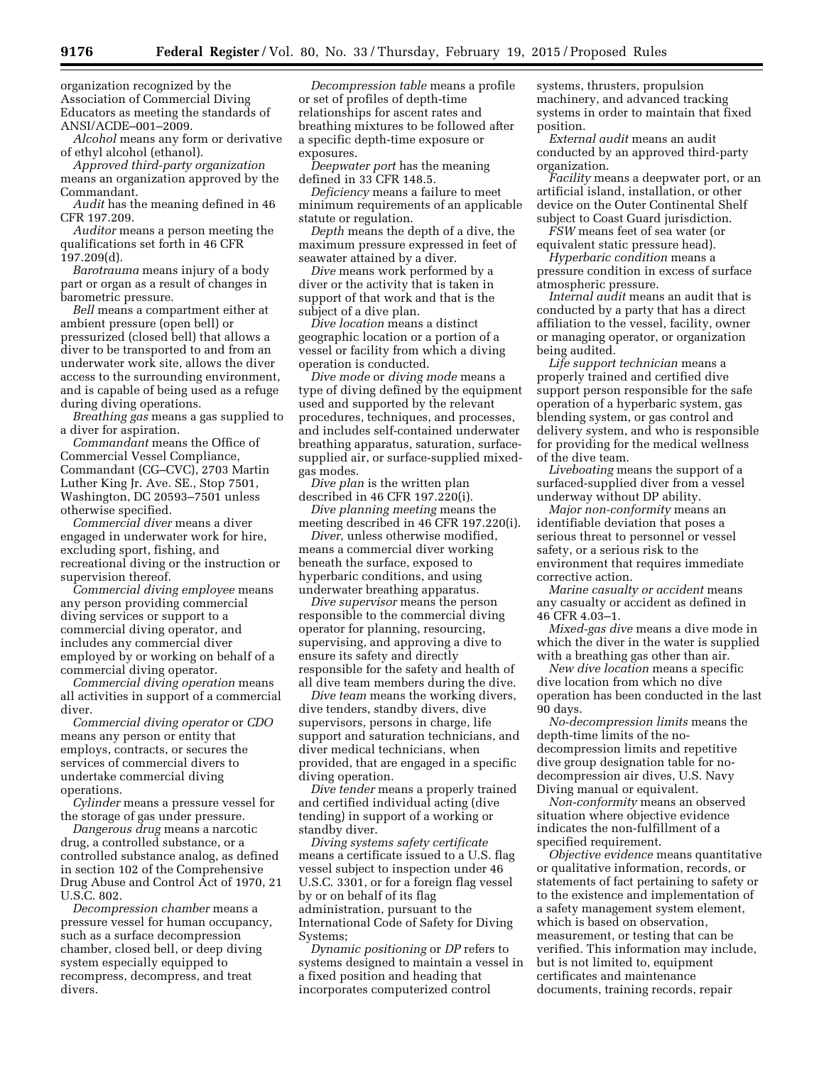organization recognized by the Association of Commercial Diving Educators as meeting the standards of ANSI/ACDE–001–2009.

*Alcohol* means any form or derivative of ethyl alcohol (ethanol).

*Approved third-party organization*  means an organization approved by the Commandant.

*Audit* has the meaning defined in 46 CFR 197.209.

*Auditor* means a person meeting the qualifications set forth in 46 CFR 197.209(d).

*Barotrauma* means injury of a body part or organ as a result of changes in barometric pressure.

*Bell* means a compartment either at ambient pressure (open bell) or pressurized (closed bell) that allows a diver to be transported to and from an underwater work site, allows the diver access to the surrounding environment, and is capable of being used as a refuge during diving operations.

*Breathing gas* means a gas supplied to a diver for aspiration.

*Commandant* means the Office of Commercial Vessel Compliance, Commandant (CG–CVC), 2703 Martin Luther King Jr. Ave. SE., Stop 7501, Washington, DC 20593–7501 unless otherwise specified.

*Commercial diver* means a diver engaged in underwater work for hire, excluding sport, fishing, and recreational diving or the instruction or supervision thereof.

*Commercial diving employee* means any person providing commercial diving services or support to a commercial diving operator, and includes any commercial diver employed by or working on behalf of a commercial diving operator.

*Commercial diving operation* means all activities in support of a commercial diver.

*Commercial diving operator* or *CDO*  means any person or entity that employs, contracts, or secures the services of commercial divers to undertake commercial diving operations.

*Cylinder* means a pressure vessel for the storage of gas under pressure.

*Dangerous drug* means a narcotic drug, a controlled substance, or a controlled substance analog, as defined in section 102 of the Comprehensive Drug Abuse and Control Act of 1970, 21 U.S.C. 802.

*Decompression chamber* means a pressure vessel for human occupancy, such as a surface decompression chamber, closed bell, or deep diving system especially equipped to recompress, decompress, and treat divers.

*Decompression table* means a profile or set of profiles of depth-time relationships for ascent rates and breathing mixtures to be followed after a specific depth-time exposure or exposures.

*Deepwater port* has the meaning defined in 33 CFR 148.5.

*Deficiency* means a failure to meet minimum requirements of an applicable statute or regulation.

*Depth* means the depth of a dive, the maximum pressure expressed in feet of seawater attained by a diver.

*Dive* means work performed by a diver or the activity that is taken in support of that work and that is the subject of a dive plan.

*Dive location* means a distinct geographic location or a portion of a vessel or facility from which a diving operation is conducted.

*Dive mode* or *diving mode* means a type of diving defined by the equipment used and supported by the relevant procedures, techniques, and processes, and includes self-contained underwater breathing apparatus, saturation, surfacesupplied air, or surface-supplied mixedgas modes.

*Dive plan* is the written plan described in 46 CFR 197.220(i).

*Dive planning meeting* means the meeting described in 46 CFR 197.220(i).

*Diver,* unless otherwise modified, means a commercial diver working beneath the surface, exposed to hyperbaric conditions, and using underwater breathing apparatus.

*Dive supervisor* means the person responsible to the commercial diving operator for planning, resourcing, supervising, and approving a dive to ensure its safety and directly responsible for the safety and health of all dive team members during the dive.

*Dive team* means the working divers, dive tenders, standby divers, dive supervisors, persons in charge, life support and saturation technicians, and diver medical technicians, when provided, that are engaged in a specific diving operation.

*Dive tender* means a properly trained and certified individual acting (dive tending) in support of a working or standby diver.

*Diving systems safety certificate*  means a certificate issued to a U.S. flag vessel subject to inspection under 46 U.S.C. 3301, or for a foreign flag vessel by or on behalf of its flag administration, pursuant to the International Code of Safety for Diving Systems;

*Dynamic positioning* or *DP* refers to systems designed to maintain a vessel in a fixed position and heading that incorporates computerized control

systems, thrusters, propulsion machinery, and advanced tracking systems in order to maintain that fixed position.

*External audit* means an audit conducted by an approved third-party organization.

*Facility* means a deepwater port, or an artificial island, installation, or other device on the Outer Continental Shelf subject to Coast Guard jurisdiction.

*FSW* means feet of sea water (or equivalent static pressure head).

*Hyperbaric condition* means a pressure condition in excess of surface atmospheric pressure.

*Internal audit* means an audit that is conducted by a party that has a direct affiliation to the vessel, facility, owner or managing operator, or organization being audited.

*Life support technician* means a properly trained and certified dive support person responsible for the safe operation of a hyperbaric system, gas blending system, or gas control and delivery system, and who is responsible for providing for the medical wellness of the dive team.

*Liveboating* means the support of a surfaced-supplied diver from a vessel underway without DP ability.

*Major non-conformity* means an identifiable deviation that poses a serious threat to personnel or vessel safety, or a serious risk to the environment that requires immediate corrective action.

*Marine casualty or accident* means any casualty or accident as defined in 46 CFR 4.03–1.

*Mixed-gas dive* means a dive mode in which the diver in the water is supplied with a breathing gas other than air.

*New dive location* means a specific dive location from which no dive operation has been conducted in the last 90 days.

*No-decompression limits* means the depth-time limits of the nodecompression limits and repetitive dive group designation table for nodecompression air dives, U.S. Navy Diving manual or equivalent.

*Non-conformity* means an observed situation where objective evidence indicates the non-fulfillment of a specified requirement.

*Objective evidence* means quantitative or qualitative information, records, or statements of fact pertaining to safety or to the existence and implementation of a safety management system element, which is based on observation, measurement, or testing that can be verified. This information may include, but is not limited to, equipment certificates and maintenance documents, training records, repair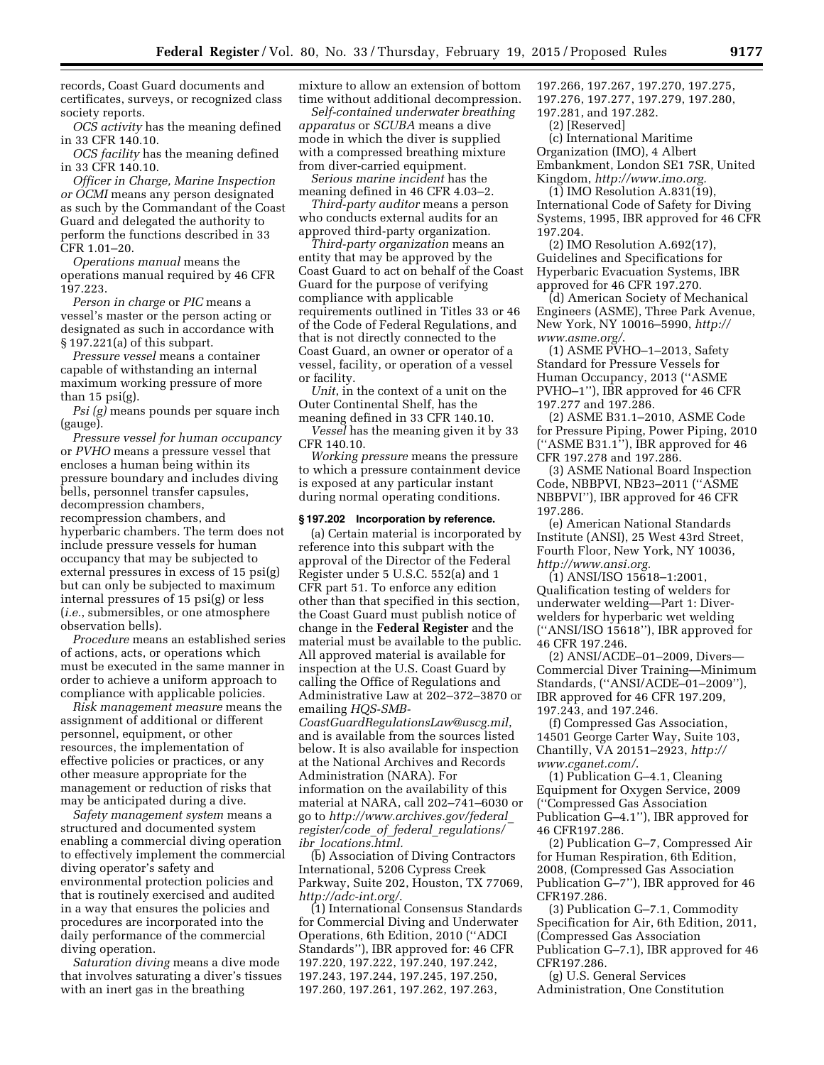records, Coast Guard documents and certificates, surveys, or recognized class society reports.

*OCS activity* has the meaning defined in 33 CFR 140.10.

*OCS facility* has the meaning defined in 33 CFR 140.10.

*Officer in Charge, Marine Inspection or OCMI* means any person designated as such by the Commandant of the Coast Guard and delegated the authority to perform the functions described in 33 CFR 1.01–20.

*Operations manual* means the operations manual required by 46 CFR 197.223.

*Person in charge* or *PIC* means a vessel's master or the person acting or designated as such in accordance with § 197.221(a) of this subpart.

*Pressure vessel* means a container capable of withstanding an internal maximum working pressure of more than 15 psi(g).

*Psi (g)* means pounds per square inch (gauge).

*Pressure vessel for human occupancy*  or *PVHO* means a pressure vessel that encloses a human being within its pressure boundary and includes diving bells, personnel transfer capsules, decompression chambers, recompression chambers, and hyperbaric chambers. The term does not include pressure vessels for human occupancy that may be subjected to external pressures in excess of 15 psi(g) but can only be subjected to maximum internal pressures of 15 psi(g) or less (*i.e.*, submersibles, or one atmosphere observation bells).

*Procedure* means an established series of actions, acts, or operations which must be executed in the same manner in order to achieve a uniform approach to compliance with applicable policies.

*Risk management measure* means the assignment of additional or different personnel, equipment, or other resources, the implementation of effective policies or practices, or any other measure appropriate for the management or reduction of risks that may be anticipated during a dive.

*Safety management system* means a structured and documented system enabling a commercial diving operation to effectively implement the commercial diving operator's safety and environmental protection policies and that is routinely exercised and audited in a way that ensures the policies and procedures are incorporated into the daily performance of the commercial diving operation.

*Saturation diving* means a dive mode that involves saturating a diver's tissues with an inert gas in the breathing

mixture to allow an extension of bottom time without additional decompression.

*Self-contained underwater breathing apparatus* or *SCUBA* means a dive mode in which the diver is supplied with a compressed breathing mixture from diver-carried equipment.

*Serious marine incident* has the meaning defined in 46 CFR 4.03–2.

*Third-party auditor* means a person who conducts external audits for an approved third-party organization.

*Third-party organization* means an entity that may be approved by the Coast Guard to act on behalf of the Coast Guard for the purpose of verifying compliance with applicable requirements outlined in Titles 33 or 46 of the Code of Federal Regulations, and that is not directly connected to the Coast Guard, an owner or operator of a vessel, facility, or operation of a vessel or facility.

*Unit*, in the context of a unit on the Outer Continental Shelf, has the meaning defined in 33 CFR 140.10.

*Vessel* has the meaning given it by 33 CFR 140.10.

*Working pressure* means the pressure to which a pressure containment device is exposed at any particular instant during normal operating conditions.

## **§ 197.202 Incorporation by reference.**

(a) Certain material is incorporated by reference into this subpart with the approval of the Director of the Federal Register under 5 U.S.C. 552(a) and 1 CFR part 51. To enforce any edition other than that specified in this section, the Coast Guard must publish notice of change in the **Federal Register** and the material must be available to the public. All approved material is available for inspection at the U.S. Coast Guard by calling the Office of Regulations and Administrative Law at 202–372–3870 or emailing *[HQS-SMB-](mailto:HQS-SMB-CoastGuardRegulationsLaw@uscg.mil)[CoastGuardRegulationsLaw@uscg.mil](mailto:HQS-SMB-CoastGuardRegulationsLaw@uscg.mil)*, and is available from the sources listed below. It is also available for inspection at the National Archives and Records Administration (NARA). For information on the availability of this material at NARA, call 202–741–6030 or go to *[http://www.archives.gov/federal](http://www.archives.gov/federal_register/code_of_federal_regulations/ibr_locations.html)*\_ *[register/code](http://www.archives.gov/federal_register/code_of_federal_regulations/ibr_locations.html)*\_*of*\_*federal*\_*regulations/ ibr*\_*[locations.html.](http://www.archives.gov/federal_register/code_of_federal_regulations/ibr_locations.html)* 

(b) Association of Diving Contractors International, 5206 Cypress Creek Parkway, Suite 202, Houston, TX 77069, *<http://adc-int.org/>*.

(1) International Consensus Standards for Commercial Diving and Underwater Operations, 6th Edition, 2010 (''ADCI Standards''), IBR approved for: 46 CFR 197.220, 197.222, 197.240, 197.242, 197.243, 197.244, 197.245, 197.250, 197.260, 197.261, 197.262, 197.263,

197.266, 197.267, 197.270, 197.275, 197.276, 197.277, 197.279, 197.280,

197.281, and 197.282. (2) [Reserved]

(c) International Maritime Organization (IMO), 4 Albert Embankment, London SE1 7SR, United Kingdom, *[http://www.imo.org.](http://www.imo.org)* 

 $(1)$  IMO Resolution A.831 $(19)$ International Code of Safety for Diving Systems, 1995, IBR approved for 46 CFR 197.204.

(2) IMO Resolution A.692(17), Guidelines and Specifications for Hyperbaric Evacuation Systems, IBR approved for 46 CFR 197.270.

(d) American Society of Mechanical Engineers (ASME), Three Park Avenue, New York, NY 10016–5990, *[http://](http://www.asme.org/) [www.asme.org/](http://www.asme.org/)*.

(1) ASME PVHO–1–2013, Safety Standard for Pressure Vessels for Human Occupancy, 2013 (''ASME PVHO–1''), IBR approved for 46 CFR 197.277 and 197.286.

(2) ASME B31.1–2010, ASME Code for Pressure Piping, Power Piping, 2010 (''ASME B31.1''), IBR approved for 46 CFR 197.278 and 197.286.

(3) ASME National Board Inspection Code, NBBPVI, NB23–2011 (''ASME NBBPVI''), IBR approved for 46 CFR 197.286.

(e) American National Standards Institute (ANSI), 25 West 43rd Street, Fourth Floor, New York, NY 10036, *[http://www.ansi.org.](http://www.ansi.org)* 

(1) ANSI/ISO 15618–1:2001, Qualification testing of welders for underwater welding—Part 1: Diverwelders for hyperbaric wet welding (''ANSI/ISO 15618''), IBR approved for 46 CFR 197.246.

(2) ANSI/ACDE–01–2009, Divers— Commercial Diver Training—Minimum Standards, (''ANSI/ACDE–01–2009''), IBR approved for 46 CFR 197.209, 197.243, and 197.246.

(f) Compressed Gas Association, 14501 George Carter Way, Suite 103, Chantilly, VA 20151–2923, *[http://](http://www.cganet.com/) [www.cganet.com/](http://www.cganet.com/)*.

(1) Publication G–4.1, Cleaning Equipment for Oxygen Service, 2009 (''Compressed Gas Association Publication G–4.1''), IBR approved for 46 CFR197.286.

(2) Publication G–7, Compressed Air for Human Respiration, 6th Edition, 2008, (Compressed Gas Association Publication G–7''), IBR approved for 46 CFR197.286.

(3) Publication G–7.1, Commodity Specification for Air, 6th Edition, 2011, (Compressed Gas Association Publication G–7.1), IBR approved for 46 CFR197.286.

(g) U.S. General Services Administration, One Constitution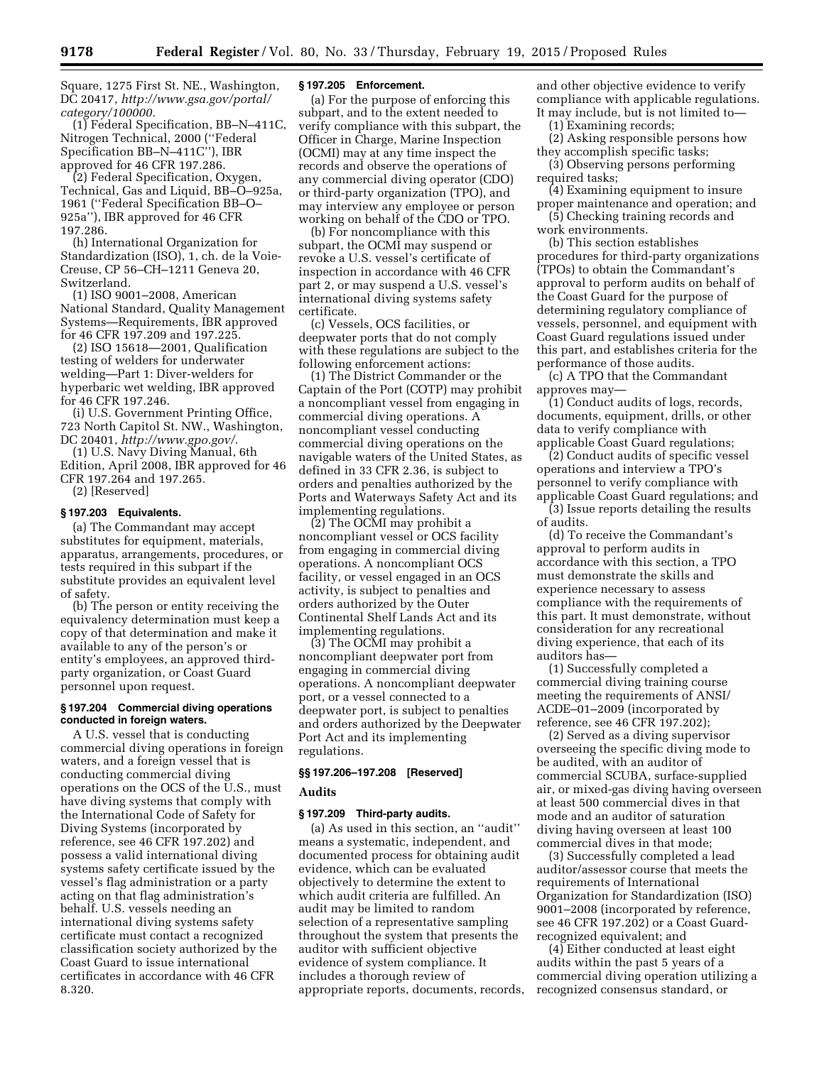Square, 1275 First St. NE., Washington, DC 20417, *[http://www.gsa.gov/portal/](http://www.gsa.gov/portal/category/100000) [category/100000.](http://www.gsa.gov/portal/category/100000)* 

(1) Federal Specification, BB–N–411C, Nitrogen Technical, 2000 (''Federal Specification BB–N–411C''), IBR approved for 46 CFR 197.286.

(2) Federal Specification, Oxygen, Technical, Gas and Liquid, BB–O–925a, 1961 (''Federal Specification BB–O– 925a''), IBR approved for 46 CFR 197.286.

(h) International Organization for Standardization (ISO), 1, ch. de la Voie-Creuse, CP 56–CH–1211 Geneva 20, Switzerland.

(1) ISO 9001–2008, American National Standard, Quality Management Systems—Requirements, IBR approved for 46 CFR 197.209 and 197.225.

(2) ISO 15618—2001, Qualification testing of welders for underwater welding—Part 1: Diver-welders for hyperbaric wet welding, IBR approved for 46 CFR 197.246.

(i) U.S. Government Printing Office, 723 North Capitol St. NW., Washington, DC 20401, *<http://www.gpo.gov/>*.

(1) U.S. Navy Diving Manual, 6th Edition, April 2008, IBR approved for 46 CFR 197.264 and 197.265. (2) [Reserved]

# **§ 197.203 Equivalents.**

(a) The Commandant may accept substitutes for equipment, materials, apparatus, arrangements, procedures, or tests required in this subpart if the substitute provides an equivalent level of safety.

(b) The person or entity receiving the equivalency determination must keep a copy of that determination and make it available to any of the person's or entity's employees, an approved thirdparty organization, or Coast Guard personnel upon request.

# **§ 197.204 Commercial diving operations conducted in foreign waters.**

A U.S. vessel that is conducting commercial diving operations in foreign waters, and a foreign vessel that is conducting commercial diving operations on the OCS of the U.S., must have diving systems that comply with the International Code of Safety for Diving Systems (incorporated by reference, see 46 CFR 197.202) and possess a valid international diving systems safety certificate issued by the vessel's flag administration or a party acting on that flag administration's behalf. U.S. vessels needing an international diving systems safety certificate must contact a recognized classification society authorized by the Coast Guard to issue international certificates in accordance with 46 CFR 8.320.

#### **§ 197.205 Enforcement.**

(a) For the purpose of enforcing this subpart, and to the extent needed to verify compliance with this subpart, the Officer in Charge, Marine Inspection (OCMI) may at any time inspect the records and observe the operations of any commercial diving operator (CDO) or third-party organization (TPO), and may interview any employee or person working on behalf of the CDO or TPO.

(b) For noncompliance with this subpart, the OCMI may suspend or revoke a U.S. vessel's certificate of inspection in accordance with 46 CFR part 2, or may suspend a U.S. vessel's international diving systems safety certificate.

(c) Vessels, OCS facilities, or deepwater ports that do not comply with these regulations are subject to the following enforcement actions:

(1) The District Commander or the Captain of the Port (COTP) may prohibit a noncompliant vessel from engaging in commercial diving operations. A noncompliant vessel conducting commercial diving operations on the navigable waters of the United States, as defined in 33 CFR 2.36, is subject to orders and penalties authorized by the Ports and Waterways Safety Act and its implementing regulations.

(2) The OCMI may prohibit a noncompliant vessel or OCS facility from engaging in commercial diving operations. A noncompliant OCS facility, or vessel engaged in an OCS activity, is subject to penalties and orders authorized by the Outer Continental Shelf Lands Act and its implementing regulations.

(3) The OCMI may prohibit a noncompliant deepwater port from engaging in commercial diving operations. A noncompliant deepwater port, or a vessel connected to a deepwater port, is subject to penalties and orders authorized by the Deepwater Port Act and its implementing regulations.

# **§§ 197.206–197.208 [Reserved]**

# **Audits**

# **§ 197.209 Third-party audits.**

(a) As used in this section, an ''audit'' means a systematic, independent, and documented process for obtaining audit evidence, which can be evaluated objectively to determine the extent to which audit criteria are fulfilled. An audit may be limited to random selection of a representative sampling throughout the system that presents the auditor with sufficient objective evidence of system compliance. It includes a thorough review of appropriate reports, documents, records, and other objective evidence to verify compliance with applicable regulations. It may include, but is not limited to—

(1) Examining records;

(2) Asking responsible persons how they accomplish specific tasks;

(3) Observing persons performing required tasks;

(4) Examining equipment to insure proper maintenance and operation; and

(5) Checking training records and work environments.

(b) This section establishes procedures for third-party organizations (TPOs) to obtain the Commandant's approval to perform audits on behalf of the Coast Guard for the purpose of determining regulatory compliance of vessels, personnel, and equipment with Coast Guard regulations issued under this part, and establishes criteria for the performance of those audits.

(c) A TPO that the Commandant approves may—

(1) Conduct audits of logs, records, documents, equipment, drills, or other data to verify compliance with applicable Coast Guard regulations;

(2) Conduct audits of specific vessel operations and interview a TPO's personnel to verify compliance with applicable Coast Guard regulations; and

(3) Issue reports detailing the results of audits.

(d) To receive the Commandant's approval to perform audits in accordance with this section, a TPO must demonstrate the skills and experience necessary to assess compliance with the requirements of this part. It must demonstrate, without consideration for any recreational diving experience, that each of its auditors has—

(1) Successfully completed a commercial diving training course meeting the requirements of ANSI/ ACDE–01–2009 (incorporated by reference, see 46 CFR 197.202);

(2) Served as a diving supervisor overseeing the specific diving mode to be audited, with an auditor of commercial SCUBA, surface-supplied air, or mixed-gas diving having overseen at least 500 commercial dives in that mode and an auditor of saturation diving having overseen at least 100 commercial dives in that mode;

(3) Successfully completed a lead auditor/assessor course that meets the requirements of International Organization for Standardization (ISO) 9001–2008 (incorporated by reference, see 46 CFR 197.202) or a Coast Guardrecognized equivalent; and

(4) Either conducted at least eight audits within the past 5 years of a commercial diving operation utilizing a recognized consensus standard, or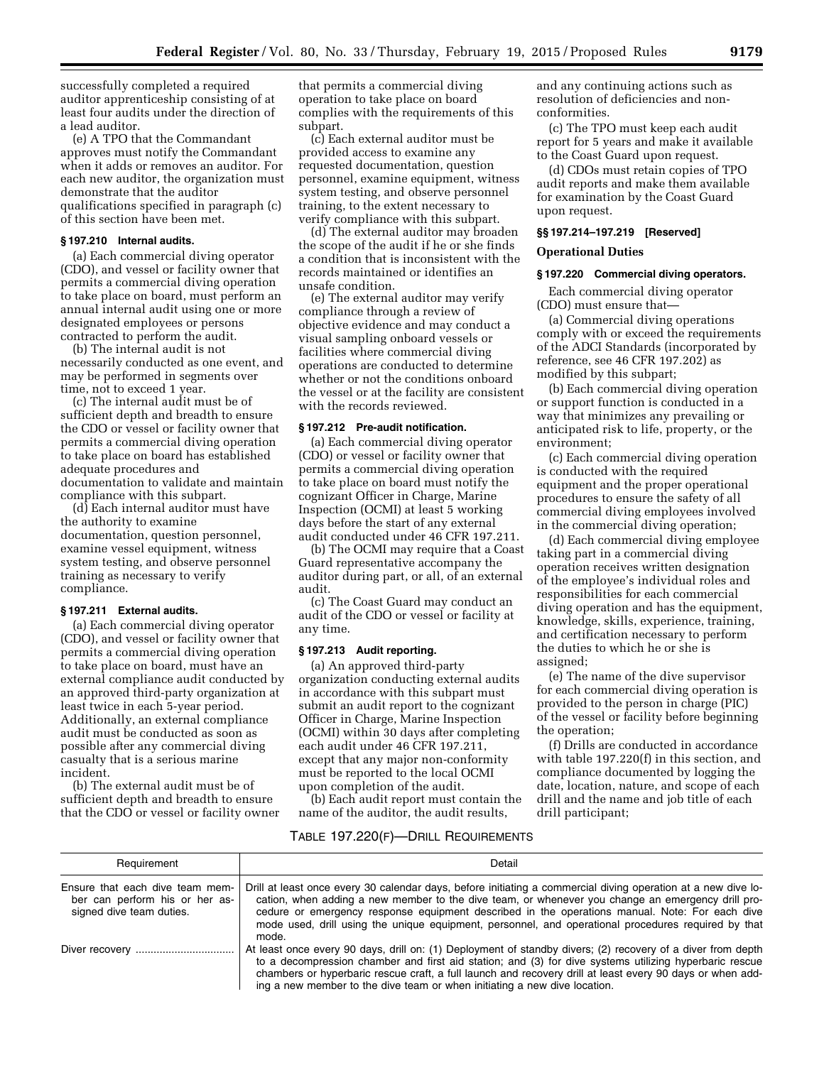successfully completed a required auditor apprenticeship consisting of at least four audits under the direction of a lead auditor.

(e) A TPO that the Commandant approves must notify the Commandant when it adds or removes an auditor. For each new auditor, the organization must demonstrate that the auditor qualifications specified in paragraph (c) of this section have been met.

# **§ 197.210 Internal audits.**

(a) Each commercial diving operator (CDO), and vessel or facility owner that permits a commercial diving operation to take place on board, must perform an annual internal audit using one or more designated employees or persons contracted to perform the audit.

(b) The internal audit is not necessarily conducted as one event, and may be performed in segments over time, not to exceed 1 year.

(c) The internal audit must be of sufficient depth and breadth to ensure the CDO or vessel or facility owner that permits a commercial diving operation to take place on board has established adequate procedures and documentation to validate and maintain compliance with this subpart.

(d) Each internal auditor must have the authority to examine documentation, question personnel, examine vessel equipment, witness system testing, and observe personnel training as necessary to verify compliance.

#### **§ 197.211 External audits.**

(a) Each commercial diving operator (CDO), and vessel or facility owner that permits a commercial diving operation to take place on board, must have an external compliance audit conducted by an approved third-party organization at least twice in each 5-year period. Additionally, an external compliance audit must be conducted as soon as possible after any commercial diving casualty that is a serious marine incident.

(b) The external audit must be of sufficient depth and breadth to ensure that the CDO or vessel or facility owner that permits a commercial diving operation to take place on board complies with the requirements of this subpart.

(c) Each external auditor must be provided access to examine any requested documentation, question personnel, examine equipment, witness system testing, and observe personnel training, to the extent necessary to verify compliance with this subpart.

(d) The external auditor may broaden the scope of the audit if he or she finds a condition that is inconsistent with the records maintained or identifies an unsafe condition.

(e) The external auditor may verify compliance through a review of objective evidence and may conduct a visual sampling onboard vessels or facilities where commercial diving operations are conducted to determine whether or not the conditions onboard the vessel or at the facility are consistent with the records reviewed.

#### **§ 197.212 Pre-audit notification.**

(a) Each commercial diving operator (CDO) or vessel or facility owner that permits a commercial diving operation to take place on board must notify the cognizant Officer in Charge, Marine Inspection (OCMI) at least 5 working days before the start of any external audit conducted under 46 CFR 197.211.

(b) The OCMI may require that a Coast Guard representative accompany the auditor during part, or all, of an external audit.

(c) The Coast Guard may conduct an audit of the CDO or vessel or facility at any time.

# **§ 197.213 Audit reporting.**

(a) An approved third-party organization conducting external audits in accordance with this subpart must submit an audit report to the cognizant Officer in Charge, Marine Inspection (OCMI) within 30 days after completing each audit under 46 CFR 197.211, except that any major non-conformity must be reported to the local OCMI upon completion of the audit.

(b) Each audit report must contain the name of the auditor, the audit results,

and any continuing actions such as resolution of deficiencies and nonconformities.

(c) The TPO must keep each audit report for 5 years and make it available to the Coast Guard upon request.

(d) CDOs must retain copies of TPO audit reports and make them available for examination by the Coast Guard upon request.

#### **§§ 197.214–197.219 [Reserved]**

## **Operational Duties**

# **§ 197.220 Commercial diving operators.**

Each commercial diving operator (CDO) must ensure that—

(a) Commercial diving operations comply with or exceed the requirements of the ADCI Standards (incorporated by reference, see 46 CFR 197.202) as modified by this subpart;

(b) Each commercial diving operation or support function is conducted in a way that minimizes any prevailing or anticipated risk to life, property, or the environment;

(c) Each commercial diving operation is conducted with the required equipment and the proper operational procedures to ensure the safety of all commercial diving employees involved in the commercial diving operation;

(d) Each commercial diving employee taking part in a commercial diving operation receives written designation of the employee's individual roles and responsibilities for each commercial diving operation and has the equipment, knowledge, skills, experience, training, and certification necessary to perform the duties to which he or she is assigned;

(e) The name of the dive supervisor for each commercial diving operation is provided to the person in charge (PIC) of the vessel or facility before beginning the operation;

(f) Drills are conducted in accordance with table 197.220(f) in this section, and compliance documented by logging the date, location, nature, and scope of each drill and the name and job title of each drill participant;

## TABLE 197.220(F)—DRILL REQUIREMENTS

| Requirement                                                                                   | Detail                                                                                                                                                                                                                                                                                                                                                                                                                               |
|-----------------------------------------------------------------------------------------------|--------------------------------------------------------------------------------------------------------------------------------------------------------------------------------------------------------------------------------------------------------------------------------------------------------------------------------------------------------------------------------------------------------------------------------------|
| Ensure that each dive team mem-<br>ber can perform his or her as-<br>signed dive team duties. | Drill at least once every 30 calendar days, before initiating a commercial diving operation at a new dive lo-<br>cation, when adding a new member to the dive team, or whenever you change an emergency drill pro-<br>cedure or emergency response equipment described in the operations manual. Note: For each dive<br>mode used, drill using the unique equipment, personnel, and operational procedures required by that<br>mode. |
|                                                                                               | At least once every 90 days, drill on: (1) Deployment of standby divers; (2) recovery of a diver from depth<br>to a decompression chamber and first aid station; and (3) for dive systems utilizing hyperbaric rescue<br>chambers or hyperbaric rescue craft, a full launch and recovery drill at least every 90 days or when add-<br>ing a new member to the dive team or when initiating a new dive location.                      |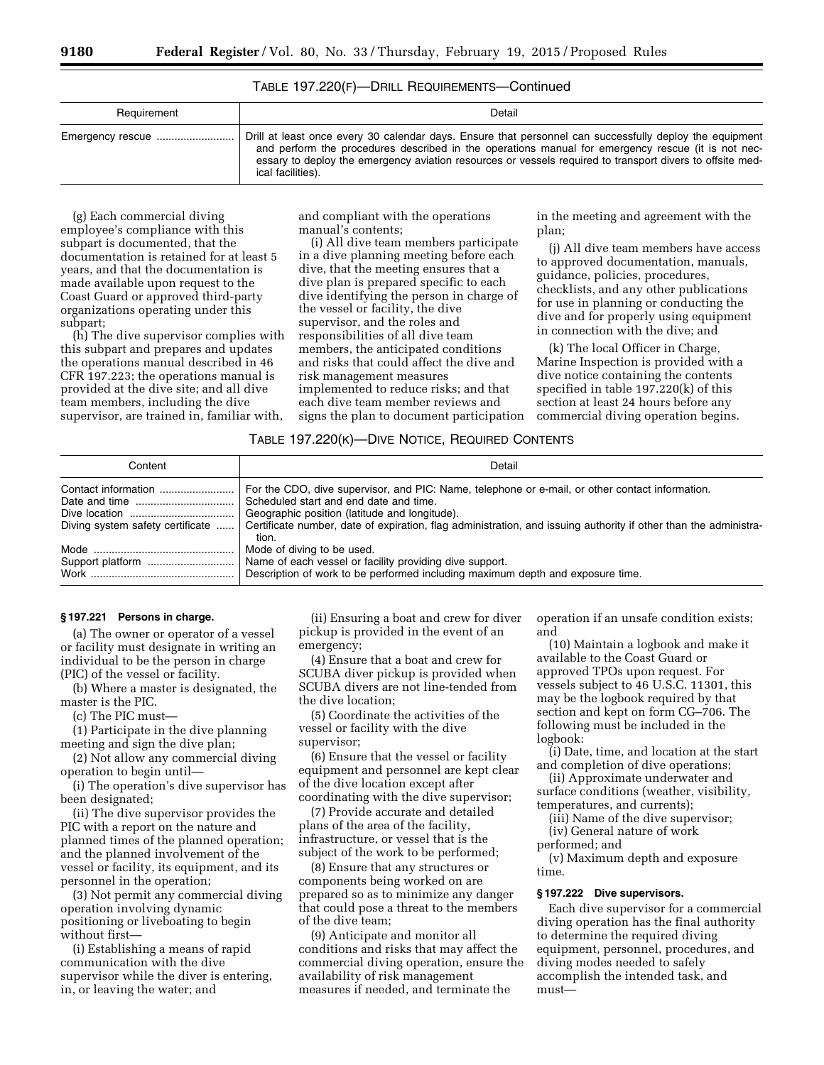| TABLE 197.220(F)-DRILL REQUIREMENTS-Continued |  |
|-----------------------------------------------|--|
|-----------------------------------------------|--|

| Requirement | Detail                                                                                                                                                                                                                                                                                                                                          |
|-------------|-------------------------------------------------------------------------------------------------------------------------------------------------------------------------------------------------------------------------------------------------------------------------------------------------------------------------------------------------|
|             | Drill at least once every 30 calendar days. Ensure that personnel can successfully deploy the equipment<br>and perform the procedures described in the operations manual for emergency rescue (it is not nec-<br>essary to deploy the emergency aviation resources or vessels required to transport divers to offsite med-<br>ical facilities). |

(g) Each commercial diving employee's compliance with this subpart is documented, that the documentation is retained for at least 5 years, and that the documentation is made available upon request to the Coast Guard or approved third-party organizations operating under this subpart;

(h) The dive supervisor complies with this subpart and prepares and updates the operations manual described in 46 CFR 197.223; the operations manual is provided at the dive site; and all dive team members, including the dive supervisor, are trained in, familiar with,

and compliant with the operations manual's contents;

(i) All dive team members participate in a dive planning meeting before each dive, that the meeting ensures that a dive plan is prepared specific to each dive identifying the person in charge of the vessel or facility, the dive supervisor, and the roles and responsibilities of all dive team members, the anticipated conditions and risks that could affect the dive and risk management measures implemented to reduce risks; and that each dive team member reviews and signs the plan to document participation in the meeting and agreement with the plan;

(j) All dive team members have access to approved documentation, manuals, guidance, policies, procedures, checklists, and any other publications for use in planning or conducting the dive and for properly using equipment in connection with the dive; and

(k) The local Officer in Charge, Marine Inspection is provided with a dive notice containing the contents specified in table 197.220(k) of this section at least 24 hours before any commercial diving operation begins.

## TABLE 197.220(K)—DIVE NOTICE, REQUIRED CONTENTS

| Content                          | Detail                                                                                                                    |  |  |
|----------------------------------|---------------------------------------------------------------------------------------------------------------------------|--|--|
| Contact information              | For the CDO, dive supervisor, and PIC: Name, telephone or e-mail, or other contact information.                           |  |  |
|                                  | Scheduled start and end date and time.                                                                                    |  |  |
|                                  | Geographic position (latitude and longitude).                                                                             |  |  |
| Diving system safety certificate | Certificate number, date of expiration, flag administration, and issuing authority if other than the administra-<br>tion. |  |  |
|                                  | Mode of diving to be used.                                                                                                |  |  |
|                                  | Name of each vessel or facility providing dive support.                                                                   |  |  |
|                                  | Description of work to be performed including maximum depth and exposure time.                                            |  |  |

# **§ 197.221 Persons in charge.**

(a) The owner or operator of a vessel or facility must designate in writing an individual to be the person in charge (PIC) of the vessel or facility.

(b) Where a master is designated, the master is the PIC.

(c) The PIC must—

(1) Participate in the dive planning meeting and sign the dive plan;

(2) Not allow any commercial diving operation to begin until—

(i) The operation's dive supervisor has been designated;

(ii) The dive supervisor provides the PIC with a report on the nature and planned times of the planned operation; and the planned involvement of the vessel or facility, its equipment, and its personnel in the operation;

(3) Not permit any commercial diving operation involving dynamic positioning or liveboating to begin without first—

(i) Establishing a means of rapid communication with the dive supervisor while the diver is entering, in, or leaving the water; and

(ii) Ensuring a boat and crew for diver pickup is provided in the event of an emergency;

(4) Ensure that a boat and crew for SCUBA diver pickup is provided when SCUBA divers are not line-tended from the dive location;

(5) Coordinate the activities of the vessel or facility with the dive supervisor;

(6) Ensure that the vessel or facility equipment and personnel are kept clear of the dive location except after coordinating with the dive supervisor;

(7) Provide accurate and detailed plans of the area of the facility, infrastructure, or vessel that is the subject of the work to be performed;

(8) Ensure that any structures or components being worked on are prepared so as to minimize any danger that could pose a threat to the members of the dive team;

(9) Anticipate and monitor all conditions and risks that may affect the commercial diving operation, ensure the availability of risk management measures if needed, and terminate the

operation if an unsafe condition exists; and

(10) Maintain a logbook and make it available to the Coast Guard or approved TPOs upon request. For vessels subject to 46 U.S.C. 11301, this may be the logbook required by that section and kept on form CG–706. The following must be included in the logbook:

(i) Date, time, and location at the start and completion of dive operations;

(ii) Approximate underwater and surface conditions (weather, visibility, temperatures, and currents);

(iii) Name of the dive supervisor;

(iv) General nature of work performed; and

(v) Maximum depth and exposure time.

#### **§ 197.222 Dive supervisors.**

Each dive supervisor for a commercial diving operation has the final authority to determine the required diving equipment, personnel, procedures, and diving modes needed to safely accomplish the intended task, and must—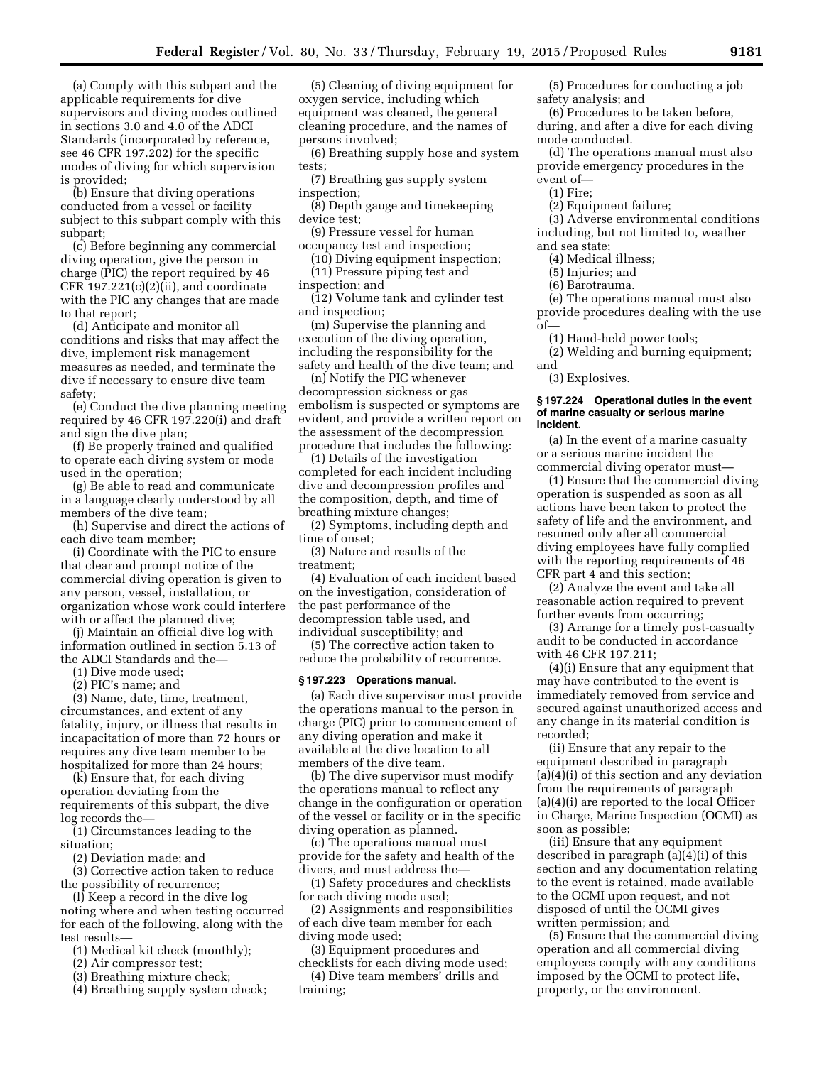(a) Comply with this subpart and the applicable requirements for dive supervisors and diving modes outlined in sections 3.0 and 4.0 of the ADCI Standards (incorporated by reference, see 46 CFR 197.202) for the specific modes of diving for which supervision is provided;

(b) Ensure that diving operations conducted from a vessel or facility subject to this subpart comply with this subpart;

(c) Before beginning any commercial diving operation, give the person in charge (PIC) the report required by 46 CFR  $197.221(c)(2)(ii)$ , and coordinate with the PIC any changes that are made to that report;

(d) Anticipate and monitor all conditions and risks that may affect the dive, implement risk management measures as needed, and terminate the dive if necessary to ensure dive team safety;

(e) Conduct the dive planning meeting required by 46 CFR 197.220(i) and draft and sign the dive plan;

(f) Be properly trained and qualified to operate each diving system or mode used in the operation;

(g) Be able to read and communicate in a language clearly understood by all members of the dive team;

(h) Supervise and direct the actions of each dive team member;

(i) Coordinate with the PIC to ensure that clear and prompt notice of the commercial diving operation is given to any person, vessel, installation, or organization whose work could interfere with or affect the planned dive;

(j) Maintain an official dive log with information outlined in section 5.13 of the ADCI Standards and the—

(1) Dive mode used;

(2) PIC's name; and

(3) Name, date, time, treatment, circumstances, and extent of any fatality, injury, or illness that results in incapacitation of more than 72 hours or requires any dive team member to be hospitalized for more than 24 hours;

(k) Ensure that, for each diving operation deviating from the requirements of this subpart, the dive log records the—

(1) Circumstances leading to the situation;

(2) Deviation made; and

(3) Corrective action taken to reduce the possibility of recurrence;

(l) Keep a record in the dive log noting where and when testing occurred for each of the following, along with the test results—

(1) Medical kit check (monthly);

(2) Air compressor test;

(3) Breathing mixture check;

(4) Breathing supply system check;

(5) Cleaning of diving equipment for oxygen service, including which equipment was cleaned, the general cleaning procedure, and the names of persons involved;

(6) Breathing supply hose and system tests;

(7) Breathing gas supply system inspection;

(8) Depth gauge and timekeeping device test;

(9) Pressure vessel for human occupancy test and inspection;

(10) Diving equipment inspection; (11) Pressure piping test and

inspection; and

(12) Volume tank and cylinder test and inspection;

(m) Supervise the planning and execution of the diving operation, including the responsibility for the safety and health of the dive team; and

(n) Notify the PIC whenever decompression sickness or gas embolism is suspected or symptoms are evident, and provide a written report on the assessment of the decompression procedure that includes the following:

(1) Details of the investigation completed for each incident including dive and decompression profiles and the composition, depth, and time of breathing mixture changes;

(2) Symptoms, including depth and time of onset;

(3) Nature and results of the treatment;

(4) Evaluation of each incident based on the investigation, consideration of the past performance of the decompression table used, and individual susceptibility; and

(5) The corrective action taken to reduce the probability of recurrence.

#### **§ 197.223 Operations manual.**

(a) Each dive supervisor must provide the operations manual to the person in charge (PIC) prior to commencement of any diving operation and make it available at the dive location to all members of the dive team.

(b) The dive supervisor must modify the operations manual to reflect any change in the configuration or operation of the vessel or facility or in the specific diving operation as planned.

(c) The operations manual must provide for the safety and health of the divers, and must address the—

(1) Safety procedures and checklists for each diving mode used;

(2) Assignments and responsibilities of each dive team member for each diving mode used;

(3) Equipment procedures and

checklists for each diving mode used; (4) Dive team members' drills and training;

(5) Procedures for conducting a job safety analysis; and

(6) Procedures to be taken before, during, and after a dive for each diving mode conducted.

(d) The operations manual must also provide emergency procedures in the event of—

(1) Fire;

(2) Equipment failure;

(3) Adverse environmental conditions including, but not limited to, weather and sea state;

(4) Medical illness;

(5) Injuries; and

(6) Barotrauma.

(e) The operations manual must also provide procedures dealing with the use of—

(1) Hand-held power tools;

(2) Welding and burning equipment; and

(3) Explosives.

#### **§ 197.224 Operational duties in the event of marine casualty or serious marine incident.**

(a) In the event of a marine casualty or a serious marine incident the commercial diving operator must—

(1) Ensure that the commercial diving operation is suspended as soon as all actions have been taken to protect the safety of life and the environment, and resumed only after all commercial diving employees have fully complied with the reporting requirements of 46 CFR part 4 and this section;

(2) Analyze the event and take all reasonable action required to prevent further events from occurring;

(3) Arrange for a timely post-casualty audit to be conducted in accordance with 46 CFR 197.211;

(4)(i) Ensure that any equipment that may have contributed to the event is immediately removed from service and secured against unauthorized access and any change in its material condition is recorded;

(ii) Ensure that any repair to the equipment described in paragraph (a)(4)(i) of this section and any deviation from the requirements of paragraph (a)(4)(i) are reported to the local Officer in Charge, Marine Inspection (OCMI) as soon as possible;

(iii) Ensure that any equipment described in paragraph (a)(4)(i) of this section and any documentation relating to the event is retained, made available to the OCMI upon request, and not disposed of until the OCMI gives written permission; and

(5) Ensure that the commercial diving operation and all commercial diving employees comply with any conditions imposed by the OCMI to protect life, property, or the environment.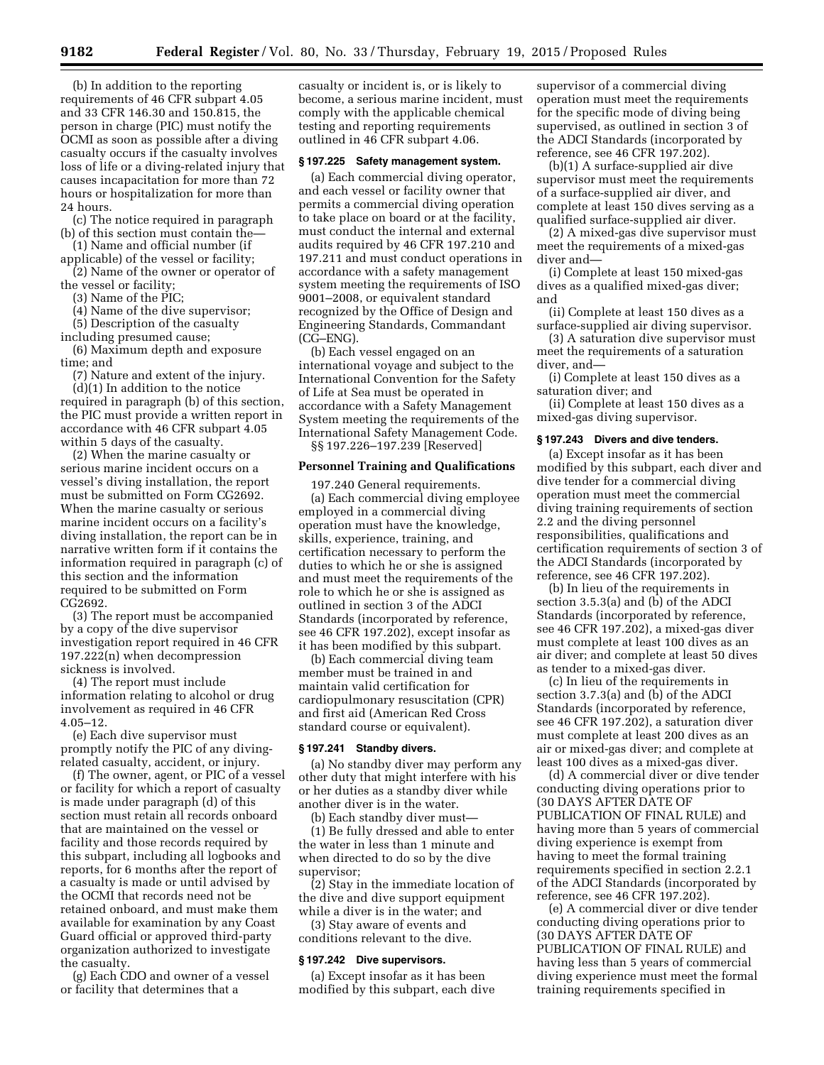(b) In addition to the reporting requirements of 46 CFR subpart 4.05 and 33 CFR 146.30 and 150.815, the person in charge (PIC) must notify the OCMI as soon as possible after a diving casualty occurs if the casualty involves loss of life or a diving-related injury that causes incapacitation for more than 72 hours or hospitalization for more than 24 hours.

(c) The notice required in paragraph (b) of this section must contain the—

(1) Name and official number (if applicable) of the vessel or facility;

(2) Name of the owner or operator of the vessel or facility;

(3) Name of the PIC;

(4) Name of the dive supervisor;

(5) Description of the casualty

including presumed cause;

(6) Maximum depth and exposure time; and

(7) Nature and extent of the injury. (d)(1) In addition to the notice required in paragraph (b) of this section, the PIC must provide a written report in accordance with 46 CFR subpart 4.05 within 5 days of the casualty.

(2) When the marine casualty or serious marine incident occurs on a vessel's diving installation, the report must be submitted on Form CG2692. When the marine casualty or serious marine incident occurs on a facility's diving installation, the report can be in narrative written form if it contains the information required in paragraph (c) of this section and the information required to be submitted on Form CG2692.

(3) The report must be accompanied by a copy of the dive supervisor investigation report required in 46 CFR 197.222(n) when decompression sickness is involved.

(4) The report must include information relating to alcohol or drug involvement as required in 46 CFR 4.05–12.

(e) Each dive supervisor must promptly notify the PIC of any divingrelated casualty, accident, or injury.

(f) The owner, agent, or PIC of a vessel or facility for which a report of casualty is made under paragraph (d) of this section must retain all records onboard that are maintained on the vessel or facility and those records required by this subpart, including all logbooks and reports, for 6 months after the report of a casualty is made or until advised by the OCMI that records need not be retained onboard, and must make them available for examination by any Coast Guard official or approved third-party organization authorized to investigate the casualty.

(g) Each CDO and owner of a vessel or facility that determines that a

casualty or incident is, or is likely to become, a serious marine incident, must comply with the applicable chemical testing and reporting requirements outlined in 46 CFR subpart 4.06.

#### **§ 197.225 Safety management system.**

(a) Each commercial diving operator, and each vessel or facility owner that permits a commercial diving operation to take place on board or at the facility, must conduct the internal and external audits required by 46 CFR 197.210 and 197.211 and must conduct operations in accordance with a safety management system meeting the requirements of ISO 9001–2008, or equivalent standard recognized by the Office of Design and Engineering Standards, Commandant (CG–ENG).

(b) Each vessel engaged on an international voyage and subject to the International Convention for the Safety of Life at Sea must be operated in accordance with a Safety Management System meeting the requirements of the International Safety Management Code. §§ 197.226–197.239 [Reserved]

#### **Personnel Training and Qualifications**

197.240 General requirements. (a) Each commercial diving employee employed in a commercial diving operation must have the knowledge, skills, experience, training, and certification necessary to perform the duties to which he or she is assigned and must meet the requirements of the role to which he or she is assigned as outlined in section 3 of the ADCI Standards (incorporated by reference, see 46 CFR 197.202), except insofar as it has been modified by this subpart.

(b) Each commercial diving team member must be trained in and maintain valid certification for cardiopulmonary resuscitation (CPR) and first aid (American Red Cross standard course or equivalent).

#### **§ 197.241 Standby divers.**

(a) No standby diver may perform any other duty that might interfere with his or her duties as a standby diver while another diver is in the water.

(b) Each standby diver must—

(1) Be fully dressed and able to enter the water in less than 1 minute and when directed to do so by the dive supervisor;

(2) Stay in the immediate location of the dive and dive support equipment

while a diver is in the water; and (3) Stay aware of events and conditions relevant to the dive.

# **§ 197.242 Dive supervisors.**

(a) Except insofar as it has been modified by this subpart, each dive supervisor of a commercial diving operation must meet the requirements for the specific mode of diving being supervised, as outlined in section 3 of the ADCI Standards (incorporated by reference, see 46 CFR 197.202).

(b)(1) A surface-supplied air dive supervisor must meet the requirements of a surface-supplied air diver, and complete at least 150 dives serving as a qualified surface-supplied air diver.

(2) A mixed-gas dive supervisor must meet the requirements of a mixed-gas diver and—

(i) Complete at least 150 mixed-gas dives as a qualified mixed-gas diver; and

(ii) Complete at least 150 dives as a surface-supplied air diving supervisor.

(3) A saturation dive supervisor must meet the requirements of a saturation diver, and—

(i) Complete at least 150 dives as a saturation diver; and

(ii) Complete at least 150 dives as a mixed-gas diving supervisor.

#### **§ 197.243 Divers and dive tenders.**

(a) Except insofar as it has been modified by this subpart, each diver and dive tender for a commercial diving operation must meet the commercial diving training requirements of section 2.2 and the diving personnel responsibilities, qualifications and certification requirements of section 3 of the ADCI Standards (incorporated by reference, see 46 CFR 197.202).

(b) In lieu of the requirements in section 3.5.3(a) and (b) of the ADCI Standards (incorporated by reference, see 46 CFR 197.202), a mixed-gas diver must complete at least 100 dives as an air diver; and complete at least 50 dives as tender to a mixed-gas diver.

(c) In lieu of the requirements in section 3.7.3(a) and (b) of the ADCI Standards (incorporated by reference, see 46 CFR 197.202), a saturation diver must complete at least 200 dives as an air or mixed-gas diver; and complete at least 100 dives as a mixed-gas diver.

(d) A commercial diver or dive tender conducting diving operations prior to (30 DAYS AFTER DATE OF PUBLICATION OF FINAL RULE) and having more than 5 years of commercial diving experience is exempt from having to meet the formal training requirements specified in section 2.2.1 of the ADCI Standards (incorporated by reference, see 46 CFR 197.202).

(e) A commercial diver or dive tender conducting diving operations prior to (30 DAYS AFTER DATE OF PUBLICATION OF FINAL RULE) and having less than 5 years of commercial diving experience must meet the formal training requirements specified in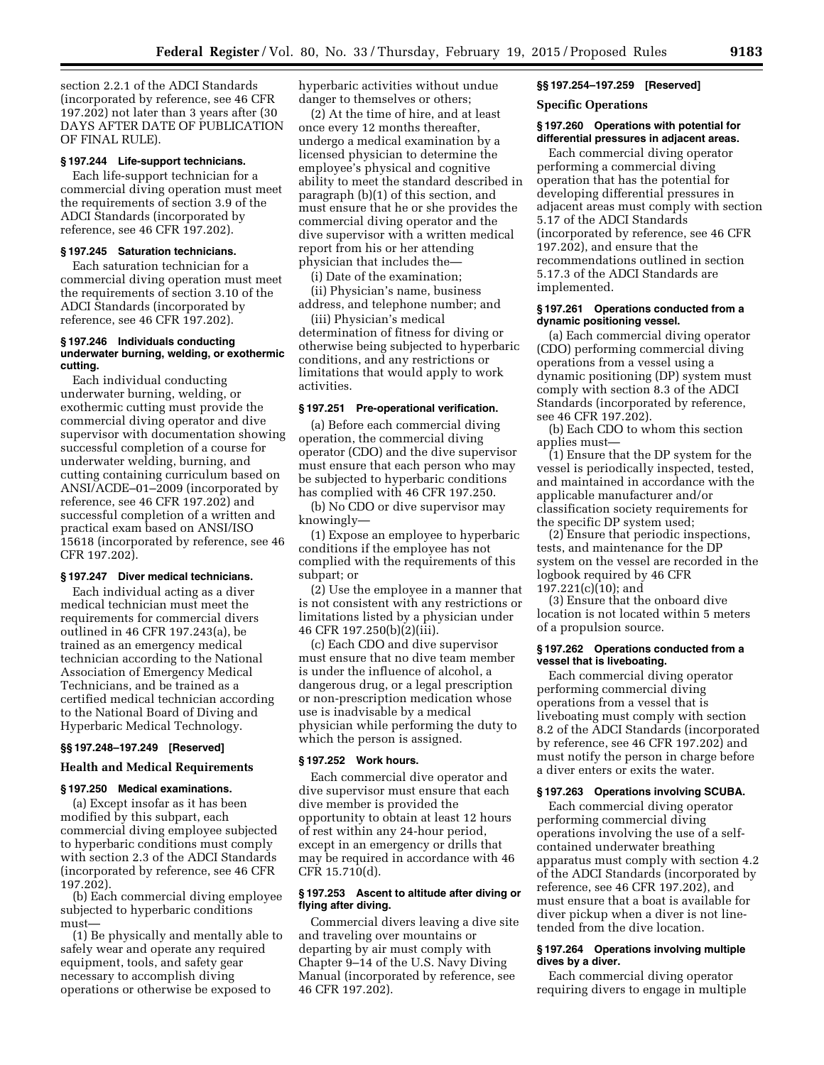section 2.2.1 of the ADCI Standards (incorporated by reference, see 46 CFR 197.202) not later than 3 years after (30 DAYS AFTER DATE OF PUBLICATION OF FINAL RULE).

#### **§ 197.244 Life-support technicians.**

Each life-support technician for a commercial diving operation must meet the requirements of section 3.9 of the ADCI Standards (incorporated by reference, see 46 CFR 197.202).

## **§ 197.245 Saturation technicians.**

Each saturation technician for a commercial diving operation must meet the requirements of section 3.10 of the ADCI Standards (incorporated by reference, see 46 CFR 197.202).

#### **§ 197.246 Individuals conducting underwater burning, welding, or exothermic cutting.**

Each individual conducting underwater burning, welding, or exothermic cutting must provide the commercial diving operator and dive supervisor with documentation showing successful completion of a course for underwater welding, burning, and cutting containing curriculum based on ANSI/ACDE–01–2009 (incorporated by reference, see 46 CFR 197.202) and successful completion of a written and practical exam based on ANSI/ISO 15618 (incorporated by reference, see 46 CFR 197.202).

#### **§ 197.247 Diver medical technicians.**

Each individual acting as a diver medical technician must meet the requirements for commercial divers outlined in 46 CFR 197.243(a), be trained as an emergency medical technician according to the National Association of Emergency Medical Technicians, and be trained as a certified medical technician according to the National Board of Diving and Hyperbaric Medical Technology.

#### **§§ 197.248–197.249 [Reserved]**

# **Health and Medical Requirements**

# **§ 197.250 Medical examinations.**

(a) Except insofar as it has been modified by this subpart, each commercial diving employee subjected to hyperbaric conditions must comply with section 2.3 of the ADCI Standards (incorporated by reference, see 46 CFR 197.202).

(b) Each commercial diving employee subjected to hyperbaric conditions must—

(1) Be physically and mentally able to safely wear and operate any required equipment, tools, and safety gear necessary to accomplish diving operations or otherwise be exposed to

hyperbaric activities without undue danger to themselves or others;

(2) At the time of hire, and at least once every 12 months thereafter, undergo a medical examination by a licensed physician to determine the employee's physical and cognitive ability to meet the standard described in paragraph (b)(1) of this section, and must ensure that he or she provides the commercial diving operator and the dive supervisor with a written medical report from his or her attending physician that includes the—

(i) Date of the examination;

(ii) Physician's name, business address, and telephone number; and

(iii) Physician's medical determination of fitness for diving or otherwise being subjected to hyperbaric conditions, and any restrictions or limitations that would apply to work activities.

# **§ 197.251 Pre-operational verification.**

(a) Before each commercial diving operation, the commercial diving operator (CDO) and the dive supervisor must ensure that each person who may be subjected to hyperbaric conditions has complied with 46 CFR 197.250.

(b) No CDO or dive supervisor may knowingly—

(1) Expose an employee to hyperbaric conditions if the employee has not complied with the requirements of this subpart; or

(2) Use the employee in a manner that is not consistent with any restrictions or limitations listed by a physician under 46 CFR 197.250(b)(2)(iii).

(c) Each CDO and dive supervisor must ensure that no dive team member is under the influence of alcohol, a dangerous drug, or a legal prescription or non-prescription medication whose use is inadvisable by a medical physician while performing the duty to which the person is assigned.

#### **§ 197.252 Work hours.**

Each commercial dive operator and dive supervisor must ensure that each dive member is provided the opportunity to obtain at least 12 hours of rest within any 24-hour period, except in an emergency or drills that may be required in accordance with 46 CFR 15.710(d).

## **§ 197.253 Ascent to altitude after diving or flying after diving.**

Commercial divers leaving a dive site and traveling over mountains or departing by air must comply with Chapter 9–14 of the U.S. Navy Diving Manual (incorporated by reference, see 46 CFR 197.202).

# **§§ 197.254–197.259 [Reserved]**

#### **Specific Operations**

## **§ 197.260 Operations with potential for differential pressures in adjacent areas.**

Each commercial diving operator performing a commercial diving operation that has the potential for developing differential pressures in adjacent areas must comply with section 5.17 of the ADCI Standards (incorporated by reference, see 46 CFR 197.202), and ensure that the recommendations outlined in section 5.17.3 of the ADCI Standards are implemented.

## **§ 197.261 Operations conducted from a dynamic positioning vessel.**

(a) Each commercial diving operator (CDO) performing commercial diving operations from a vessel using a dynamic positioning (DP) system must comply with section 8.3 of the ADCI Standards (incorporated by reference, see 46 CFR 197.202).

(b) Each CDO to whom this section applies must—

(1) Ensure that the DP system for the vessel is periodically inspected, tested, and maintained in accordance with the applicable manufacturer and/or classification society requirements for the specific DP system used;

(2) Ensure that periodic inspections, tests, and maintenance for the DP system on the vessel are recorded in the logbook required by 46 CFR 197.221(c)(10); and

(3) Ensure that the onboard dive location is not located within 5 meters of a propulsion source.

#### **§ 197.262 Operations conducted from a vessel that is liveboating.**

Each commercial diving operator performing commercial diving operations from a vessel that is liveboating must comply with section 8.2 of the ADCI Standards (incorporated by reference, see 46 CFR 197.202) and must notify the person in charge before a diver enters or exits the water.

## **§ 197.263 Operations involving SCUBA.**

Each commercial diving operator performing commercial diving operations involving the use of a selfcontained underwater breathing apparatus must comply with section 4.2 of the ADCI Standards (incorporated by reference, see 46 CFR 197.202), and must ensure that a boat is available for diver pickup when a diver is not linetended from the dive location.

# **§ 197.264 Operations involving multiple dives by a diver.**

Each commercial diving operator requiring divers to engage in multiple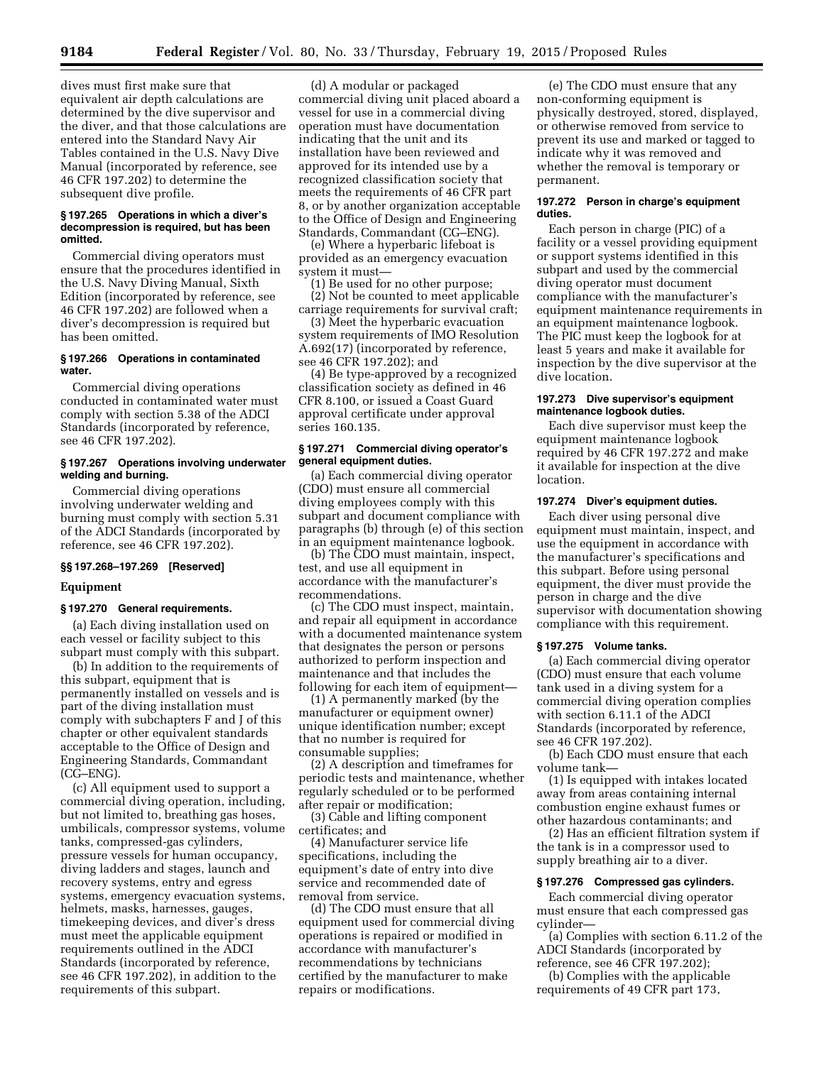dives must first make sure that equivalent air depth calculations are determined by the dive supervisor and the diver, and that those calculations are entered into the Standard Navy Air Tables contained in the U.S. Navy Dive Manual (incorporated by reference, see 46 CFR 197.202) to determine the subsequent dive profile.

#### **§ 197.265 Operations in which a diver's decompression is required, but has been omitted.**

Commercial diving operators must ensure that the procedures identified in the U.S. Navy Diving Manual, Sixth Edition (incorporated by reference, see 46 CFR 197.202) are followed when a diver's decompression is required but has been omitted.

#### **§ 197.266 Operations in contaminated water.**

Commercial diving operations conducted in contaminated water must comply with section 5.38 of the ADCI Standards (incorporated by reference, see 46 CFR 197.202).

## **§ 197.267 Operations involving underwater welding and burning.**

Commercial diving operations involving underwater welding and burning must comply with section 5.31 of the ADCI Standards (incorporated by reference, see 46 CFR 197.202).

#### **§§ 197.268–197.269 [Reserved]**

# **Equipment**

# **§ 197.270 General requirements.**

(a) Each diving installation used on each vessel or facility subject to this subpart must comply with this subpart.

(b) In addition to the requirements of this subpart, equipment that is permanently installed on vessels and is part of the diving installation must comply with subchapters F and J of this chapter or other equivalent standards acceptable to the Office of Design and Engineering Standards, Commandant (CG–ENG).

(c) All equipment used to support a commercial diving operation, including, but not limited to, breathing gas hoses, umbilicals, compressor systems, volume tanks, compressed-gas cylinders, pressure vessels for human occupancy, diving ladders and stages, launch and recovery systems, entry and egress systems, emergency evacuation systems, helmets, masks, harnesses, gauges, timekeeping devices, and diver's dress must meet the applicable equipment requirements outlined in the ADCI Standards (incorporated by reference, see 46 CFR 197.202), in addition to the requirements of this subpart.

(d) A modular or packaged commercial diving unit placed aboard a vessel for use in a commercial diving operation must have documentation indicating that the unit and its installation have been reviewed and approved for its intended use by a recognized classification society that meets the requirements of 46 CFR part 8, or by another organization acceptable to the Office of Design and Engineering Standards, Commandant (CG–ENG).

(e) Where a hyperbaric lifeboat is provided as an emergency evacuation system it must—

(1) Be used for no other purpose; (2) Not be counted to meet applicable

carriage requirements for survival craft;

(3) Meet the hyperbaric evacuation system requirements of IMO Resolution A.692(17) (incorporated by reference, see 46 CFR 197.202); and

(4) Be type-approved by a recognized classification society as defined in 46 CFR 8.100, or issued a Coast Guard approval certificate under approval series 160.135.

#### **§ 197.271 Commercial diving operator's general equipment duties.**

(a) Each commercial diving operator (CDO) must ensure all commercial diving employees comply with this subpart and document compliance with paragraphs (b) through (e) of this section in an equipment maintenance logbook.

(b) The CDO must maintain, inspect, test, and use all equipment in accordance with the manufacturer's recommendations.

(c) The CDO must inspect, maintain, and repair all equipment in accordance with a documented maintenance system that designates the person or persons authorized to perform inspection and maintenance and that includes the following for each item of equipment—

(1) A permanently marked (by the manufacturer or equipment owner) unique identification number; except that no number is required for consumable supplies;

(2) A description and timeframes for periodic tests and maintenance, whether regularly scheduled or to be performed after repair or modification;

(3) Cable and lifting component certificates; and

(4) Manufacturer service life specifications, including the equipment's date of entry into dive service and recommended date of removal from service.

(d) The CDO must ensure that all equipment used for commercial diving operations is repaired or modified in accordance with manufacturer's recommendations by technicians certified by the manufacturer to make repairs or modifications.

(e) The CDO must ensure that any non-conforming equipment is physically destroyed, stored, displayed, or otherwise removed from service to prevent its use and marked or tagged to indicate why it was removed and whether the removal is temporary or permanent.

#### **197.272 Person in charge's equipment duties.**

Each person in charge (PIC) of a facility or a vessel providing equipment or support systems identified in this subpart and used by the commercial diving operator must document compliance with the manufacturer's equipment maintenance requirements in an equipment maintenance logbook. The PIC must keep the logbook for at least 5 years and make it available for inspection by the dive supervisor at the dive location.

## **197.273 Dive supervisor's equipment maintenance logbook duties.**

Each dive supervisor must keep the equipment maintenance logbook required by 46 CFR 197.272 and make it available for inspection at the dive location.

# **197.274 Diver's equipment duties.**

Each diver using personal dive equipment must maintain, inspect, and use the equipment in accordance with the manufacturer's specifications and this subpart. Before using personal equipment, the diver must provide the person in charge and the dive supervisor with documentation showing compliance with this requirement.

#### **§ 197.275 Volume tanks.**

(a) Each commercial diving operator (CDO) must ensure that each volume tank used in a diving system for a commercial diving operation complies with section 6.11.1 of the ADCI Standards (incorporated by reference, see 46 CFR 197.202).

(b) Each CDO must ensure that each volume tank—

(1) Is equipped with intakes located away from areas containing internal combustion engine exhaust fumes or other hazardous contaminants; and

(2) Has an efficient filtration system if the tank is in a compressor used to supply breathing air to a diver.

#### **§ 197.276 Compressed gas cylinders.**

Each commercial diving operator must ensure that each compressed gas cylinder—

(a) Complies with section 6.11.2 of the ADCI Standards (incorporated by reference, see 46 CFR 197.202);

(b) Complies with the applicable requirements of 49 CFR part 173,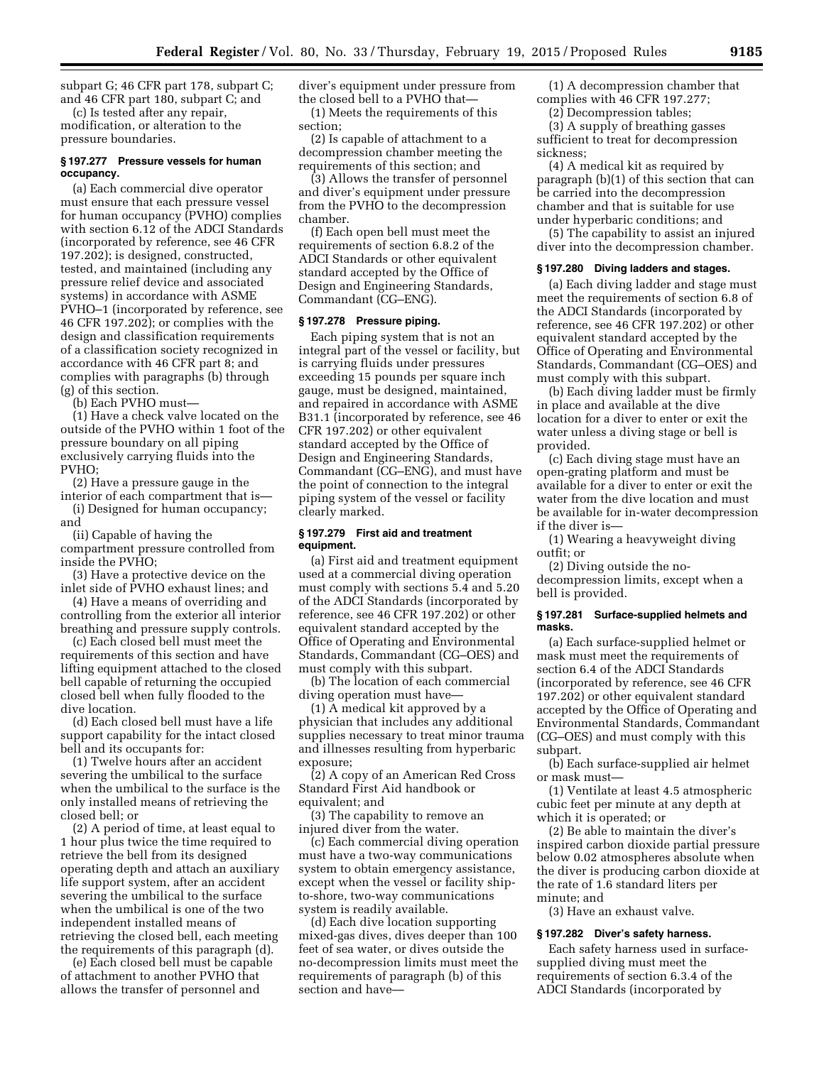subpart G; 46 CFR part 178, subpart C; and 46 CFR part 180, subpart C; and

(c) Is tested after any repair, modification, or alteration to the pressure boundaries.

## **§ 197.277 Pressure vessels for human occupancy.**

(a) Each commercial dive operator must ensure that each pressure vessel for human occupancy (PVHO) complies with section 6.12 of the ADCI Standards (incorporated by reference, see 46 CFR 197.202); is designed, constructed, tested, and maintained (including any pressure relief device and associated systems) in accordance with ASME PVHO–1 (incorporated by reference, see 46 CFR 197.202); or complies with the design and classification requirements of a classification society recognized in accordance with 46 CFR part 8; and complies with paragraphs (b) through (g) of this section.

(b) Each PVHO must—

(1) Have a check valve located on the outside of the PVHO within 1 foot of the pressure boundary on all piping exclusively carrying fluids into the PVHO;

(2) Have a pressure gauge in the

interior of each compartment that is— (i) Designed for human occupancy; and

(ii) Capable of having the compartment pressure controlled from inside the PVHO;

(3) Have a protective device on the inlet side of PVHO exhaust lines; and

(4) Have a means of overriding and controlling from the exterior all interior breathing and pressure supply controls.

(c) Each closed bell must meet the requirements of this section and have lifting equipment attached to the closed bell capable of returning the occupied closed bell when fully flooded to the dive location.

(d) Each closed bell must have a life support capability for the intact closed bell and its occupants for:

(1) Twelve hours after an accident severing the umbilical to the surface when the umbilical to the surface is the only installed means of retrieving the closed bell; or

(2) A period of time, at least equal to 1 hour plus twice the time required to retrieve the bell from its designed operating depth and attach an auxiliary life support system, after an accident severing the umbilical to the surface when the umbilical is one of the two independent installed means of retrieving the closed bell, each meeting the requirements of this paragraph (d).

(e) Each closed bell must be capable of attachment to another PVHO that allows the transfer of personnel and

diver's equipment under pressure from the closed bell to a PVHO that— (1) Meets the requirements of this

section; (2) Is capable of attachment to a

decompression chamber meeting the requirements of this section; and

(3) Allows the transfer of personnel and diver's equipment under pressure from the PVHO to the decompression chamber.

(f) Each open bell must meet the requirements of section 6.8.2 of the ADCI Standards or other equivalent standard accepted by the Office of Design and Engineering Standards, Commandant (CG–ENG).

#### **§ 197.278 Pressure piping.**

Each piping system that is not an integral part of the vessel or facility, but is carrying fluids under pressures exceeding 15 pounds per square inch gauge, must be designed, maintained, and repaired in accordance with ASME B31.1 (incorporated by reference, see 46 CFR 197.202) or other equivalent standard accepted by the Office of Design and Engineering Standards, Commandant (CG–ENG), and must have the point of connection to the integral piping system of the vessel or facility clearly marked.

#### **§ 197.279 First aid and treatment equipment.**

(a) First aid and treatment equipment used at a commercial diving operation must comply with sections 5.4 and 5.20 of the ADCI Standards (incorporated by reference, see 46 CFR 197.202) or other equivalent standard accepted by the Office of Operating and Environmental Standards, Commandant (CG–OES) and must comply with this subpart.

(b) The location of each commercial diving operation must have—

(1) A medical kit approved by a physician that includes any additional supplies necessary to treat minor trauma and illnesses resulting from hyperbaric exposure;

(2) A copy of an American Red Cross Standard First Aid handbook or equivalent; and

(3) The capability to remove an injured diver from the water.

(c) Each commercial diving operation must have a two-way communications system to obtain emergency assistance, except when the vessel or facility shipto-shore, two-way communications system is readily available.

(d) Each dive location supporting mixed-gas dives, dives deeper than 100 feet of sea water, or dives outside the no-decompression limits must meet the requirements of paragraph (b) of this section and have—

(1) A decompression chamber that complies with 46 CFR 197.277;

(2) Decompression tables;

(3) A supply of breathing gasses sufficient to treat for decompression sickness;

(4) A medical kit as required by paragraph (b)(1) of this section that can be carried into the decompression chamber and that is suitable for use under hyperbaric conditions; and

(5) The capability to assist an injured diver into the decompression chamber.

#### **§ 197.280 Diving ladders and stages.**

(a) Each diving ladder and stage must meet the requirements of section 6.8 of the ADCI Standards (incorporated by reference, see 46 CFR 197.202) or other equivalent standard accepted by the Office of Operating and Environmental Standards, Commandant (CG–OES) and must comply with this subpart.

(b) Each diving ladder must be firmly in place and available at the dive location for a diver to enter or exit the water unless a diving stage or bell is provided.

(c) Each diving stage must have an open-grating platform and must be available for a diver to enter or exit the water from the dive location and must be available for in-water decompression if the diver is—

(1) Wearing a heavyweight diving outfit; or

(2) Diving outside the nodecompression limits, except when a bell is provided.

#### **§ 197.281 Surface-supplied helmets and masks.**

(a) Each surface-supplied helmet or mask must meet the requirements of section 6.4 of the ADCI Standards (incorporated by reference, see 46 CFR 197.202) or other equivalent standard accepted by the Office of Operating and Environmental Standards, Commandant (CG–OES) and must comply with this subpart.

(b) Each surface-supplied air helmet or mask must—

(1) Ventilate at least 4.5 atmospheric cubic feet per minute at any depth at which it is operated; or

(2) Be able to maintain the diver's inspired carbon dioxide partial pressure below 0.02 atmospheres absolute when the diver is producing carbon dioxide at the rate of 1.6 standard liters per minute; and

(3) Have an exhaust valve.

#### **§ 197.282 Diver's safety harness.**

Each safety harness used in surfacesupplied diving must meet the requirements of section 6.3.4 of the ADCI Standards (incorporated by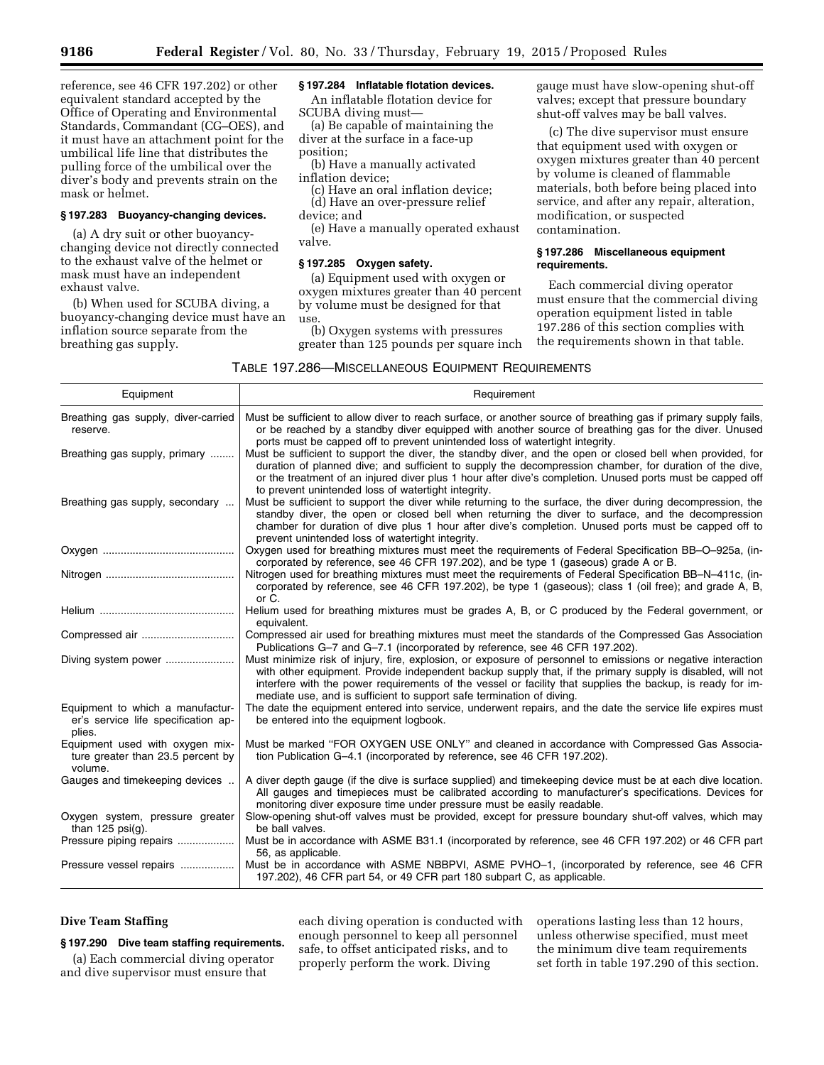reference, see 46 CFR 197.202) or other equivalent standard accepted by the Office of Operating and Environmental Standards, Commandant (CG–OES), and it must have an attachment point for the umbilical life line that distributes the pulling force of the umbilical over the diver's body and prevents strain on the mask or helmet.

#### **§ 197.283 Buoyancy-changing devices.**

(a) A dry suit or other buoyancychanging device not directly connected to the exhaust valve of the helmet or mask must have an independent exhaust valve.

(b) When used for SCUBA diving, a buoyancy-changing device must have an inflation source separate from the breathing gas supply.

# **§ 197.284 Inflatable flotation devices.**

An inflatable flotation device for SCUBA diving must—

(a) Be capable of maintaining the diver at the surface in a face-up position;

(b) Have a manually activated inflation device;

(c) Have an oral inflation device; (d) Have an over-pressure relief

device; and

(e) Have a manually operated exhaust valve.

# **§ 197.285 Oxygen safety.**

(a) Equipment used with oxygen or oxygen mixtures greater than 40 percent by volume must be designed for that use.

(b) Oxygen systems with pressures greater than 125 pounds per square inch gauge must have slow-opening shut-off valves; except that pressure boundary shut-off valves may be ball valves.

(c) The dive supervisor must ensure that equipment used with oxygen or oxygen mixtures greater than 40 percent by volume is cleaned of flammable materials, both before being placed into service, and after any repair, alteration, modification, or suspected contamination.

## **§ 197.286 Miscellaneous equipment requirements.**

Each commercial diving operator must ensure that the commercial diving operation equipment listed in table 197.286 of this section complies with the requirements shown in that table.

| Equipment                                                                         | Requirement                                                                                                                                                                                                                                                                                                                                                                                                      |  |  |
|-----------------------------------------------------------------------------------|------------------------------------------------------------------------------------------------------------------------------------------------------------------------------------------------------------------------------------------------------------------------------------------------------------------------------------------------------------------------------------------------------------------|--|--|
| Breathing gas supply, diver-carried<br>reserve.                                   | Must be sufficient to allow diver to reach surface, or another source of breathing gas if primary supply fails,<br>or be reached by a standby diver equipped with another source of breathing gas for the diver. Unused<br>ports must be capped off to prevent unintended loss of watertight integrity.                                                                                                          |  |  |
| Breathing gas supply, primary                                                     | Must be sufficient to support the diver, the standby diver, and the open or closed bell when provided, for<br>duration of planned dive; and sufficient to supply the decompression chamber, for duration of the dive,<br>or the treatment of an injured diver plus 1 hour after dive's completion. Unused ports must be capped off<br>to prevent unintended loss of watertight integrity.                        |  |  |
| Breathing gas supply, secondary                                                   | Must be sufficient to support the diver while returning to the surface, the diver during decompression, the<br>standby diver, the open or closed bell when returning the diver to surface, and the decompression<br>chamber for duration of dive plus 1 hour after dive's completion. Unused ports must be capped off to<br>prevent unintended loss of watertight integrity.                                     |  |  |
|                                                                                   | Oxygen used for breathing mixtures must meet the requirements of Federal Specification BB-O-925a, (in-<br>corporated by reference, see 46 CFR 197.202), and be type 1 (gaseous) grade A or B.                                                                                                                                                                                                                    |  |  |
|                                                                                   | Nitrogen used for breathing mixtures must meet the reguirements of Federal Specification BB-N-411c, (in-<br>corporated by reference, see 46 CFR 197.202), be type 1 (gaseous); class 1 (oil free); and grade A, B,<br>or C.                                                                                                                                                                                      |  |  |
|                                                                                   | Helium used for breathing mixtures must be grades A, B, or C produced by the Federal government, or<br>equivalent.                                                                                                                                                                                                                                                                                               |  |  |
|                                                                                   | Compressed air used for breathing mixtures must meet the standards of the Compressed Gas Association<br>Publications G-7 and G-7.1 (incorporated by reference, see 46 CFR 197.202).                                                                                                                                                                                                                              |  |  |
| Diving system power                                                               | Must minimize risk of injury, fire, explosion, or exposure of personnel to emissions or negative interaction<br>with other equipment. Provide independent backup supply that, if the primary supply is disabled, will not<br>interfere with the power requirements of the vessel or facility that supplies the backup, is ready for im-<br>mediate use, and is sufficient to support safe termination of diving. |  |  |
| Equipment to which a manufactur-<br>er's service life specification ap-<br>plies. | The date the equipment entered into service, underwent repairs, and the date the service life expires must<br>be entered into the equipment logbook.                                                                                                                                                                                                                                                             |  |  |
| Equipment used with oxygen mix-<br>ture greater than 23.5 percent by<br>volume.   | Must be marked "FOR OXYGEN USE ONLY" and cleaned in accordance with Compressed Gas Associa-<br>tion Publication G-4.1 (incorporated by reference, see 46 CFR 197.202).                                                                                                                                                                                                                                           |  |  |
| Gauges and timekeeping devices                                                    | A diver depth gauge (if the dive is surface supplied) and timekeeping device must be at each dive location.<br>All gauges and timepieces must be calibrated according to manufacturer's specifications. Devices for<br>monitoring diver exposure time under pressure must be easily readable.                                                                                                                    |  |  |
| Oxygen system, pressure greater<br>than $125$ psi(g).                             | Slow-opening shut-off valves must be provided, except for pressure boundary shut-off valves, which may<br>be ball valves.                                                                                                                                                                                                                                                                                        |  |  |
| Pressure piping repairs                                                           | Must be in accordance with ASME B31.1 (incorporated by reference, see 46 CFR 197.202) or 46 CFR part<br>56, as applicable.                                                                                                                                                                                                                                                                                       |  |  |
| Pressure vessel repairs                                                           | Must be in accordance with ASME NBBPVI, ASME PVHO-1, (incorporated by reference, see 46 CFR<br>197.202), 46 CFR part 54, or 49 CFR part 180 subpart C, as applicable.                                                                                                                                                                                                                                            |  |  |

# **Dive Team Staffing**

#### **§ 197.290 Dive team staffing requirements.**

(a) Each commercial diving operator and dive supervisor must ensure that

each diving operation is conducted with enough personnel to keep all personnel safe, to offset anticipated risks, and to properly perform the work. Diving

operations lasting less than 12 hours, unless otherwise specified, must meet the minimum dive team requirements set forth in table 197.290 of this section.